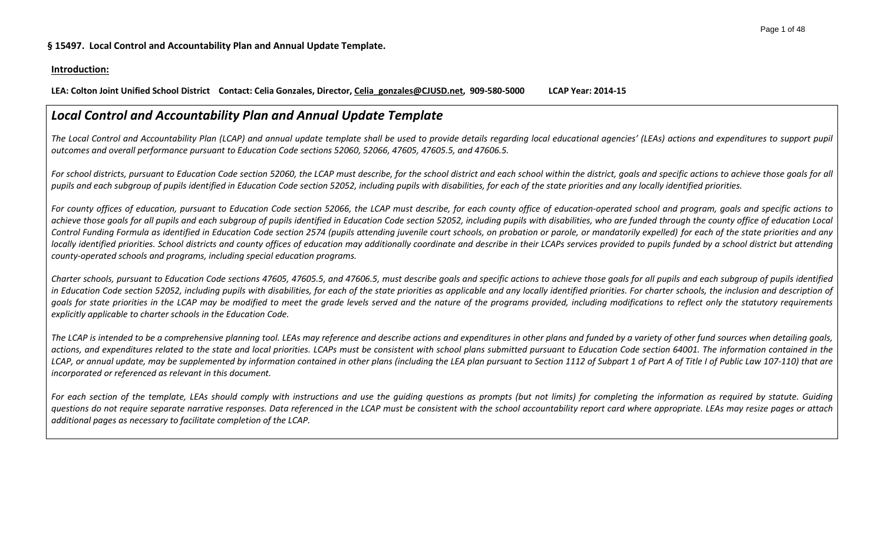# **Introduction:**

**LEA: Colton Joint Unified School District Contact: Celia Gonzales, Director, Celia\_gonzales@CJUSD.net, 909-580-5000 LCAP Year: 2014-15**

# *Local Control and Accountability Plan and Annual Update Template*

*The Local Control and Accountability Plan (LCAP) and annual update template shall be used to provide details regarding local educational agencies' (LEAs) actions and expenditures to support pupil outcomes and overall performance pursuant to Education Code sections 52060, 52066, 47605, 47605.5, and 47606.5.* 

*For school districts, pursuant to Education Code section 52060, the LCAP must describe, for the school district and each school within the district, goals and specific actions to achieve those goals for all pupils and each subgroup of pupils identified in Education Code section 52052, including pupils with disabilities, for each of the state priorities and any locally identified priorities.*

*For county offices of education, pursuant to Education Code section 52066, the LCAP must describe, for each county office of education-operated school and program, goals and specific actions to achieve those goals for all pupils and each subgroup of pupils identified in Education Code section 52052, including pupils with disabilities, who are funded through the county office of education Local Control Funding Formula as identified in Education Code section 2574 (pupils attending juvenile court schools, on probation or parole, or mandatorily expelled) for each of the state priorities and any*  locally identified priorities. School districts and county offices of education may additionally coordinate and describe in their LCAPs services provided to pupils funded by a school district but attending *county-operated schools and programs, including special education programs.*

*Charter schools, pursuant to Education Code sections 47605, 47605.5, and 47606.5, must describe goals and specific actions to achieve those goals for all pupils and each subgroup of pupils identified in Education Code section 52052, including pupils with disabilities, for each of the state priorities as applicable and any locally identified priorities. For charter schools, the inclusion and description of goals for state priorities in the LCAP may be modified to meet the grade levels served and the nature of the programs provided, including modifications to reflect only the statutory requirements explicitly applicable to charter schools in the Education Code.*

*The LCAP is intended to be a comprehensive planning tool. LEAs may reference and describe actions and expenditures in other plans and funded by a variety of other fund sources when detailing goals,*  actions, and expenditures related to the state and local priorities. LCAPs must be consistent with school plans submitted pursuant to Education Code section 64001. The information contained in the LCAP, or annual update, may be supplemented by information contained in other plans (including the LEA plan pursuant to Section 1112 of Subpart 1 of Part A of Title I of Public Law 107-110) that are *incorporated or referenced as relevant in this document.* 

*For each section of the template, LEAs should comply with instructions and use the guiding questions as prompts (but not limits) for completing the information as required by statute. Guiding questions do not require separate narrative responses. Data referenced in the LCAP must be consistent with the school accountability report card where appropriate. LEAs may resize pages or attach additional pages as necessary to facilitate completion of the LCAP.*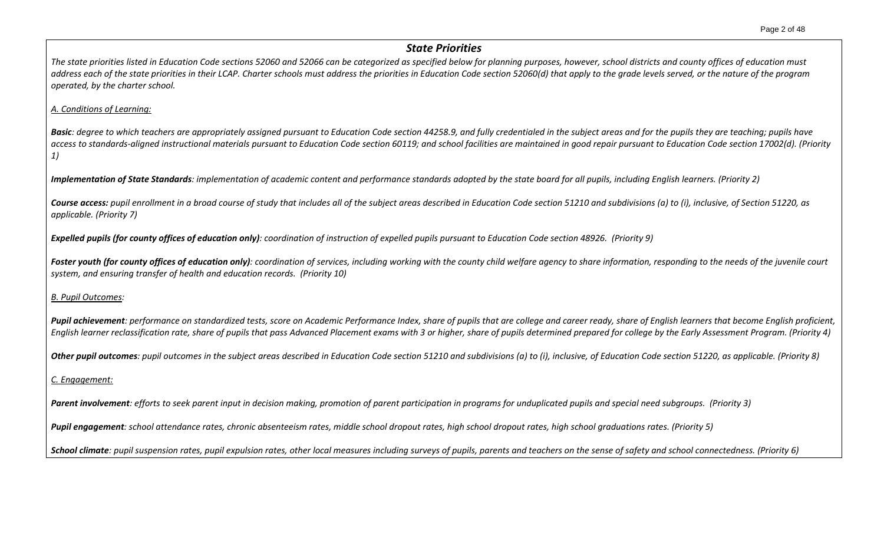# *State Priorities*

*The state priorities listed in Education Code sections 52060 and 52066 can be categorized as specified below for planning purposes, however, school districts and county offices of education must address each of the state priorities in their LCAP. Charter schools must address the priorities in Education Code section 52060(d) that apply to the grade levels served, or the nature of the program operated, by the charter school.*

# *A. Conditions of Learning:*

**Basic**: degree to which teachers are appropriately assigned pursuant to Education Code section 44258.9, and fully credentialed in the subject areas and for the pupils they are teaching; pupils have *access to standards-aligned instructional materials pursuant to Education Code section 60119; and school facilities are maintained in good repair pursuant to Education Code section 17002(d). (Priority 1)*

*Implementation of State Standards: implementation of academic content and performance standards adopted by the state board for all pupils, including English learners. (Priority 2)*

*Course access: pupil enrollment in a broad course of study that includes all of the subject areas described in Education Code section 51210 and subdivisions (a) to (i), inclusive, of Section 51220, as applicable. (Priority 7)*

*Expelled pupils (for county offices of education only): coordination of instruction of expelled pupils pursuant to Education Code section 48926. (Priority 9)*

**Foster youth (for county offices of education only)**: coordination of services, including working with the county child welfare agency to share information, responding to the needs of the juvenile court *system, and ensuring transfer of health and education records. (Priority 10)*

*B. Pupil Outcomes:* 

Pupil achievement: performance on standardized tests, score on Academic Performance Index, share of pupils that are college and career ready, share of English learners that become English proficient, *English learner reclassification rate, share of pupils that pass Advanced Placement exams with 3 or higher, share of pupils determined prepared for college by the Early Assessment Program. (Priority 4)*

*Other pupil outcomes: pupil outcomes in the subject areas described in Education Code section 51210 and subdivisions (a) to (i), inclusive, of Education Code section 51220, as applicable. (Priority 8)* 

# *C. Engagement:*

*Parent involvement: efforts to seek parent input in decision making, promotion of parent participation in programs for unduplicated pupils and special need subgroups. (Priority 3)*

*Pupil engagement: school attendance rates, chronic absenteeism rates, middle school dropout rates, high school dropout rates, high school graduations rates. (Priority 5)*

*School climate: pupil suspension rates, pupil expulsion rates, other local measures including surveys of pupils, parents and teachers on the sense of safety and school connectedness. (Priority 6)*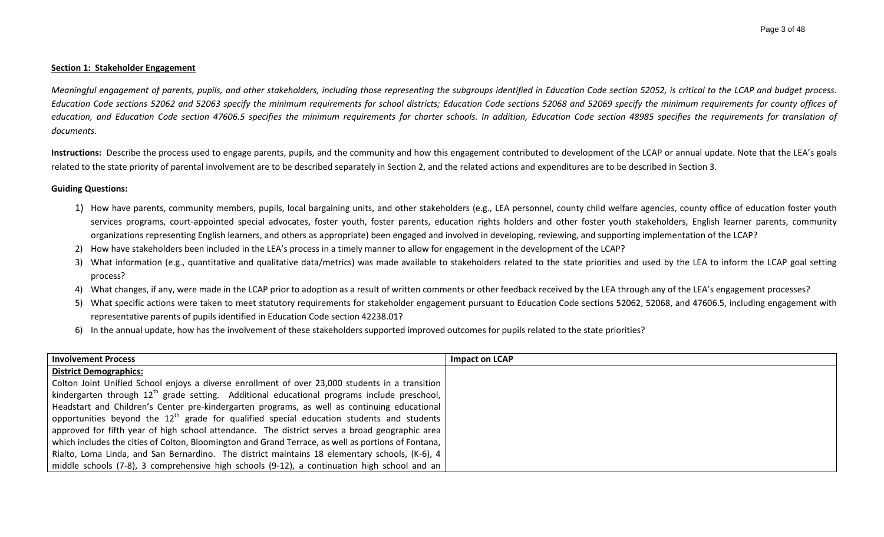#### **Section 1: Stakeholder Engagement**

*Meaningful engagement of parents, pupils, and other stakeholders, including those representing the subgroups identified in Education Code section 52052, is critical to the LCAP and budget process. Education Code sections 52062 and 52063 specify the minimum requirements for school districts; Education Code sections 52068 and 52069 specify the minimum requirements for county offices of education, and Education Code section 47606.5 specifies the minimum requirements for charter schools. In addition, Education Code section 48985 specifies the requirements for translation of documents.*

Instructions: Describe the process used to engage parents, pupils, and the community and how this engagement contributed to development of the LCAP or annual update. Note that the LEA's goals related to the state priority of parental involvement are to be described separately in Section 2, and the related actions and expenditures are to be described in Section 3.

#### **Guiding Questions:**

- 1) How have parents, community members, pupils, local bargaining units, and other stakeholders (e.g., LEA personnel, county child welfare agencies, county office of education foster youth services programs, court-appointed special advocates, foster youth, foster parents, education rights holders and other foster youth stakeholders, English learner parents, community organizations representing English learners, and others as appropriate) been engaged and involved in developing, reviewing, and supporting implementation of the LCAP?
- 2) How have stakeholders been included in the LEA's process in a timely manner to allow for engagement in the development of the LCAP?
- 3) What information (e.g., quantitative and qualitative data/metrics) was made available to stakeholders related to the state priorities and used by the LEA to inform the LCAP goal setting process?
- 4) What changes, if any, were made in the LCAP prior to adoption as a result of written comments or other feedback received by the LEA through any of the LEA's engagement processes?
- 5) What specific actions were taken to meet statutory requirements for stakeholder engagement pursuant to Education Code sections 52062, 52068, and 47606.5, including engagement with representative parents of pupils identified in Education Code section 42238.01?
- 6) In the annual update, how has the involvement of these stakeholders supported improved outcomes for pupils related to the state priorities?

| <b>Involvement Process</b>                                                                          | <b>Impact on LCAP</b> |
|-----------------------------------------------------------------------------------------------------|-----------------------|
| <b>District Demographics:</b>                                                                       |                       |
| Colton Joint Unified School enjoys a diverse enrollment of over 23,000 students in a transition     |                       |
| kindergarten through $12^{th}$ grade setting. Additional educational programs include preschool,    |                       |
| Headstart and Children's Center pre-kindergarten programs, as well as continuing educational        |                       |
| opportunities beyond the $12th$ grade for qualified special education students and students         |                       |
| approved for fifth year of high school attendance. The district serves a broad geographic area      |                       |
| which includes the cities of Colton, Bloomington and Grand Terrace, as well as portions of Fontana, |                       |
| Rialto, Loma Linda, and San Bernardino. The district maintains 18 elementary schools, (K-6), 4      |                       |
| middle schools (7-8), 3 comprehensive high schools (9-12), a continuation high school and an        |                       |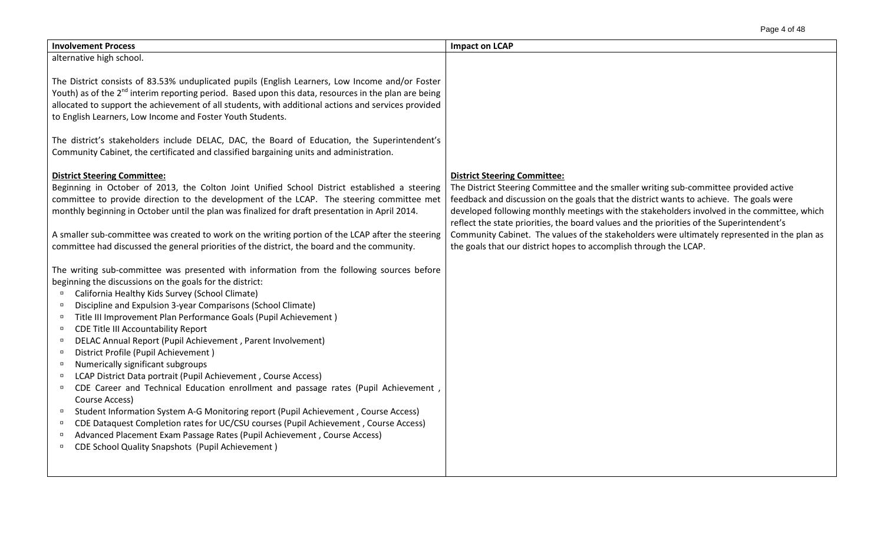| Page 4 of 48 |  |
|--------------|--|
|--------------|--|

| <b>Involvement Process</b>                                                                                                                                                                                                                                                                                                                                                                                                                                                                                                                                                                                                                                                                                                                                                                                                                                                                                                                                                                                                                                                                                                                                                                                                                                                                                                                                                                                                                                                                                                                                                                                                                                                                             | <b>Impact on LCAP</b>                                                                                                                                                                                                                                                                                                                                                                                                                                                                                                                                                                    |
|--------------------------------------------------------------------------------------------------------------------------------------------------------------------------------------------------------------------------------------------------------------------------------------------------------------------------------------------------------------------------------------------------------------------------------------------------------------------------------------------------------------------------------------------------------------------------------------------------------------------------------------------------------------------------------------------------------------------------------------------------------------------------------------------------------------------------------------------------------------------------------------------------------------------------------------------------------------------------------------------------------------------------------------------------------------------------------------------------------------------------------------------------------------------------------------------------------------------------------------------------------------------------------------------------------------------------------------------------------------------------------------------------------------------------------------------------------------------------------------------------------------------------------------------------------------------------------------------------------------------------------------------------------------------------------------------------------|------------------------------------------------------------------------------------------------------------------------------------------------------------------------------------------------------------------------------------------------------------------------------------------------------------------------------------------------------------------------------------------------------------------------------------------------------------------------------------------------------------------------------------------------------------------------------------------|
| alternative high school.                                                                                                                                                                                                                                                                                                                                                                                                                                                                                                                                                                                                                                                                                                                                                                                                                                                                                                                                                                                                                                                                                                                                                                                                                                                                                                                                                                                                                                                                                                                                                                                                                                                                               |                                                                                                                                                                                                                                                                                                                                                                                                                                                                                                                                                                                          |
| The District consists of 83.53% unduplicated pupils (English Learners, Low Income and/or Foster<br>Youth) as of the 2 <sup>nd</sup> interim reporting period. Based upon this data, resources in the plan are being<br>allocated to support the achievement of all students, with additional actions and services provided<br>to English Learners, Low Income and Foster Youth Students.                                                                                                                                                                                                                                                                                                                                                                                                                                                                                                                                                                                                                                                                                                                                                                                                                                                                                                                                                                                                                                                                                                                                                                                                                                                                                                               |                                                                                                                                                                                                                                                                                                                                                                                                                                                                                                                                                                                          |
| The district's stakeholders include DELAC, DAC, the Board of Education, the Superintendent's<br>Community Cabinet, the certificated and classified bargaining units and administration.                                                                                                                                                                                                                                                                                                                                                                                                                                                                                                                                                                                                                                                                                                                                                                                                                                                                                                                                                                                                                                                                                                                                                                                                                                                                                                                                                                                                                                                                                                                |                                                                                                                                                                                                                                                                                                                                                                                                                                                                                                                                                                                          |
| <b>District Steering Committee:</b><br>Beginning in October of 2013, the Colton Joint Unified School District established a steering<br>committee to provide direction to the development of the LCAP. The steering committee met<br>monthly beginning in October until the plan was finalized for draft presentation in April 2014.<br>A smaller sub-committee was created to work on the writing portion of the LCAP after the steering<br>committee had discussed the general priorities of the district, the board and the community.<br>The writing sub-committee was presented with information from the following sources before<br>beginning the discussions on the goals for the district:<br>California Healthy Kids Survey (School Climate)<br>Discipline and Expulsion 3-year Comparisons (School Climate)<br>$\Box$<br>Title III Improvement Plan Performance Goals (Pupil Achievement)<br>$\Box$<br>CDE Title III Accountability Report<br>$\Box$<br>DELAC Annual Report (Pupil Achievement, Parent Involvement)<br>$\Box$<br>District Profile (Pupil Achievement)<br>$\Box$<br>Numerically significant subgroups<br>$\Box$<br>LCAP District Data portrait (Pupil Achievement, Course Access)<br>$\Box$<br>CDE Career and Technical Education enrollment and passage rates (Pupil Achievement,<br>$\Box$<br>Course Access)<br>Student Information System A-G Monitoring report (Pupil Achievement, Course Access)<br>$\Box$<br>CDE Dataquest Completion rates for UC/CSU courses (Pupil Achievement, Course Access)<br>$\Box$<br>Advanced Placement Exam Passage Rates (Pupil Achievement, Course Access)<br>$\Box$<br><b>CDE School Quality Snapshots (Pupil Achievement)</b><br>$\Box$ | <b>District Steering Committee:</b><br>The District Steering Committee and the smaller writing sub-committee provided active<br>feedback and discussion on the goals that the district wants to achieve. The goals were<br>developed following monthly meetings with the stakeholders involved in the committee, which<br>reflect the state priorities, the board values and the priorities of the Superintendent's<br>Community Cabinet. The values of the stakeholders were ultimately represented in the plan as<br>the goals that our district hopes to accomplish through the LCAP. |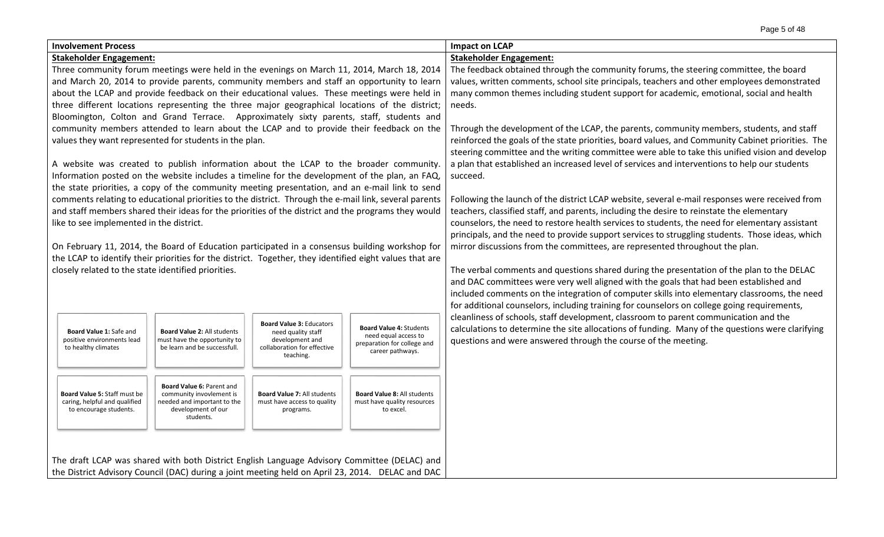| <b>Involvement Process</b>                        |                                                                                                                                                                                         |                                                              |                                                                                                         |                                                        | <b>Impact on LCAP</b>                                                                                                                                                               |  |  |  |  |
|---------------------------------------------------|-----------------------------------------------------------------------------------------------------------------------------------------------------------------------------------------|--------------------------------------------------------------|---------------------------------------------------------------------------------------------------------|--------------------------------------------------------|-------------------------------------------------------------------------------------------------------------------------------------------------------------------------------------|--|--|--|--|
|                                                   | <b>Stakeholder Engagement:</b>                                                                                                                                                          |                                                              |                                                                                                         |                                                        | <b>Stakeholder Engagement:</b>                                                                                                                                                      |  |  |  |  |
|                                                   |                                                                                                                                                                                         |                                                              | Three community forum meetings were held in the evenings on March 11, 2014, March 18, 2014              |                                                        | The feedback obtained through the community forums, the steering committee, the board                                                                                               |  |  |  |  |
|                                                   |                                                                                                                                                                                         |                                                              | and March 20, 2014 to provide parents, community members and staff an opportunity to learn              |                                                        | values, written comments, school site principals, teachers and other employees demonstrated                                                                                         |  |  |  |  |
|                                                   |                                                                                                                                                                                         |                                                              | about the LCAP and provide feedback on their educational values. These meetings were held in            |                                                        | many common themes including student support for academic, emotional, social and health                                                                                             |  |  |  |  |
|                                                   |                                                                                                                                                                                         |                                                              | three different locations representing the three major geographical locations of the district;          |                                                        | needs.                                                                                                                                                                              |  |  |  |  |
|                                                   |                                                                                                                                                                                         |                                                              | Bloomington, Colton and Grand Terrace. Approximately sixty parents, staff, students and                 |                                                        |                                                                                                                                                                                     |  |  |  |  |
|                                                   |                                                                                                                                                                                         |                                                              | community members attended to learn about the LCAP and to provide their feedback on the                 |                                                        | Through the development of the LCAP, the parents, community members, students, and staff                                                                                            |  |  |  |  |
|                                                   |                                                                                                                                                                                         | values they want represented for students in the plan.       |                                                                                                         |                                                        | reinforced the goals of the state priorities, board values, and Community Cabinet priorities. The                                                                                   |  |  |  |  |
|                                                   |                                                                                                                                                                                         |                                                              |                                                                                                         |                                                        | steering committee and the writing committee were able to take this unified vision and develop                                                                                      |  |  |  |  |
|                                                   |                                                                                                                                                                                         |                                                              | A website was created to publish information about the LCAP to the broader community.                   |                                                        | a plan that established an increased level of services and interventions to help our students                                                                                       |  |  |  |  |
|                                                   |                                                                                                                                                                                         |                                                              | Information posted on the website includes a timeline for the development of the plan, an FAQ,          |                                                        | succeed.                                                                                                                                                                            |  |  |  |  |
|                                                   |                                                                                                                                                                                         |                                                              | the state priorities, a copy of the community meeting presentation, and an e-mail link to send          |                                                        |                                                                                                                                                                                     |  |  |  |  |
|                                                   |                                                                                                                                                                                         |                                                              | comments relating to educational priorities to the district. Through the e-mail link, several parents   |                                                        | Following the launch of the district LCAP website, several e-mail responses were received from                                                                                      |  |  |  |  |
|                                                   |                                                                                                                                                                                         |                                                              | and staff members shared their ideas for the priorities of the district and the programs they would     |                                                        | teachers, classified staff, and parents, including the desire to reinstate the elementary                                                                                           |  |  |  |  |
|                                                   | like to see implemented in the district.                                                                                                                                                |                                                              |                                                                                                         |                                                        | counselors, the need to restore health services to students, the need for elementary assistant                                                                                      |  |  |  |  |
|                                                   |                                                                                                                                                                                         |                                                              |                                                                                                         |                                                        | principals, and the need to provide support services to struggling students. Those ideas, which                                                                                     |  |  |  |  |
|                                                   |                                                                                                                                                                                         |                                                              | On February 11, 2014, the Board of Education participated in a consensus building workshop for          |                                                        | mirror discussions from the committees, are represented throughout the plan.                                                                                                        |  |  |  |  |
|                                                   |                                                                                                                                                                                         |                                                              | the LCAP to identify their priorities for the district. Together, they identified eight values that are |                                                        |                                                                                                                                                                                     |  |  |  |  |
|                                                   |                                                                                                                                                                                         | closely related to the state identified priorities.          |                                                                                                         |                                                        | The verbal comments and questions shared during the presentation of the plan to the DELAC<br>and DAC committees were very well aligned with the goals that had been established and |  |  |  |  |
|                                                   |                                                                                                                                                                                         |                                                              |                                                                                                         |                                                        |                                                                                                                                                                                     |  |  |  |  |
|                                                   |                                                                                                                                                                                         |                                                              |                                                                                                         |                                                        | included comments on the integration of computer skills into elementary classrooms, the need                                                                                        |  |  |  |  |
|                                                   |                                                                                                                                                                                         |                                                              |                                                                                                         |                                                        | for additional counselors, including training for counselors on college going requirements,                                                                                         |  |  |  |  |
|                                                   |                                                                                                                                                                                         |                                                              | <b>Board Value 3: Educators</b>                                                                         |                                                        | cleanliness of schools, staff development, classroom to parent communication and the                                                                                                |  |  |  |  |
| <b>Board Value 1: Safe and</b>                    |                                                                                                                                                                                         | Board Value 2: All students                                  | need quality staff                                                                                      | <b>Board Value 4: Students</b><br>need equal access to | calculations to determine the site allocations of funding. Many of the questions were clarifying                                                                                    |  |  |  |  |
| positive environments lead<br>to healthy climates |                                                                                                                                                                                         | must have the opportunity to<br>be learn and be successfull. | development and<br>collaboration for effective                                                          | preparation for college and                            | questions and were answered through the course of the meeting.                                                                                                                      |  |  |  |  |
|                                                   |                                                                                                                                                                                         |                                                              | teaching.                                                                                               | career pathways.                                       |                                                                                                                                                                                     |  |  |  |  |
|                                                   |                                                                                                                                                                                         |                                                              |                                                                                                         |                                                        |                                                                                                                                                                                     |  |  |  |  |
|                                                   |                                                                                                                                                                                         | Board Value 6: Parent and                                    |                                                                                                         |                                                        |                                                                                                                                                                                     |  |  |  |  |
| Board Value 5: Staff must be                      |                                                                                                                                                                                         | community invovlement is                                     | <b>Board Value 7: All students</b>                                                                      | <b>Board Value 8: All students</b>                     |                                                                                                                                                                                     |  |  |  |  |
|                                                   | caring, helpful and qualified<br>needed and important to the<br>must have access to quality<br>must have quality resources<br>to encourage students.<br>development of our<br>programs. |                                                              |                                                                                                         | to excel.                                              |                                                                                                                                                                                     |  |  |  |  |
| students.                                         |                                                                                                                                                                                         |                                                              |                                                                                                         |                                                        |                                                                                                                                                                                     |  |  |  |  |
|                                                   |                                                                                                                                                                                         |                                                              |                                                                                                         |                                                        |                                                                                                                                                                                     |  |  |  |  |
|                                                   |                                                                                                                                                                                         |                                                              |                                                                                                         |                                                        |                                                                                                                                                                                     |  |  |  |  |
|                                                   |                                                                                                                                                                                         |                                                              | The draft LCAP was shared with both District English Language Advisory Committee (DELAC) and            |                                                        |                                                                                                                                                                                     |  |  |  |  |
|                                                   |                                                                                                                                                                                         |                                                              | the District Advisory Council (DAC) during a joint meeting held on April 23, 2014. DELAC and DAC        |                                                        |                                                                                                                                                                                     |  |  |  |  |
|                                                   |                                                                                                                                                                                         |                                                              |                                                                                                         |                                                        |                                                                                                                                                                                     |  |  |  |  |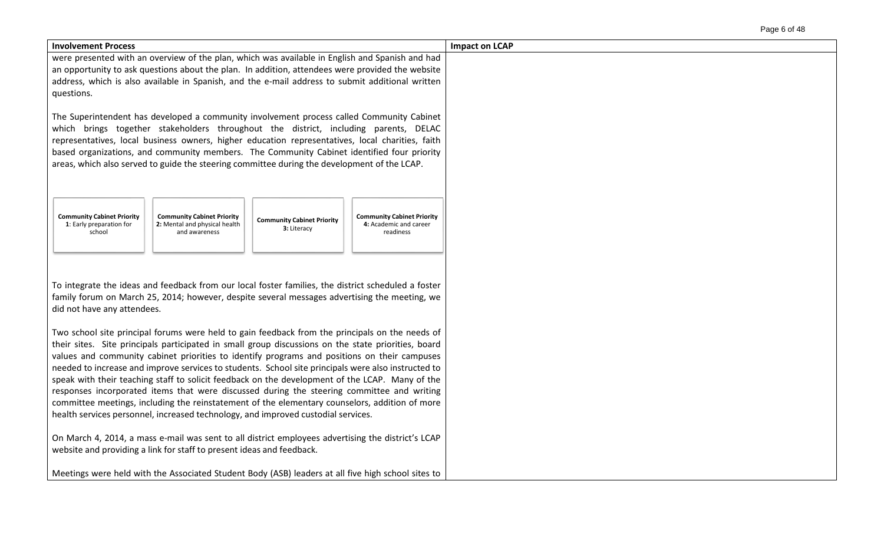| Page 6 of 48 |  |  |  |
|--------------|--|--|--|
|--------------|--|--|--|

| <b>Involvement Process</b>                                                                                                                                                                                                                                                                                                                                                                                                                                                                                                                                                                                                                                                                                                                                                                            | <b>Impact on LCAP</b> |
|-------------------------------------------------------------------------------------------------------------------------------------------------------------------------------------------------------------------------------------------------------------------------------------------------------------------------------------------------------------------------------------------------------------------------------------------------------------------------------------------------------------------------------------------------------------------------------------------------------------------------------------------------------------------------------------------------------------------------------------------------------------------------------------------------------|-----------------------|
| were presented with an overview of the plan, which was available in English and Spanish and had<br>an opportunity to ask questions about the plan. In addition, attendees were provided the website<br>address, which is also available in Spanish, and the e-mail address to submit additional written<br>questions.                                                                                                                                                                                                                                                                                                                                                                                                                                                                                 |                       |
| The Superintendent has developed a community involvement process called Community Cabinet<br>which brings together stakeholders throughout the district, including parents, DELAC<br>representatives, local business owners, higher education representatives, local charities, faith<br>based organizations, and community members. The Community Cabinet identified four priority<br>areas, which also served to guide the steering committee during the development of the LCAP.                                                                                                                                                                                                                                                                                                                   |                       |
| <b>Community Cabinet Priority</b><br><b>Community Cabinet Priority</b><br><b>Community Cabinet Priority</b><br><b>Community Cabinet Priority</b><br>2: Mental and physical health<br>1: Early preparation for<br>4: Academic and career<br>3: Literacy<br>school<br>and awareness<br>readiness                                                                                                                                                                                                                                                                                                                                                                                                                                                                                                        |                       |
| To integrate the ideas and feedback from our local foster families, the district scheduled a foster<br>family forum on March 25, 2014; however, despite several messages advertising the meeting, we<br>did not have any attendees.                                                                                                                                                                                                                                                                                                                                                                                                                                                                                                                                                                   |                       |
| Two school site principal forums were held to gain feedback from the principals on the needs of<br>their sites. Site principals participated in small group discussions on the state priorities, board<br>values and community cabinet priorities to identify programs and positions on their campuses<br>needed to increase and improve services to students. School site principals were also instructed to<br>speak with their teaching staff to solicit feedback on the development of the LCAP. Many of the<br>responses incorporated items that were discussed during the steering committee and writing<br>committee meetings, including the reinstatement of the elementary counselors, addition of more<br>health services personnel, increased technology, and improved custodial services. |                       |
| On March 4, 2014, a mass e-mail was sent to all district employees advertising the district's LCAP<br>website and providing a link for staff to present ideas and feedback.<br>Meetings were held with the Associated Student Body (ASB) leaders at all five high school sites to                                                                                                                                                                                                                                                                                                                                                                                                                                                                                                                     |                       |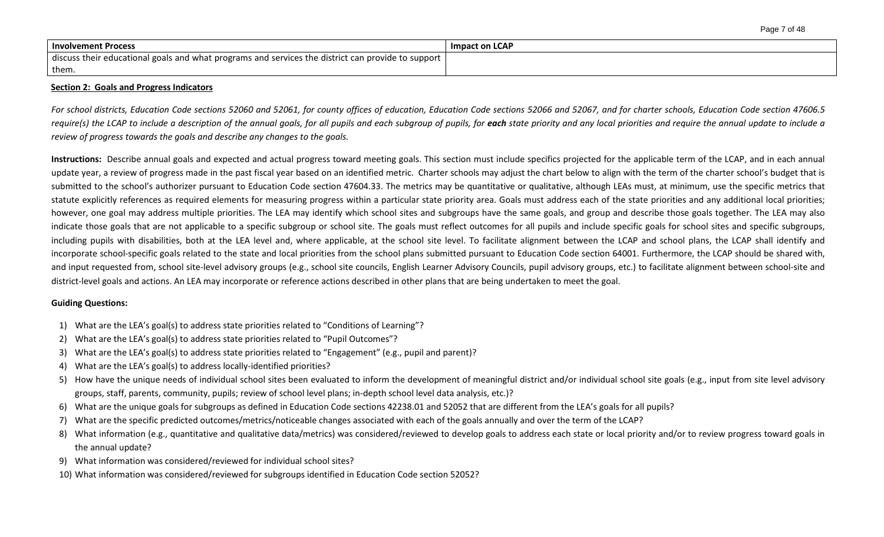| <b>Involvement Process</b>                                                                         | <b>Impact on LCAP</b> |
|----------------------------------------------------------------------------------------------------|-----------------------|
| discuss their educational goals and what programs and services the district can provide to support |                       |
| them.                                                                                              |                       |

#### **Section 2: Goals and Progress Indicators**

*For school districts, Education Code sections 52060 and 52061, for county offices of education, Education Code sections 52066 and 52067, and for charter schools, Education Code section 47606.5*  require(s) the LCAP to include a description of the annual goals, for all pupils and each subgroup of pupils, for each state priority and any local priorities and require the annual update to include a *review of progress towards the goals and describe any changes to the goals.* 

Instructions: Describe annual goals and expected and actual progress toward meeting goals. This section must include specifics projected for the applicable term of the LCAP, and in each annual update year, a review of progress made in the past fiscal year based on an identified metric. Charter schools may adjust the chart below to align with the term of the charter school's budget that is submitted to the school's authorizer pursuant to Education Code section 47604.33. The metrics may be quantitative or qualitative, although LEAs must, at minimum, use the specific metrics that statute explicitly references as required elements for measuring progress within a particular state priority area. Goals must address each of the state priorities and any additional local priorities; however, one goal may address multiple priorities. The LEA may identify which school sites and subgroups have the same goals, and group and describe those goals together. The LEA may also indicate those goals that are not applicable to a specific subgroup or school site. The goals must reflect outcomes for all pupils and include specific goals for school sites and specific subgroups, including pupils with disabilities, both at the LEA level and, where applicable, at the school site level. To facilitate alignment between the LCAP and school plans, the LCAP shall identify and incorporate school-specific goals related to the state and local priorities from the school plans submitted pursuant to Education Code section 64001. Furthermore, the LCAP should be shared with, and input requested from, school site-level advisory groups (e.g., school site councils, English Learner Advisory Councils, pupil advisory groups, etc.) to facilitate alignment between school-site and district-level goals and actions. An LEA may incorporate or reference actions described in other plans that are being undertaken to meet the goal.

#### **Guiding Questions:**

- 1) What are the LEA's goal(s) to address state priorities related to "Conditions of Learning"?
- 2) What are the LEA's goal(s) to address state priorities related to "Pupil Outcomes"?
- 3) What are the LEA's goal(s) to address state priorities related to "Engagement" (e.g., pupil and parent)?
- 4) What are the LEA's goal(s) to address locally-identified priorities?
- 5) How have the unique needs of individual school sites been evaluated to inform the development of meaningful district and/or individual school site goals (e.g., input from site level advisory groups, staff, parents, community, pupils; review of school level plans; in-depth school level data analysis, etc.)?
- 6) What are the unique goals for subgroups as defined in Education Code sections 42238.01 and 52052 that are different from the LEA's goals for all pupils?
- 7) What are the specific predicted outcomes/metrics/noticeable changes associated with each of the goals annually and over the term of the LCAP?
- 8) What information (e.g., quantitative and qualitative data/metrics) was considered/reviewed to develop goals to address each state or local priority and/or to review progress toward goals in the annual update?
- 9) What information was considered/reviewed for individual school sites?
- 10) What information was considered/reviewed for subgroups identified in Education Code section 52052?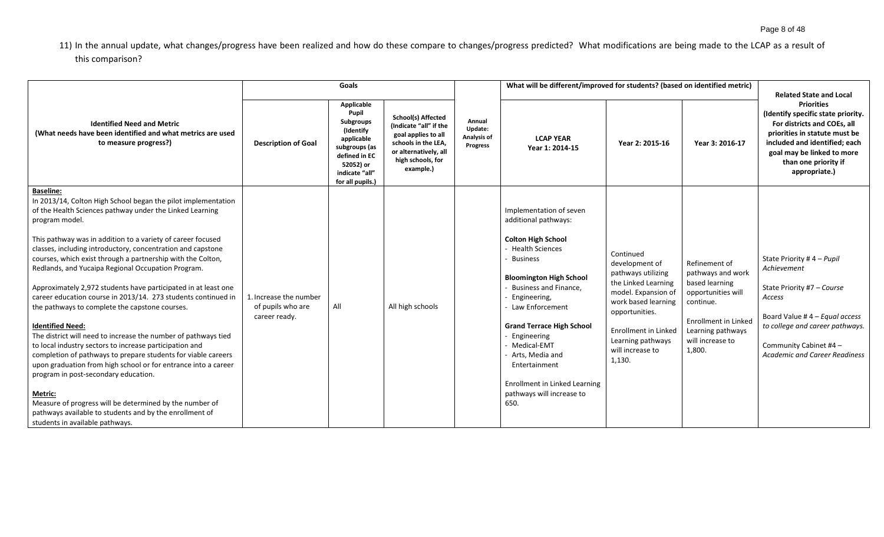11) In the annual update, what changes/progress have been realized and how do these compare to changes/progress predicted? What modifications are being made to the LCAP as a result of this comparison?

|                                                                                                                                                                                                                                                                                                                                                                                                                                                                                                                                                                                                                                                                                                                                                                                                                                                                                                                                                                                                                                                                                                                       |                                                              | Goals                                                                                                                                            |                                                                                                                                                              |                                              | What will be different/improved for students? (based on identified metric)                                                                                                                                                                                                                                                                                                                          |                                                                                                                                                                                                                            |                                                                                                                                                                    | <b>Related State and Local</b>                                                                                                                                                                                                  |
|-----------------------------------------------------------------------------------------------------------------------------------------------------------------------------------------------------------------------------------------------------------------------------------------------------------------------------------------------------------------------------------------------------------------------------------------------------------------------------------------------------------------------------------------------------------------------------------------------------------------------------------------------------------------------------------------------------------------------------------------------------------------------------------------------------------------------------------------------------------------------------------------------------------------------------------------------------------------------------------------------------------------------------------------------------------------------------------------------------------------------|--------------------------------------------------------------|--------------------------------------------------------------------------------------------------------------------------------------------------|--------------------------------------------------------------------------------------------------------------------------------------------------------------|----------------------------------------------|-----------------------------------------------------------------------------------------------------------------------------------------------------------------------------------------------------------------------------------------------------------------------------------------------------------------------------------------------------------------------------------------------------|----------------------------------------------------------------------------------------------------------------------------------------------------------------------------------------------------------------------------|--------------------------------------------------------------------------------------------------------------------------------------------------------------------|---------------------------------------------------------------------------------------------------------------------------------------------------------------------------------------------------------------------------------|
| <b>Identified Need and Metric</b><br>(What needs have been identified and what metrics are used<br>to measure progress?)                                                                                                                                                                                                                                                                                                                                                                                                                                                                                                                                                                                                                                                                                                                                                                                                                                                                                                                                                                                              | <b>Description of Goal</b>                                   | Applicable<br>Pupil<br>Subgroups<br>(Identify<br>applicable<br>subgroups (as<br>defined in EC<br>52052) or<br>indicate "all"<br>for all pupils.) | <b>School(s) Affected</b><br>(Indicate "all" if the<br>goal applies to all<br>schools in the LEA,<br>or alternatively, all<br>high schools, for<br>example.) | Annual<br>Update:<br>Analysis of<br>Progress | <b>LCAP YEAR</b><br>Year 1: 2014-15                                                                                                                                                                                                                                                                                                                                                                 | Year 2: 2015-16                                                                                                                                                                                                            | Year 3: 2016-17                                                                                                                                                    | <b>Priorities</b><br>(Identify specific state priority.<br>For districts and COEs, all<br>priorities in statute must be<br>included and identified; each<br>goal may be linked to more<br>than one priority if<br>appropriate.) |
| <b>Baseline:</b><br>In 2013/14, Colton High School began the pilot implementation<br>of the Health Sciences pathway under the Linked Learning<br>program model.<br>This pathway was in addition to a variety of career focused<br>classes, including introductory, concentration and capstone<br>courses, which exist through a partnership with the Colton,<br>Redlands, and Yucaipa Regional Occupation Program.<br>Approximately 2,972 students have participated in at least one<br>career education course in 2013/14. 273 students continued in<br>the pathways to complete the capstone courses.<br><b>Identified Need:</b><br>The district will need to increase the number of pathways tied<br>to local industry sectors to increase participation and<br>completion of pathways to prepare students for viable careers<br>upon graduation from high school or for entrance into a career<br>program in post-secondary education.<br><b>Metric:</b><br>Measure of progress will be determined by the number of<br>pathways available to students and by the enrollment of<br>students in available pathways. | 1. Increase the number<br>of pupils who are<br>career ready. | All                                                                                                                                              | All high schools                                                                                                                                             |                                              | Implementation of seven<br>additional pathways:<br><b>Colton High School</b><br><b>Health Sciences</b><br><b>Business</b><br><b>Bloomington High School</b><br>Business and Finance,<br>Engineering,<br>Law Enforcement<br><b>Grand Terrace High School</b><br>Engineering<br>Medical-EMT<br>Arts, Media and<br>Entertainment<br>Enrollment in Linked Learning<br>pathways will increase to<br>650. | Continued<br>development of<br>pathways utilizing<br>the Linked Learning<br>model. Expansion of<br>work based learning<br>opportunities.<br><b>Enrollment in Linked</b><br>Learning pathways<br>will increase to<br>1,130. | Refinement of<br>pathways and work<br>based learning<br>opportunities will<br>continue.<br>Enrollment in Linked<br>Learning pathways<br>will increase to<br>1,800. | State Priority # $4 - P$ upil<br>Achievement<br>State Priority #7 - Course<br>Access<br>Board Value #4 - Equal access<br>to college and career pathways.<br>Community Cabinet #4 -<br><b>Academic and Career Readiness</b>      |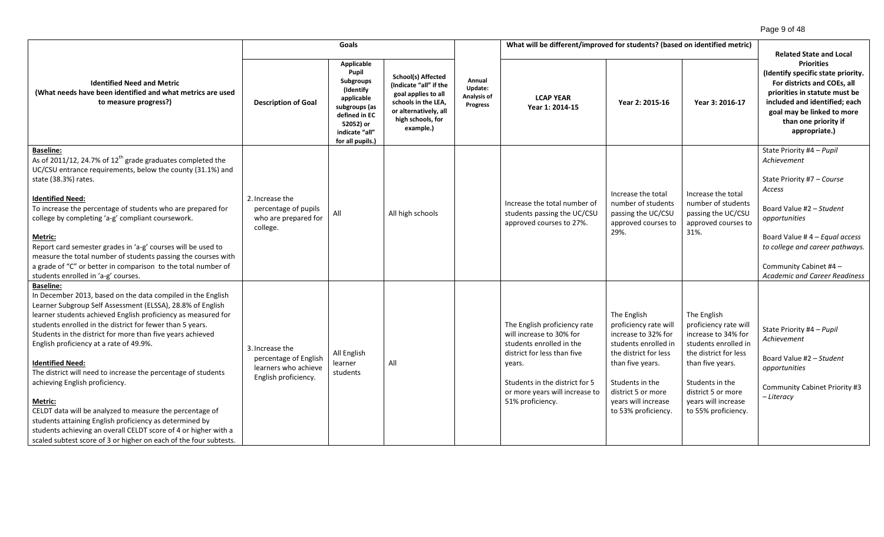|                                                                                                                                                                                                                                                                                                                                                                                                                                                                                                                                                                                                                                                                                                                                                                                              | Goals                                                                                    |                                                                                                                                                  |                                                                                                                                                              |                                              | What will be different/improved for students? (based on identified metric)                                                                                                                                            | <b>Related State and Local</b>                                                                                                                                                                                          |                                                                                                                                                                                                                         |                                                                                                                                                                                                                                                                        |
|----------------------------------------------------------------------------------------------------------------------------------------------------------------------------------------------------------------------------------------------------------------------------------------------------------------------------------------------------------------------------------------------------------------------------------------------------------------------------------------------------------------------------------------------------------------------------------------------------------------------------------------------------------------------------------------------------------------------------------------------------------------------------------------------|------------------------------------------------------------------------------------------|--------------------------------------------------------------------------------------------------------------------------------------------------|--------------------------------------------------------------------------------------------------------------------------------------------------------------|----------------------------------------------|-----------------------------------------------------------------------------------------------------------------------------------------------------------------------------------------------------------------------|-------------------------------------------------------------------------------------------------------------------------------------------------------------------------------------------------------------------------|-------------------------------------------------------------------------------------------------------------------------------------------------------------------------------------------------------------------------|------------------------------------------------------------------------------------------------------------------------------------------------------------------------------------------------------------------------------------------------------------------------|
| <b>Identified Need and Metric</b><br>(What needs have been identified and what metrics are used<br>to measure progress?)                                                                                                                                                                                                                                                                                                                                                                                                                                                                                                                                                                                                                                                                     | <b>Description of Goal</b>                                                               | Applicable<br>Pupil<br>Subgroups<br>(Identify<br>applicable<br>subgroups (as<br>defined in EC<br>52052) or<br>indicate "all"<br>for all pupils.) | <b>School(s) Affected</b><br>(Indicate "all" if the<br>goal applies to all<br>schools in the LEA.<br>or alternatively, all<br>high schools, for<br>example.) | Annual<br>Update:<br>Analysis of<br>Progress | <b>LCAP YEAR</b><br>Year 1: 2014-15                                                                                                                                                                                   | Year 2: 2015-16                                                                                                                                                                                                         | Year 3: 2016-17                                                                                                                                                                                                         | <b>Priorities</b><br>(Identify specific state priority.<br>For districts and COEs, all<br>priorities in statute must be<br>included and identified; each<br>goal may be linked to more<br>than one priority if<br>appropriate.)                                        |
| <b>Baseline:</b><br>As of 2011/12, 24.7% of 12 <sup>th</sup> grade graduates completed the<br>UC/CSU entrance requirements, below the county (31.1%) and<br>state (38.3%) rates.<br><b>Identified Need:</b><br>To increase the percentage of students who are prepared for<br>college by completing 'a-g' compliant coursework.<br>Metric:<br>Report card semester grades in 'a-g' courses will be used to<br>measure the total number of students passing the courses with<br>a grade of "C" or better in comparison to the total number of<br>students enrolled in 'a-g' courses.                                                                                                                                                                                                          | 2. Increase the<br>percentage of pupils<br>who are prepared for<br>college.              | All                                                                                                                                              | All high schools                                                                                                                                             |                                              | Increase the total number of<br>students passing the UC/CSU<br>approved courses to 27%.                                                                                                                               | Increase the total<br>number of students<br>passing the UC/CSU<br>approved courses to<br>29%.                                                                                                                           | Increase the total<br>number of students<br>passing the UC/CSU<br>approved courses to<br>31%.                                                                                                                           | State Priority #4 - Pupil<br>Achievement<br>State Priority #7 - Course<br>Access<br>Board Value #2 - Student<br>opportunities<br>Board Value # $4 -$ Equal access<br>to college and career pathways.<br>Community Cabinet #4 -<br><b>Academic and Career Readiness</b> |
| <b>Baseline:</b><br>In December 2013, based on the data compiled in the English<br>Learner Subgroup Self Assessment (ELSSA), 28.8% of English<br>learner students achieved English proficiency as measured for<br>students enrolled in the district for fewer than 5 years.<br>Students in the district for more than five years achieved<br>English proficiency at a rate of 49.9%.<br><b>Identified Need:</b><br>The district will need to increase the percentage of students<br>achieving English proficiency.<br>Metric:<br>CELDT data will be analyzed to measure the percentage of<br>students attaining English proficiency as determined by<br>students achieving an overall CELDT score of 4 or higher with a<br>scaled subtest score of 3 or higher on each of the four subtests. | 3. Increase the<br>percentage of English<br>learners who achieve<br>English proficiency. | All English<br>learner<br>students                                                                                                               | All                                                                                                                                                          |                                              | The English proficiency rate<br>will increase to 30% for<br>students enrolled in the<br>district for less than five<br>years.<br>Students in the district for 5<br>or more years will increase to<br>51% proficiency. | The English<br>proficiency rate will<br>increase to 32% for<br>students enrolled in<br>the district for less<br>than five years.<br>Students in the<br>district 5 or more<br>years will increase<br>to 53% proficiency. | The English<br>proficiency rate will<br>increase to 34% for<br>students enrolled in<br>the district for less<br>than five years.<br>Students in the<br>district 5 or more<br>years will increase<br>to 55% proficiency. | State Priority #4 - Pupil<br>Achievement<br>Board Value #2 - Student<br>opportunities<br>Community Cabinet Priority #3<br>- Literacy                                                                                                                                   |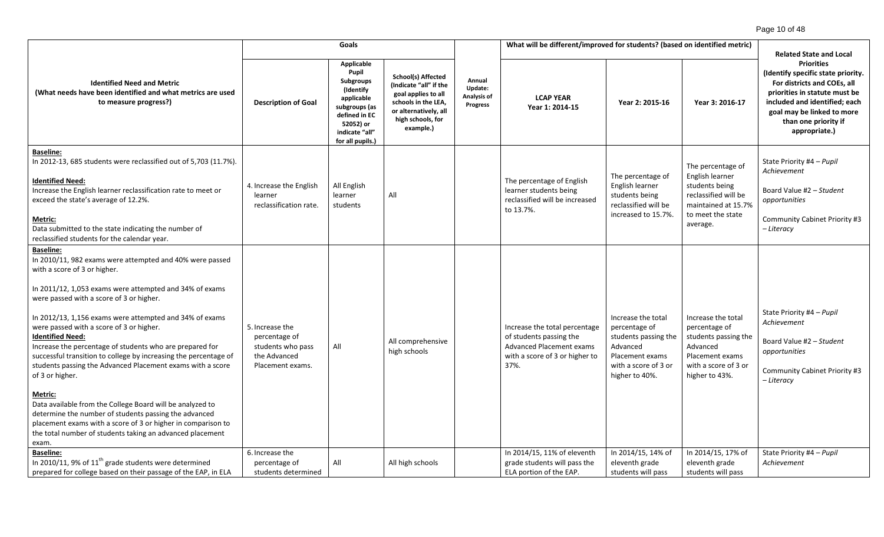|                                                                                                                                                                                                                                                                                                                                                                                                                                                                                                                                                                                                                                                                                                                                                                                                                                               | Goals                                                                                     |                                                                                                                                                  |                                                                                                                                                              |                                                     | What will be different/improved for students? (based on identified metric)                                                            |                                                                                                                                      |                                                                                                                                        |                                                                                                                                                                                                                                                                   |
|-----------------------------------------------------------------------------------------------------------------------------------------------------------------------------------------------------------------------------------------------------------------------------------------------------------------------------------------------------------------------------------------------------------------------------------------------------------------------------------------------------------------------------------------------------------------------------------------------------------------------------------------------------------------------------------------------------------------------------------------------------------------------------------------------------------------------------------------------|-------------------------------------------------------------------------------------------|--------------------------------------------------------------------------------------------------------------------------------------------------|--------------------------------------------------------------------------------------------------------------------------------------------------------------|-----------------------------------------------------|---------------------------------------------------------------------------------------------------------------------------------------|--------------------------------------------------------------------------------------------------------------------------------------|----------------------------------------------------------------------------------------------------------------------------------------|-------------------------------------------------------------------------------------------------------------------------------------------------------------------------------------------------------------------------------------------------------------------|
| <b>Identified Need and Metric</b><br>(What needs have been identified and what metrics are used<br>to measure progress?)                                                                                                                                                                                                                                                                                                                                                                                                                                                                                                                                                                                                                                                                                                                      | <b>Description of Goal</b>                                                                | Applicable<br>Pupil<br>Subgroups<br>(Identify<br>applicable<br>subgroups (as<br>defined in EC<br>52052) or<br>indicate "all"<br>for all pupils.) | <b>School(s) Affected</b><br>(Indicate "all" if the<br>goal applies to all<br>schools in the LEA,<br>or alternatively, all<br>high schools, for<br>example.) | Annual<br>Update:<br>Analysis of<br><b>Progress</b> | <b>LCAP YEAR</b><br>Year 1: 2014-15                                                                                                   | Year 2: 2015-16                                                                                                                      | Year 3: 2016-17                                                                                                                        | <b>Related State and Local</b><br><b>Priorities</b><br>(Identify specific state priority.<br>For districts and COEs, all<br>priorities in statute must be<br>included and identified; each<br>goal may be linked to more<br>than one priority if<br>appropriate.) |
| <b>Baseline:</b><br>In 2012-13, 685 students were reclassified out of 5,703 (11.7%).<br><b>Identified Need:</b><br>Increase the English learner reclassification rate to meet or<br>exceed the state's average of 12.2%.<br>Metric:<br>Data submitted to the state indicating the number of<br>reclassified students for the calendar year.                                                                                                                                                                                                                                                                                                                                                                                                                                                                                                   | 4. Increase the English<br>learner<br>reclassification rate.                              | All English<br>learner<br>students                                                                                                               | All                                                                                                                                                          |                                                     | The percentage of English<br>learner students being<br>reclassified will be increased<br>to 13.7%.                                    | The percentage of<br>English learner<br>students being<br>reclassified will be<br>increased to 15.7%.                                | The percentage of<br>English learner<br>students being<br>reclassified will be<br>maintained at 15.7%<br>to meet the state<br>average. | State Priority #4 - Pupil<br>Achievement<br>Board Value #2 - Student<br>opportunities<br>Community Cabinet Priority #3<br>- Literacy                                                                                                                              |
| <b>Baseline:</b><br>In 2010/11, 982 exams were attempted and 40% were passed<br>with a score of 3 or higher.<br>In 2011/12, 1,053 exams were attempted and 34% of exams<br>were passed with a score of 3 or higher.<br>In 2012/13, 1,156 exams were attempted and 34% of exams<br>were passed with a score of 3 or higher.<br><b>Identified Need:</b><br>Increase the percentage of students who are prepared for<br>successful transition to college by increasing the percentage of<br>students passing the Advanced Placement exams with a score<br>of 3 or higher.<br>Metric:<br>Data available from the College Board will be analyzed to<br>determine the number of students passing the advanced<br>placement exams with a score of 3 or higher in comparison to<br>the total number of students taking an advanced placement<br>exam. | 5. Increase the<br>percentage of<br>students who pass<br>the Advanced<br>Placement exams. | All                                                                                                                                              | All comprehensive<br>high schools                                                                                                                            |                                                     | Increase the total percentage<br>of students passing the<br><b>Advanced Placement exams</b><br>with a score of 3 or higher to<br>37%. | Increase the total<br>percentage of<br>students passing the<br>Advanced<br>Placement exams<br>with a score of 3 or<br>higher to 40%. | Increase the total<br>percentage of<br>students passing the<br>Advanced<br>Placement exams<br>with a score of 3 or<br>higher to 43%.   | State Priority #4 - Pupil<br>Achievement<br>Board Value #2 - Student<br>opportunities<br>Community Cabinet Priority #3<br>- Literacy                                                                                                                              |
| <b>Baseline:</b><br>In 2010/11, 9% of $11th$ grade students were determined<br>prepared for college based on their passage of the EAP, in ELA                                                                                                                                                                                                                                                                                                                                                                                                                                                                                                                                                                                                                                                                                                 | 6. Increase the<br>percentage of<br>students determined                                   | All                                                                                                                                              | All high schools                                                                                                                                             |                                                     | In 2014/15, 11% of eleventh<br>grade students will pass the<br>ELA portion of the EAP.                                                | In 2014/15, 14% of<br>eleventh grade<br>students will pass                                                                           | In 2014/15, 17% of<br>eleventh grade<br>students will pass                                                                             | State Priority #4 - Pupil<br>Achievement                                                                                                                                                                                                                          |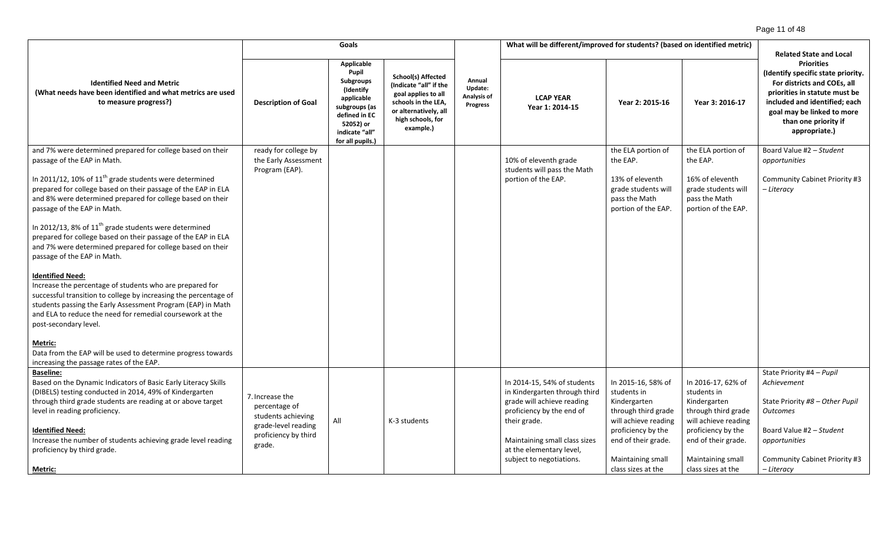#### Page 11 of 48

| Goals                                                                                                                                                                                                                                                                                                                                                                                                                                                                                                                                                                                                                                                                                                                                                                                                                                         |                                                                                                                 |                                                                                                                                                         |                                                                                                                                                              | What will be different/improved for students? (based on identified metric) |                                                                                                                                                                                                                                  |                                                                                                                                                                                          |                                                                                                                                                                                          |                                                                                                                                                                                                                                                                   |
|-----------------------------------------------------------------------------------------------------------------------------------------------------------------------------------------------------------------------------------------------------------------------------------------------------------------------------------------------------------------------------------------------------------------------------------------------------------------------------------------------------------------------------------------------------------------------------------------------------------------------------------------------------------------------------------------------------------------------------------------------------------------------------------------------------------------------------------------------|-----------------------------------------------------------------------------------------------------------------|---------------------------------------------------------------------------------------------------------------------------------------------------------|--------------------------------------------------------------------------------------------------------------------------------------------------------------|----------------------------------------------------------------------------|----------------------------------------------------------------------------------------------------------------------------------------------------------------------------------------------------------------------------------|------------------------------------------------------------------------------------------------------------------------------------------------------------------------------------------|------------------------------------------------------------------------------------------------------------------------------------------------------------------------------------------|-------------------------------------------------------------------------------------------------------------------------------------------------------------------------------------------------------------------------------------------------------------------|
| <b>Identified Need and Metric</b><br>(What needs have been identified and what metrics are used<br>to measure progress?)                                                                                                                                                                                                                                                                                                                                                                                                                                                                                                                                                                                                                                                                                                                      | <b>Description of Goal</b>                                                                                      | Applicable<br>Pupil<br><b>Subgroups</b><br>(Identify<br>applicable<br>subgroups (as<br>defined in EC<br>52052) or<br>indicate "all"<br>for all pupils.) | <b>School(s) Affected</b><br>(Indicate "all" if the<br>goal applies to all<br>schools in the LEA,<br>or alternatively, all<br>high schools, for<br>example.) | Annual<br>Update:<br>Analysis of<br><b>Progress</b>                        | <b>LCAP YEAR</b><br>Year 1: 2014-15                                                                                                                                                                                              | Year 2: 2015-16                                                                                                                                                                          | Year 3: 2016-17                                                                                                                                                                          | <b>Related State and Local</b><br><b>Priorities</b><br>(Identify specific state priority.<br>For districts and COEs, all<br>priorities in statute must be<br>included and identified; each<br>goal may be linked to more<br>than one priority if<br>appropriate.) |
| and 7% were determined prepared for college based on their<br>passage of the EAP in Math.<br>In 2011/12, 10% of 11 <sup>th</sup> grade students were determined<br>prepared for college based on their passage of the EAP in ELA<br>and 8% were determined prepared for college based on their<br>passage of the EAP in Math.<br>In 2012/13, 8% of $11th$ grade students were determined<br>prepared for college based on their passage of the EAP in ELA<br>and 7% were determined prepared for college based on their<br>passage of the EAP in Math.<br><b>Identified Need:</b><br>Increase the percentage of students who are prepared for<br>successful transition to college by increasing the percentage of<br>students passing the Early Assessment Program (EAP) in Math<br>and ELA to reduce the need for remedial coursework at the | ready for college by<br>the Early Assessment<br>Program (EAP).                                                  |                                                                                                                                                         |                                                                                                                                                              |                                                                            | 10% of eleventh grade<br>students will pass the Math<br>portion of the EAP.                                                                                                                                                      | the ELA portion of<br>the EAP.<br>13% of eleventh<br>grade students will<br>pass the Math<br>portion of the EAP.                                                                         | the ELA portion of<br>the EAP.<br>16% of eleventh<br>grade students will<br>pass the Math<br>portion of the EAP.                                                                         | Board Value #2 - Student<br>opportunities<br>Community Cabinet Priority #3<br>– Literacy                                                                                                                                                                          |
| post-secondary level.<br>Metric:<br>Data from the EAP will be used to determine progress towards<br>increasing the passage rates of the EAP.<br><b>Baseline:</b><br>Based on the Dynamic Indicators of Basic Early Literacy Skills<br>(DIBELS) testing conducted in 2014, 49% of Kindergarten<br>through third grade students are reading at or above target<br>level in reading proficiency.<br><b>Identified Need:</b><br>Increase the number of students achieving grade level reading<br>proficiency by third grade.<br>Metric:                                                                                                                                                                                                                                                                                                           | 7. Increase the<br>percentage of<br>students achieving<br>grade-level reading<br>proficiency by third<br>grade. | All                                                                                                                                                     | K-3 students                                                                                                                                                 |                                                                            | In 2014-15, 54% of students<br>in Kindergarten through third<br>grade will achieve reading<br>proficiency by the end of<br>their grade.<br>Maintaining small class sizes<br>at the elementary level,<br>subject to negotiations. | In 2015-16, 58% of<br>students in<br>Kindergarten<br>through third grade<br>will achieve reading<br>proficiency by the<br>end of their grade.<br>Maintaining small<br>class sizes at the | In 2016-17, 62% of<br>students in<br>Kindergarten<br>through third grade<br>will achieve reading<br>proficiency by the<br>end of their grade.<br>Maintaining small<br>class sizes at the | State Priority #4 - Pupil<br>Achievement<br>State Priority #8 - Other Pupil<br><b>Outcomes</b><br>Board Value #2 - Student<br>opportunities<br>Community Cabinet Priority #3<br>– Literacy                                                                        |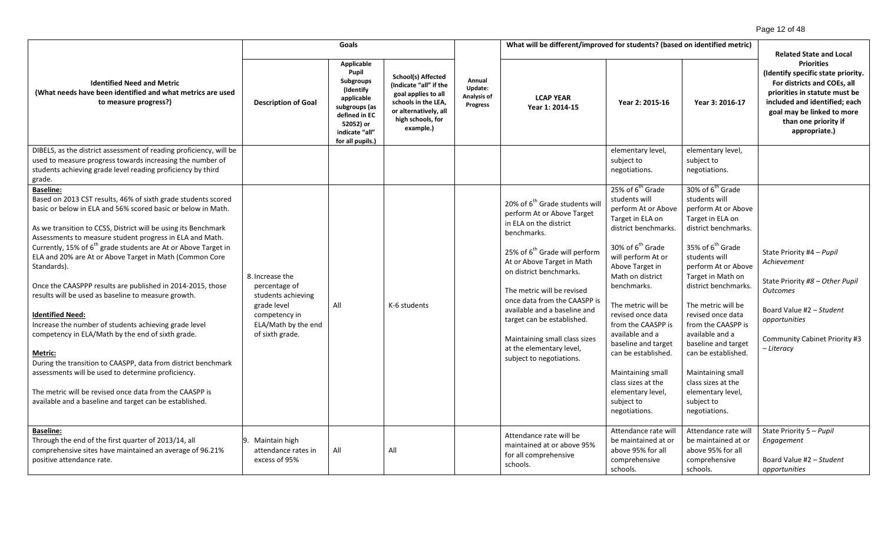|                                                                                                                                                                                                                                                                                                                                                                                                                                                                                                                                                                                                                                                                                                                                                                                                                                                                                                                                                                                |                                                                                                                                  | Goals                                                                                                                                            |                                                                                                                                                              |                                              | What will be different/improved for students? (based on identified metric)                                                                                                                                                                                                                                                                                                                                                                   |                                                                                                                                                                                                                                                                                                                                                                                                                                                               |                                                                                                                                                                                                                                                                                                                                                                                                                                                                               | <b>Related State and Local</b>                                                                                                                                                                                                  |
|--------------------------------------------------------------------------------------------------------------------------------------------------------------------------------------------------------------------------------------------------------------------------------------------------------------------------------------------------------------------------------------------------------------------------------------------------------------------------------------------------------------------------------------------------------------------------------------------------------------------------------------------------------------------------------------------------------------------------------------------------------------------------------------------------------------------------------------------------------------------------------------------------------------------------------------------------------------------------------|----------------------------------------------------------------------------------------------------------------------------------|--------------------------------------------------------------------------------------------------------------------------------------------------|--------------------------------------------------------------------------------------------------------------------------------------------------------------|----------------------------------------------|----------------------------------------------------------------------------------------------------------------------------------------------------------------------------------------------------------------------------------------------------------------------------------------------------------------------------------------------------------------------------------------------------------------------------------------------|---------------------------------------------------------------------------------------------------------------------------------------------------------------------------------------------------------------------------------------------------------------------------------------------------------------------------------------------------------------------------------------------------------------------------------------------------------------|-------------------------------------------------------------------------------------------------------------------------------------------------------------------------------------------------------------------------------------------------------------------------------------------------------------------------------------------------------------------------------------------------------------------------------------------------------------------------------|---------------------------------------------------------------------------------------------------------------------------------------------------------------------------------------------------------------------------------|
| <b>Identified Need and Metric</b><br>(What needs have been identified and what metrics are used<br>to measure progress?)                                                                                                                                                                                                                                                                                                                                                                                                                                                                                                                                                                                                                                                                                                                                                                                                                                                       | <b>Description of Goal</b>                                                                                                       | Applicable<br>Pupil<br>Subgroups<br>(Identify<br>applicable<br>subgroups (as<br>defined in EC<br>52052) or<br>indicate "all"<br>for all pupils.) | <b>School(s) Affected</b><br>(Indicate "all" if the<br>goal applies to all<br>schools in the LEA,<br>or alternatively, all<br>high schools, for<br>example.) | Annual<br>Update:<br>Analysis of<br>Progress | <b>LCAP YEAR</b><br>Year 1: 2014-15                                                                                                                                                                                                                                                                                                                                                                                                          | Year 2: 2015-16                                                                                                                                                                                                                                                                                                                                                                                                                                               | Year 3: 2016-17                                                                                                                                                                                                                                                                                                                                                                                                                                                               | <b>Priorities</b><br>(Identify specific state priority.<br>For districts and COEs, all<br>priorities in statute must be<br>included and identified; each<br>goal may be linked to more<br>than one priority if<br>appropriate.) |
| DIBELS, as the district assessment of reading proficiency, will be                                                                                                                                                                                                                                                                                                                                                                                                                                                                                                                                                                                                                                                                                                                                                                                                                                                                                                             |                                                                                                                                  |                                                                                                                                                  |                                                                                                                                                              |                                              |                                                                                                                                                                                                                                                                                                                                                                                                                                              | elementary level,                                                                                                                                                                                                                                                                                                                                                                                                                                             | elementary level,                                                                                                                                                                                                                                                                                                                                                                                                                                                             |                                                                                                                                                                                                                                 |
| used to measure progress towards increasing the number of                                                                                                                                                                                                                                                                                                                                                                                                                                                                                                                                                                                                                                                                                                                                                                                                                                                                                                                      |                                                                                                                                  |                                                                                                                                                  |                                                                                                                                                              |                                              |                                                                                                                                                                                                                                                                                                                                                                                                                                              | subject to                                                                                                                                                                                                                                                                                                                                                                                                                                                    | subject to                                                                                                                                                                                                                                                                                                                                                                                                                                                                    |                                                                                                                                                                                                                                 |
| students achieving grade level reading proficiency by third                                                                                                                                                                                                                                                                                                                                                                                                                                                                                                                                                                                                                                                                                                                                                                                                                                                                                                                    |                                                                                                                                  |                                                                                                                                                  |                                                                                                                                                              |                                              |                                                                                                                                                                                                                                                                                                                                                                                                                                              | negotiations.                                                                                                                                                                                                                                                                                                                                                                                                                                                 | negotiations.                                                                                                                                                                                                                                                                                                                                                                                                                                                                 |                                                                                                                                                                                                                                 |
| grade.<br><b>Baseline:</b><br>Based on 2013 CST results, 46% of sixth grade students scored<br>basic or below in ELA and 56% scored basic or below in Math.<br>As we transition to CCSS, District will be using its Benchmark<br>Assessments to measure student progress in ELA and Math.<br>Currently, 15% of 6 <sup>th</sup> grade students are At or Above Target in<br>ELA and 20% are At or Above Target in Math (Common Core<br>Standards).<br>Once the CAASPPP results are published in 2014-2015, those<br>results will be used as baseline to measure growth.<br><b>Identified Need:</b><br>Increase the number of students achieving grade level<br>competency in ELA/Math by the end of sixth grade.<br><b>Metric:</b><br>During the transition to CAASPP, data from district benchmark<br>assessments will be used to determine proficiency.<br>The metric will be revised once data from the CAASPP is<br>available and a baseline and target can be established. | 8. Increase the<br>percentage of<br>students achieving<br>grade level<br>competency in<br>ELA/Math by the end<br>of sixth grade. | All                                                                                                                                              | K-6 students                                                                                                                                                 |                                              | 20% of 6 <sup>th</sup> Grade students will<br>perform At or Above Target<br>in ELA on the district<br>benchmarks.<br>25% of 6 <sup>th</sup> Grade will perform<br>At or Above Target in Math<br>on district benchmarks.<br>The metric will be revised<br>once data from the CAASPP is<br>available and a baseline and<br>target can be established.<br>Maintaining small class sizes<br>at the elementary level,<br>subject to negotiations. | 25% of 6 <sup>th</sup> Grade<br>students will<br>perform At or Above<br>Target in ELA on<br>district benchmarks.<br>30% of 6 <sup>th</sup> Grade<br>will perform At or<br>Above Target in<br>Math on district<br>benchmarks.<br>The metric will be<br>revised once data<br>from the CAASPP is<br>available and a<br>baseline and target<br>can be established.<br>Maintaining small<br>class sizes at the<br>elementary level,<br>subject to<br>negotiations. | 30% of 6 <sup>th</sup> Grade<br>students will<br>perform At or Above<br>Target in ELA on<br>district benchmarks.<br>35% of 6 <sup>th</sup> Grade<br>students will<br>perform At or Above<br>Target in Math on<br>district benchmarks.<br>The metric will be<br>revised once data<br>from the CAASPP is<br>available and a<br>baseline and target<br>can be established.<br><b>Maintaining small</b><br>class sizes at the<br>elementary level,<br>subject to<br>negotiations. | State Priority #4 - Pupil<br>Achievement<br>State Priority #8 - Other Pupil<br><b>Outcomes</b><br>Board Value #2 - Student<br>opportunities<br>Community Cabinet Priority #3<br>- Literacy                                      |
| <b>Baseline:</b><br>Through the end of the first quarter of 2013/14, all<br>comprehensive sites have maintained an average of 96.21%<br>positive attendance rate.                                                                                                                                                                                                                                                                                                                                                                                                                                                                                                                                                                                                                                                                                                                                                                                                              | 9. Maintain high<br>attendance rates in<br>excess of 95%                                                                         | All                                                                                                                                              | All                                                                                                                                                          |                                              | Attendance rate will be<br>maintained at or above 95%<br>for all comprehensive<br>schools.                                                                                                                                                                                                                                                                                                                                                   | Attendance rate will<br>be maintained at or<br>above 95% for all<br>comprehensive<br>schools.                                                                                                                                                                                                                                                                                                                                                                 | Attendance rate will<br>be maintained at or<br>above 95% for all<br>comprehensive<br>schools.                                                                                                                                                                                                                                                                                                                                                                                 | State Priority 5 - Pupil<br>Engagement<br>Board Value #2 - Student<br>opportunities                                                                                                                                             |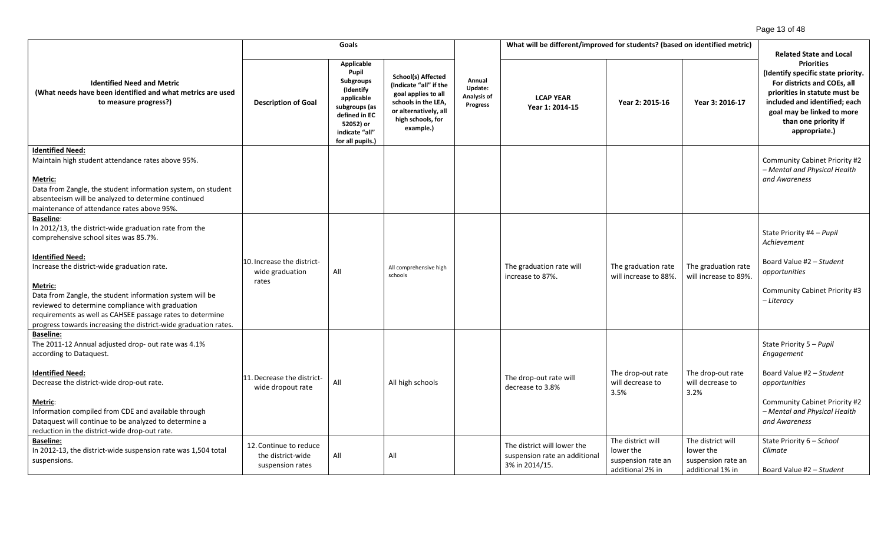|                                                                                                                                                                                                                                                                                                                                                                                                                                                          | Goals                                                           |                                                                                                                                                                |                                                                                                                                                              |                                              | What will be different/improved for students? (based on identified metric) |                                                                    |                                                                    | <b>Related State and Local</b>                                                                                                                                                                                                  |
|----------------------------------------------------------------------------------------------------------------------------------------------------------------------------------------------------------------------------------------------------------------------------------------------------------------------------------------------------------------------------------------------------------------------------------------------------------|-----------------------------------------------------------------|----------------------------------------------------------------------------------------------------------------------------------------------------------------|--------------------------------------------------------------------------------------------------------------------------------------------------------------|----------------------------------------------|----------------------------------------------------------------------------|--------------------------------------------------------------------|--------------------------------------------------------------------|---------------------------------------------------------------------------------------------------------------------------------------------------------------------------------------------------------------------------------|
| <b>Identified Need and Metric</b><br>(What needs have been identified and what metrics are used<br>to measure progress?)                                                                                                                                                                                                                                                                                                                                 | <b>Description of Goal</b>                                      | <b>Applicable</b><br>Pupil<br><b>Subgroups</b><br>(Identify<br>applicable<br>subgroups (as<br>defined in EC<br>52052) or<br>indicate "all"<br>for all pupils.) | <b>School(s) Affected</b><br>(Indicate "all" if the<br>goal applies to all<br>schools in the LEA,<br>or alternatively, all<br>high schools, for<br>example.) | Annual<br>Update:<br>Analysis of<br>Progress | <b>LCAP YEAR</b><br>Year 1: 2014-15                                        | Year 2: 2015-16                                                    | Year 3: 2016-17                                                    | <b>Priorities</b><br>(Identify specific state priority.<br>For districts and COEs, all<br>priorities in statute must be<br>included and identified; each<br>goal may be linked to more<br>than one priority if<br>appropriate.) |
| <b>Identified Need:</b><br>Maintain high student attendance rates above 95%.<br><u>Metric:</u><br>Data from Zangle, the student information system, on student<br>absenteeism will be analyzed to determine continued<br>maintenance of attendance rates above 95%.                                                                                                                                                                                      |                                                                 |                                                                                                                                                                |                                                                                                                                                              |                                              |                                                                            |                                                                    |                                                                    | Community Cabinet Priority #2<br>- Mental and Physical Health<br>and Awareness                                                                                                                                                  |
| <b>Baseline:</b><br>In 2012/13, the district-wide graduation rate from the<br>comprehensive school sites was 85.7%.<br><b>Identified Need:</b><br>Increase the district-wide graduation rate.<br>Metric:<br>Data from Zangle, the student information system will be<br>reviewed to determine compliance with graduation<br>requirements as well as CAHSEE passage rates to determine<br>progress towards increasing the district-wide graduation rates. | 10. Increase the district-<br>wide graduation<br>rates          | All                                                                                                                                                            | All comprehensive high<br>schools                                                                                                                            |                                              | The graduation rate will<br>increase to 87%.                               | The graduation rate<br>will increase to 88%.                       | The graduation rate<br>will increase to 89%.                       | State Priority #4 - Pupil<br>Achievement<br>Board Value #2 - Student<br>opportunities<br>Community Cabinet Priority #3<br>– Literacy                                                                                            |
| <b>Baseline:</b><br>The 2011-12 Annual adjusted drop- out rate was 4.1%<br>according to Dataquest.<br><b>Identified Need:</b><br>Decrease the district-wide drop-out rate.<br>Metric:<br>Information compiled from CDE and available through<br>Dataquest will continue to be analyzed to determine a<br>reduction in the district-wide drop-out rate.<br><b>Baseline:</b>                                                                               | 11. Decrease the district-<br>wide dropout rate                 | All                                                                                                                                                            | All high schools                                                                                                                                             |                                              | The drop-out rate will<br>decrease to 3.8%<br>The district will lower the  | The drop-out rate<br>will decrease to<br>3.5%<br>The district will | The drop-out rate<br>will decrease to<br>3.2%<br>The district will | State Priority 5 - Pupil<br>Engagement<br>Board Value #2 - Student<br>opportunities<br>Community Cabinet Priority #2<br>- Mental and Physical Health<br>and Awareness<br>State Priority 6 - School                              |
| In 2012-13, the district-wide suspension rate was 1,504 total<br>suspensions.                                                                                                                                                                                                                                                                                                                                                                            | 12. Continue to reduce<br>the district-wide<br>suspension rates | All                                                                                                                                                            | All                                                                                                                                                          |                                              | suspension rate an additional<br>3% in 2014/15.                            | lower the<br>suspension rate an<br>additional 2% in                | lower the<br>suspension rate an<br>additional 1% in                | Climate<br>Board Value #2 - Student                                                                                                                                                                                             |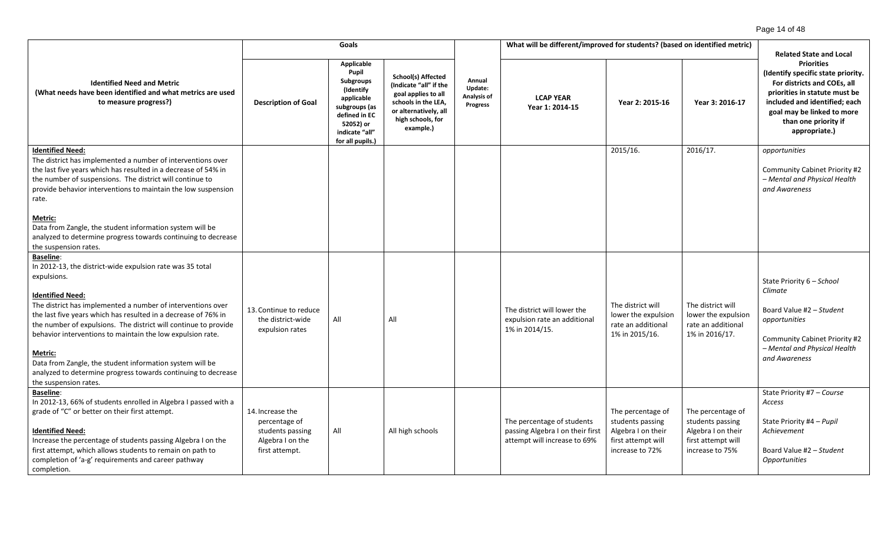|                                                                                                                                                                                                                                                                                                                                                                                                                                                                                                                                                            | Goals                                                                                       |                                                                                                                                                                |                                                                                                                                                       | What will be different/improved for students? (based on identified metric) |                                                                                                |                                                                                                      |                                                                                                      | <b>Related State and Local</b>                                                                                                                                                                                                  |
|------------------------------------------------------------------------------------------------------------------------------------------------------------------------------------------------------------------------------------------------------------------------------------------------------------------------------------------------------------------------------------------------------------------------------------------------------------------------------------------------------------------------------------------------------------|---------------------------------------------------------------------------------------------|----------------------------------------------------------------------------------------------------------------------------------------------------------------|-------------------------------------------------------------------------------------------------------------------------------------------------------|----------------------------------------------------------------------------|------------------------------------------------------------------------------------------------|------------------------------------------------------------------------------------------------------|------------------------------------------------------------------------------------------------------|---------------------------------------------------------------------------------------------------------------------------------------------------------------------------------------------------------------------------------|
| <b>Identified Need and Metric</b><br>(What needs have been identified and what metrics are used<br>to measure progress?)                                                                                                                                                                                                                                                                                                                                                                                                                                   | <b>Description of Goal</b>                                                                  | <b>Applicable</b><br>Pupil<br><b>Subgroups</b><br>(Identify<br>applicable<br>subgroups (as<br>defined in EC<br>52052) or<br>indicate "all"<br>for all pupils.) | School(s) Affected<br>(Indicate "all" if the<br>goal applies to all<br>schools in the LEA,<br>or alternatively, all<br>high schools, for<br>example.) | Annual<br>Update:<br>Analysis of<br><b>Progress</b>                        | <b>LCAP YEAR</b><br>Year 1: 2014-15                                                            | Year 2: 2015-16                                                                                      | Year 3: 2016-17                                                                                      | <b>Priorities</b><br>(Identify specific state priority.<br>For districts and COEs, all<br>priorities in statute must be<br>included and identified; each<br>goal may be linked to more<br>than one priority if<br>appropriate.) |
| <b>Identified Need:</b><br>The district has implemented a number of interventions over<br>the last five years which has resulted in a decrease of 54% in<br>the number of suspensions. The district will continue to<br>provide behavior interventions to maintain the low suspension<br>rate.                                                                                                                                                                                                                                                             |                                                                                             |                                                                                                                                                                |                                                                                                                                                       |                                                                            |                                                                                                | 2015/16.                                                                                             | 2016/17.                                                                                             | opportunities<br>Community Cabinet Priority #2<br>- Mental and Physical Health<br>and Awareness                                                                                                                                 |
| Metric:<br>Data from Zangle, the student information system will be<br>analyzed to determine progress towards continuing to decrease<br>the suspension rates.                                                                                                                                                                                                                                                                                                                                                                                              |                                                                                             |                                                                                                                                                                |                                                                                                                                                       |                                                                            |                                                                                                |                                                                                                      |                                                                                                      |                                                                                                                                                                                                                                 |
| <b>Baseline:</b><br>In 2012-13, the district-wide expulsion rate was 35 total<br>expulsions.<br><b>Identified Need:</b><br>The district has implemented a number of interventions over<br>the last five years which has resulted in a decrease of 76% in<br>the number of expulsions. The district will continue to provide<br>behavior interventions to maintain the low expulsion rate.<br>Metric:<br>Data from Zangle, the student information system will be<br>analyzed to determine progress towards continuing to decrease<br>the suspension rates. | 13. Continue to reduce<br>the district-wide<br>expulsion rates                              | All                                                                                                                                                            | All                                                                                                                                                   |                                                                            | The district will lower the<br>expulsion rate an additional<br>1% in 2014/15.                  | The district will<br>lower the expulsion<br>rate an additional<br>1% in 2015/16.                     | The district will<br>lower the expulsion<br>rate an additional<br>1% in 2016/17.                     | State Priority 6 - School<br>Climate<br>Board Value #2 - Student<br>opportunities<br><b>Community Cabinet Priority #2</b><br>- Mental and Physical Health<br>and Awareness                                                      |
| <b>Baseline:</b><br>In 2012-13, 66% of students enrolled in Algebra I passed with a<br>grade of "C" or better on their first attempt.<br><b>Identified Need:</b><br>Increase the percentage of students passing Algebra I on the<br>first attempt, which allows students to remain on path to<br>completion of 'a-g' requirements and career pathway<br>completion.                                                                                                                                                                                        | 14. Increase the<br>percentage of<br>students passing<br>Algebra I on the<br>first attempt. | All                                                                                                                                                            | All high schools                                                                                                                                      |                                                                            | The percentage of students<br>passing Algebra I on their first<br>attempt will increase to 69% | The percentage of<br>students passing<br>Algebra I on their<br>first attempt will<br>increase to 72% | The percentage of<br>students passing<br>Algebra I on their<br>first attempt will<br>increase to 75% | State Priority #7 - Course<br>Access<br>State Priority #4 - Pupil<br>Achievement<br>Board Value #2 - Student<br>Opportunities                                                                                                   |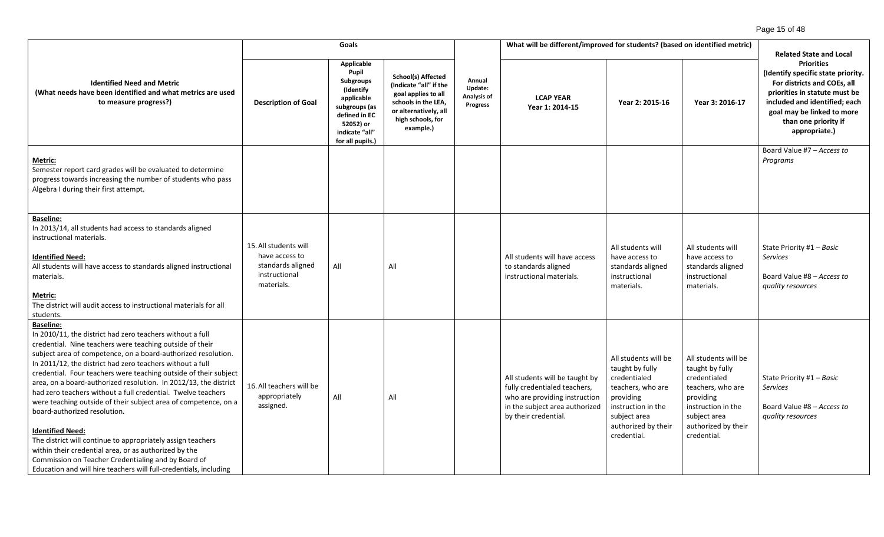|                                                                                                                                                                                                                                                                                                                                                                                                                                                                                                                                                                                                                                                                                                                                                                                                                                                                   |                                                                                             | Goals                                                                                                                                                          |                                                                                                                                                              |                                                     | What will be different/improved for students? (based on identified metric)                                                                                |                                                                                                                                                                       |                                                                                                                                                                       | <b>Related State and Local</b>                                                                                                                                                                                                  |
|-------------------------------------------------------------------------------------------------------------------------------------------------------------------------------------------------------------------------------------------------------------------------------------------------------------------------------------------------------------------------------------------------------------------------------------------------------------------------------------------------------------------------------------------------------------------------------------------------------------------------------------------------------------------------------------------------------------------------------------------------------------------------------------------------------------------------------------------------------------------|---------------------------------------------------------------------------------------------|----------------------------------------------------------------------------------------------------------------------------------------------------------------|--------------------------------------------------------------------------------------------------------------------------------------------------------------|-----------------------------------------------------|-----------------------------------------------------------------------------------------------------------------------------------------------------------|-----------------------------------------------------------------------------------------------------------------------------------------------------------------------|-----------------------------------------------------------------------------------------------------------------------------------------------------------------------|---------------------------------------------------------------------------------------------------------------------------------------------------------------------------------------------------------------------------------|
| <b>Identified Need and Metric</b><br>(What needs have been identified and what metrics are used<br>to measure progress?)                                                                                                                                                                                                                                                                                                                                                                                                                                                                                                                                                                                                                                                                                                                                          | <b>Description of Goal</b>                                                                  | <b>Applicable</b><br>Pupil<br><b>Subgroups</b><br>(Identify<br>applicable<br>subgroups (as<br>defined in EC<br>52052) or<br>indicate "all"<br>for all pupils.) | <b>School(s) Affected</b><br>(Indicate "all" if the<br>goal applies to all<br>schools in the LEA,<br>or alternatively, all<br>high schools, for<br>example.) | Annual<br>Update:<br>Analysis of<br><b>Progress</b> | <b>LCAP YEAR</b><br>Year 1: 2014-15                                                                                                                       | Year 2: 2015-16                                                                                                                                                       | Year 3: 2016-17                                                                                                                                                       | <b>Priorities</b><br>(Identify specific state priority.<br>For districts and COEs, all<br>priorities in statute must be<br>included and identified; each<br>goal may be linked to more<br>than one priority if<br>appropriate.) |
| Metric:<br>Semester report card grades will be evaluated to determine<br>progress towards increasing the number of students who pass<br>Algebra I during their first attempt.                                                                                                                                                                                                                                                                                                                                                                                                                                                                                                                                                                                                                                                                                     |                                                                                             |                                                                                                                                                                |                                                                                                                                                              |                                                     |                                                                                                                                                           |                                                                                                                                                                       |                                                                                                                                                                       | Board Value #7 - Access to<br>Programs                                                                                                                                                                                          |
| <b>Baseline:</b><br>In 2013/14, all students had access to standards aligned<br>instructional materials.<br><b>Identified Need:</b><br>All students will have access to standards aligned instructional<br>materials.<br><b>Metric:</b><br>The district will audit access to instructional materials for all<br>students.                                                                                                                                                                                                                                                                                                                                                                                                                                                                                                                                         | 15. All students will<br>have access to<br>standards aligned<br>instructional<br>materials. | All                                                                                                                                                            | All                                                                                                                                                          |                                                     | All students will have access<br>to standards aligned<br>instructional materials.                                                                         | All students will<br>have access to<br>standards aligned<br>instructional<br>materials.                                                                               | All students will<br>have access to<br>standards aligned<br>instructional<br>materials.                                                                               | State Priority #1 - Basic<br><b>Services</b><br>Board Value #8 - Access to<br>quality resources                                                                                                                                 |
| <b>Baseline:</b><br>In 2010/11, the district had zero teachers without a full<br>credential. Nine teachers were teaching outside of their<br>subject area of competence, on a board-authorized resolution.<br>In 2011/12, the district had zero teachers without a full<br>credential. Four teachers were teaching outside of their subject<br>area, on a board-authorized resolution. In 2012/13, the district<br>had zero teachers without a full credential. Twelve teachers<br>were teaching outside of their subject area of competence, on a<br>board-authorized resolution.<br><b>Identified Need:</b><br>The district will continue to appropriately assign teachers<br>within their credential area, or as authorized by the<br>Commission on Teacher Credentialing and by Board of<br>Education and will hire teachers will full-credentials, including | 16. All teachers will be<br>appropriately<br>assigned.                                      | All                                                                                                                                                            | All                                                                                                                                                          |                                                     | All students will be taught by<br>fully credentialed teachers,<br>who are providing instruction<br>in the subject area authorized<br>by their credential. | All students will be<br>taught by fully<br>credentialed<br>teachers, who are<br>providing<br>instruction in the<br>subject area<br>authorized by their<br>credential. | All students will be<br>taught by fully<br>credentialed<br>teachers, who are<br>providing<br>instruction in the<br>subject area<br>authorized by their<br>credential. | State Priority #1 - Basic<br><b>Services</b><br>Board Value #8 - Access to<br>quality resources                                                                                                                                 |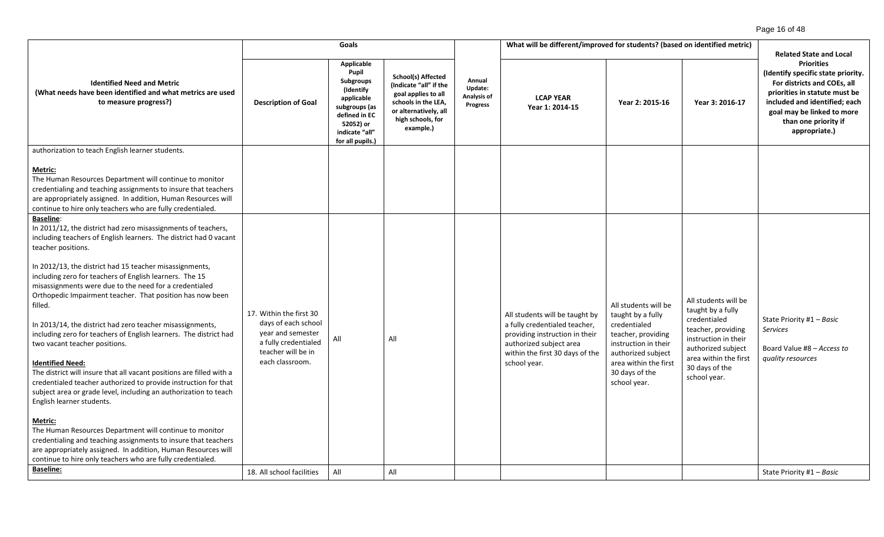|                                                                                                                                                                                                                                                                                         |                                                                                        | Goals                                                                                                                                                   |                                                                                                                                                              | What will be different/improved for students? (based on identified metric) |                                                                                                                               |                                                                                  |                                                                  |                                                                                                                                                                                                                                                                   |  |
|-----------------------------------------------------------------------------------------------------------------------------------------------------------------------------------------------------------------------------------------------------------------------------------------|----------------------------------------------------------------------------------------|---------------------------------------------------------------------------------------------------------------------------------------------------------|--------------------------------------------------------------------------------------------------------------------------------------------------------------|----------------------------------------------------------------------------|-------------------------------------------------------------------------------------------------------------------------------|----------------------------------------------------------------------------------|------------------------------------------------------------------|-------------------------------------------------------------------------------------------------------------------------------------------------------------------------------------------------------------------------------------------------------------------|--|
| <b>Identified Need and Metric</b><br>(What needs have been identified and what metrics are used<br>to measure progress?)                                                                                                                                                                | <b>Description of Goal</b>                                                             | Applicable<br>Pupil<br><b>Subgroups</b><br>(Identify<br>applicable<br>subgroups (as<br>defined in EC<br>52052) or<br>indicate "all"<br>for all pupils.) | <b>School(s) Affected</b><br>(Indicate "all" if the<br>goal applies to all<br>schools in the LEA,<br>or alternatively, all<br>high schools, for<br>example.) | Annual<br>Update:<br>Analysis of<br><b>Progress</b>                        | <b>LCAP YEAR</b><br>Year 1: 2014-15                                                                                           | Year 2: 2015-16                                                                  | Year 3: 2016-17                                                  | <b>Related State and Local</b><br><b>Priorities</b><br>(Identify specific state priority.<br>For districts and COEs, all<br>priorities in statute must be<br>included and identified; each<br>goal may be linked to more<br>than one priority if<br>appropriate.) |  |
| authorization to teach English learner students.                                                                                                                                                                                                                                        |                                                                                        |                                                                                                                                                         |                                                                                                                                                              |                                                                            |                                                                                                                               |                                                                                  |                                                                  |                                                                                                                                                                                                                                                                   |  |
| Metric:<br>The Human Resources Department will continue to monitor<br>credentialing and teaching assignments to insure that teachers<br>are appropriately assigned. In addition, Human Resources will<br>continue to hire only teachers who are fully credentialed.<br><b>Baseline:</b> |                                                                                        |                                                                                                                                                         |                                                                                                                                                              |                                                                            |                                                                                                                               |                                                                                  |                                                                  |                                                                                                                                                                                                                                                                   |  |
| In 2011/12, the district had zero misassignments of teachers,<br>including teachers of English learners. The district had 0 vacant<br>teacher positions.                                                                                                                                |                                                                                        |                                                                                                                                                         |                                                                                                                                                              |                                                                            |                                                                                                                               |                                                                                  |                                                                  |                                                                                                                                                                                                                                                                   |  |
| In 2012/13, the district had 15 teacher misassignments,<br>including zero for teachers of English learners. The 15<br>misassignments were due to the need for a credentialed<br>Orthopedic Impairment teacher. That position has now been<br>filled.                                    | 17. Within the first 30                                                                |                                                                                                                                                         |                                                                                                                                                              |                                                                            | All students will be taught by                                                                                                | All students will be<br>taught by a fully                                        | All students will be<br>taught by a fully<br>credentialed        | State Priority #1 - Basic                                                                                                                                                                                                                                         |  |
| In 2013/14, the district had zero teacher misassignments,<br>including zero for teachers of English learners. The district had<br>two vacant teacher positions.                                                                                                                         | days of each school<br>year and semester<br>a fully credentialed<br>teacher will be in | All                                                                                                                                                     | All                                                                                                                                                          |                                                                            | a fully credentialed teacher,<br>providing instruction in their<br>authorized subject area<br>within the first 30 days of the | credentialed<br>teacher, providing<br>instruction in their<br>authorized subject | teacher, providing<br>instruction in their<br>authorized subject | <b>Services</b><br>Board Value #8 - Access to                                                                                                                                                                                                                     |  |
| <b>Identified Need:</b><br>The district will insure that all vacant positions are filled with a<br>credentialed teacher authorized to provide instruction for that<br>subject area or grade level, including an authorization to teach<br>English learner students.                     | each classroom.                                                                        |                                                                                                                                                         |                                                                                                                                                              |                                                                            | school year.                                                                                                                  | area within the first<br>30 days of the<br>school year.                          | area within the first<br>30 days of the<br>school year.          | quality resources                                                                                                                                                                                                                                                 |  |
| Metric:<br>The Human Resources Department will continue to monitor<br>credentialing and teaching assignments to insure that teachers<br>are appropriately assigned. In addition, Human Resources will<br>continue to hire only teachers who are fully credentialed.                     |                                                                                        |                                                                                                                                                         |                                                                                                                                                              |                                                                            |                                                                                                                               |                                                                                  |                                                                  |                                                                                                                                                                                                                                                                   |  |
| <b>Baseline:</b>                                                                                                                                                                                                                                                                        | 18. All school facilities                                                              | All                                                                                                                                                     | All                                                                                                                                                          |                                                                            |                                                                                                                               |                                                                                  |                                                                  | State Priority #1 - Basic                                                                                                                                                                                                                                         |  |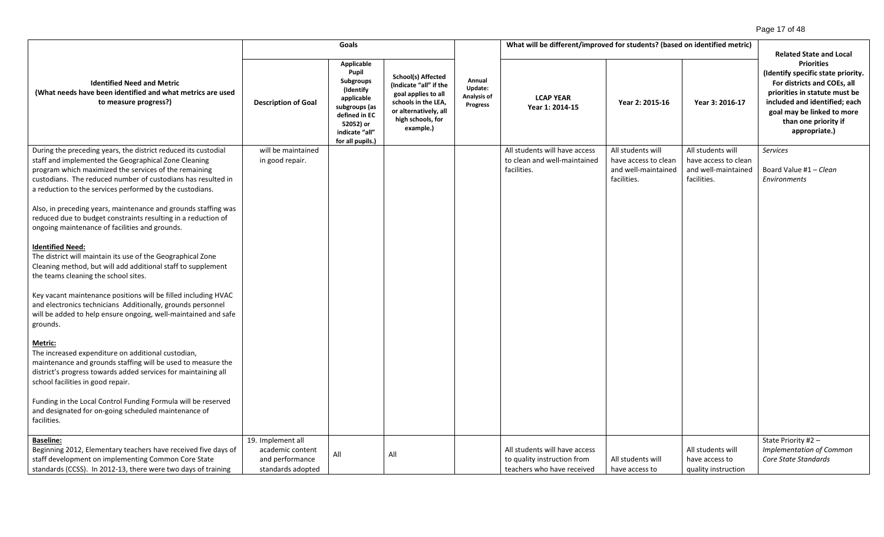# Page 17 of 48

|                                                                                                                                                                                                                                                                                                             |                                                                               | Goals                                                                                                                                                   |                                                                                                                                                              |                                                     | What will be different/improved for students? (based on identified metric)                 |                                                                                 |                                                                                 |                                                                                                                                                                                                                                                                   |
|-------------------------------------------------------------------------------------------------------------------------------------------------------------------------------------------------------------------------------------------------------------------------------------------------------------|-------------------------------------------------------------------------------|---------------------------------------------------------------------------------------------------------------------------------------------------------|--------------------------------------------------------------------------------------------------------------------------------------------------------------|-----------------------------------------------------|--------------------------------------------------------------------------------------------|---------------------------------------------------------------------------------|---------------------------------------------------------------------------------|-------------------------------------------------------------------------------------------------------------------------------------------------------------------------------------------------------------------------------------------------------------------|
| <b>Identified Need and Metric</b><br>(What needs have been identified and what metrics are used<br>to measure progress?)                                                                                                                                                                                    | <b>Description of Goal</b>                                                    | Applicable<br>Pupil<br><b>Subgroups</b><br>(Identify<br>applicable<br>subgroups (as<br>defined in EC<br>52052) or<br>indicate "all"<br>for all pupils.) | <b>School(s) Affected</b><br>(Indicate "all" if the<br>goal applies to all<br>schools in the LEA,<br>or alternatively, all<br>high schools, for<br>example.) | Annual<br>Update:<br>Analysis of<br><b>Progress</b> | <b>LCAP YEAR</b><br>Year 1: 2014-15                                                        | Year 2: 2015-16                                                                 | Year 3: 2016-17                                                                 | <b>Related State and Local</b><br><b>Priorities</b><br>(Identify specific state priority.<br>For districts and COEs, all<br>priorities in statute must be<br>included and identified; each<br>goal may be linked to more<br>than one priority if<br>appropriate.) |
| During the preceding years, the district reduced its custodial<br>staff and implemented the Geographical Zone Cleaning<br>program which maximized the services of the remaining<br>custodians. The reduced number of custodians has resulted in<br>a reduction to the services performed by the custodians. | will be maintained<br>in good repair.                                         |                                                                                                                                                         |                                                                                                                                                              |                                                     | All students will have access<br>to clean and well-maintained<br>facilities.               | All students will<br>have access to clean<br>and well-maintained<br>facilities. | All students will<br>have access to clean<br>and well-maintained<br>facilities. | <b>Services</b><br>Board Value #1 - Clean<br>Environments                                                                                                                                                                                                         |
| Also, in preceding years, maintenance and grounds staffing was<br>reduced due to budget constraints resulting in a reduction of<br>ongoing maintenance of facilities and grounds.                                                                                                                           |                                                                               |                                                                                                                                                         |                                                                                                                                                              |                                                     |                                                                                            |                                                                                 |                                                                                 |                                                                                                                                                                                                                                                                   |
| <b>Identified Need:</b><br>The district will maintain its use of the Geographical Zone<br>Cleaning method, but will add additional staff to supplement<br>the teams cleaning the school sites.                                                                                                              |                                                                               |                                                                                                                                                         |                                                                                                                                                              |                                                     |                                                                                            |                                                                                 |                                                                                 |                                                                                                                                                                                                                                                                   |
| Key vacant maintenance positions will be filled including HVAC<br>and electronics technicians Additionally, grounds personnel<br>will be added to help ensure ongoing, well-maintained and safe<br>grounds.                                                                                                 |                                                                               |                                                                                                                                                         |                                                                                                                                                              |                                                     |                                                                                            |                                                                                 |                                                                                 |                                                                                                                                                                                                                                                                   |
| Metric:<br>The increased expenditure on additional custodian,<br>maintenance and grounds staffing will be used to measure the<br>district's progress towards added services for maintaining all<br>school facilities in good repair.                                                                        |                                                                               |                                                                                                                                                         |                                                                                                                                                              |                                                     |                                                                                            |                                                                                 |                                                                                 |                                                                                                                                                                                                                                                                   |
| Funding in the Local Control Funding Formula will be reserved<br>and designated for on-going scheduled maintenance of<br>facilities.                                                                                                                                                                        |                                                                               |                                                                                                                                                         |                                                                                                                                                              |                                                     |                                                                                            |                                                                                 |                                                                                 |                                                                                                                                                                                                                                                                   |
| <b>Baseline:</b><br>Beginning 2012, Elementary teachers have received five days of<br>staff development on implementing Common Core State<br>standards (CCSS). In 2012-13, there were two days of training                                                                                                  | 19. Implement all<br>academic content<br>and performance<br>standards adopted | All                                                                                                                                                     | All                                                                                                                                                          |                                                     | All students will have access<br>to quality instruction from<br>teachers who have received | All students will<br>have access to                                             | All students will<br>have access to<br>quality instruction                      | State Priority #2 -<br><b>Implementation of Common</b><br>Core State Standards                                                                                                                                                                                    |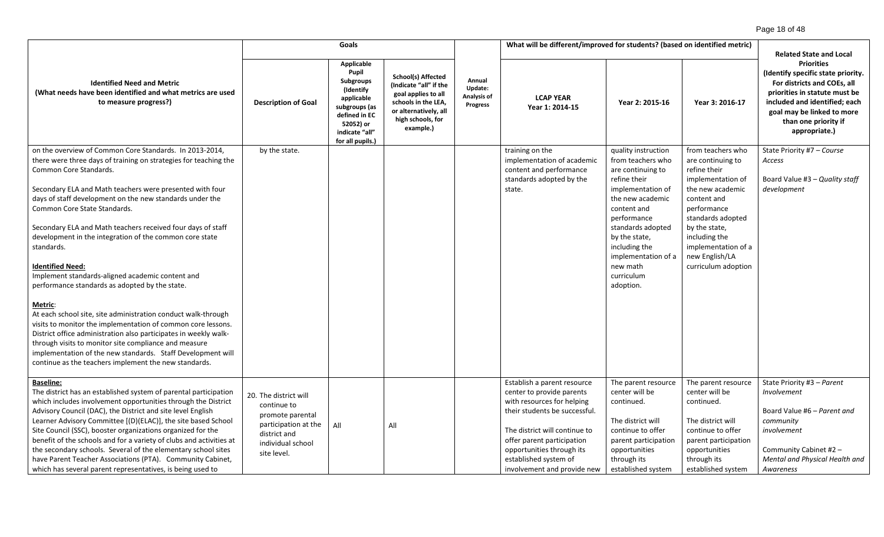|                                                                                                                                                                                                                                                                                                                                                                                                                                                                                                                                                                                                                                                                                                                                                                                                                                                                                                                                                                                                | Goals                                                                                                                                |                                                                                                                                                         |                                                                                                                                                              |                                                     | What will be different/improved for students? (based on identified metric)                                                                                                                                                                                                  |                                                                                                                                                                                                                                                                           |                                                                                                                                                                                                                                                      | <b>Related State and Local</b>                                                                                                                                                                                                  |
|------------------------------------------------------------------------------------------------------------------------------------------------------------------------------------------------------------------------------------------------------------------------------------------------------------------------------------------------------------------------------------------------------------------------------------------------------------------------------------------------------------------------------------------------------------------------------------------------------------------------------------------------------------------------------------------------------------------------------------------------------------------------------------------------------------------------------------------------------------------------------------------------------------------------------------------------------------------------------------------------|--------------------------------------------------------------------------------------------------------------------------------------|---------------------------------------------------------------------------------------------------------------------------------------------------------|--------------------------------------------------------------------------------------------------------------------------------------------------------------|-----------------------------------------------------|-----------------------------------------------------------------------------------------------------------------------------------------------------------------------------------------------------------------------------------------------------------------------------|---------------------------------------------------------------------------------------------------------------------------------------------------------------------------------------------------------------------------------------------------------------------------|------------------------------------------------------------------------------------------------------------------------------------------------------------------------------------------------------------------------------------------------------|---------------------------------------------------------------------------------------------------------------------------------------------------------------------------------------------------------------------------------|
| <b>Identified Need and Metric</b><br>(What needs have been identified and what metrics are used<br>to measure progress?)                                                                                                                                                                                                                                                                                                                                                                                                                                                                                                                                                                                                                                                                                                                                                                                                                                                                       | <b>Description of Goal</b>                                                                                                           | Applicable<br>Pupil<br><b>Subgroups</b><br>(Identify<br>applicable<br>subgroups (as<br>defined in EC<br>52052) or<br>indicate "all"<br>for all pupils.) | <b>School(s) Affected</b><br>(Indicate "all" if the<br>goal applies to all<br>schools in the LEA,<br>or alternatively, all<br>high schools, for<br>example.) | Annual<br>Update:<br>Analysis of<br><b>Progress</b> | <b>LCAP YEAR</b><br>Year 1: 2014-15                                                                                                                                                                                                                                         | Year 2: 2015-16                                                                                                                                                                                                                                                           | Year 3: 2016-17                                                                                                                                                                                                                                      | <b>Priorities</b><br>(Identify specific state priority.<br>For districts and COEs, all<br>priorities in statute must be<br>included and identified; each<br>goal may be linked to more<br>than one priority if<br>appropriate.) |
| on the overview of Common Core Standards. In 2013-2014,<br>there were three days of training on strategies for teaching the<br>Common Core Standards.<br>Secondary ELA and Math teachers were presented with four<br>days of staff development on the new standards under the<br>Common Core State Standards.<br>Secondary ELA and Math teachers received four days of staff<br>development in the integration of the common core state<br>standards.<br><b>Identified Need:</b><br>Implement standards-aligned academic content and<br>performance standards as adopted by the state.<br><b>Metric:</b><br>At each school site, site administration conduct walk-through<br>visits to monitor the implementation of common core lessons.<br>District office administration also participates in weekly walk-<br>through visits to monitor site compliance and measure<br>implementation of the new standards. Staff Development will<br>continue as the teachers implement the new standards. | by the state.                                                                                                                        |                                                                                                                                                         |                                                                                                                                                              |                                                     | training on the<br>implementation of academic<br>content and performance<br>standards adopted by the<br>state.                                                                                                                                                              | quality instruction<br>from teachers who<br>are continuing to<br>refine their<br>implementation of<br>the new academic<br>content and<br>performance<br>standards adopted<br>by the state,<br>including the<br>implementation of a<br>new math<br>curriculum<br>adoption. | from teachers who<br>are continuing to<br>refine their<br>implementation of<br>the new academic<br>content and<br>performance<br>standards adopted<br>by the state,<br>including the<br>implementation of a<br>new English/LA<br>curriculum adoption | State Priority #7 - Course<br>Access<br>Board Value #3 - Quality staff<br>development                                                                                                                                           |
| <b>Baseline:</b><br>The district has an established system of parental participation<br>which includes involvement opportunities through the District<br>Advisory Council (DAC), the District and site level English<br>Learner Advisory Committee [(D)(ELAC)], the site based School<br>Site Council (SSC), booster organizations organized for the<br>benefit of the schools and for a variety of clubs and activities at<br>the secondary schools. Several of the elementary school sites<br>have Parent Teacher Associations (PTA). Community Cabinet,<br>which has several parent representatives, is being used to                                                                                                                                                                                                                                                                                                                                                                       | 20. The district will<br>continue to<br>promote parental<br>participation at the<br>district and<br>individual school<br>site level. | All                                                                                                                                                     | All                                                                                                                                                          |                                                     | Establish a parent resource<br>center to provide parents<br>with resources for helping<br>their students be successful.<br>The district will continue to<br>offer parent participation<br>opportunities through its<br>established system of<br>involvement and provide new | The parent resource<br>center will be<br>continued.<br>The district will<br>continue to offer<br>parent participation<br>opportunities<br>through its<br>established system                                                                                               | The parent resource<br>center will be<br>continued.<br>The district will<br>continue to offer<br>parent participation<br>opportunities<br>through its<br>established system                                                                          | State Priority #3 - Parent<br>Involvement<br>Board Value #6 - Parent and<br>community<br>involvement<br>Community Cabinet #2 -<br>Mental and Physical Health and<br>Awareness                                                   |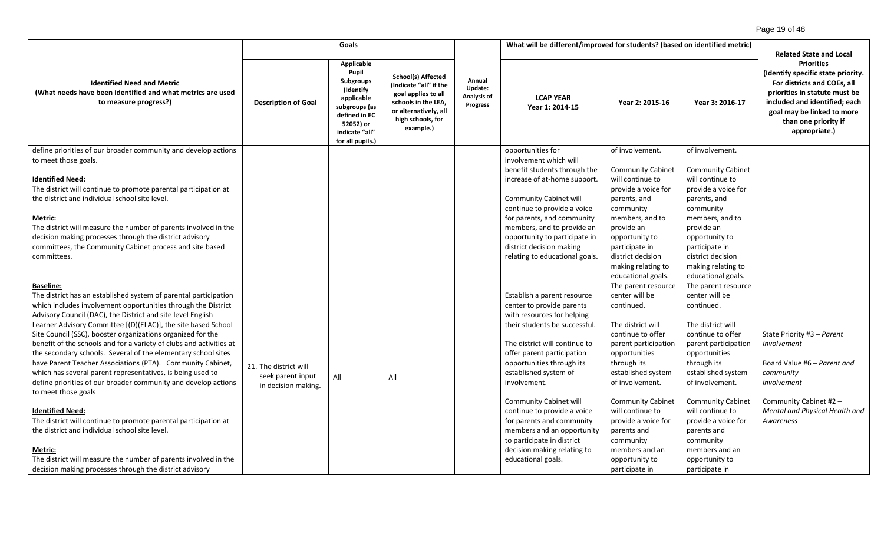| Goals                                                                                                                                                                                                                                                                                                                                                                                                                                                                                                                                                                                                                                                                                                                                                                                                                                                                                                                                                                                                      |                                                                   |                                                                                                                                                                |                                                                                                                                                              |                                              | What will be different/improved for students? (based on identified metric)                                                                                                                                                                                                                                                                                                                                                                                                 | <b>Related State and Local</b>                                                                                                                                                                                                                                                                                                                          |                                                                                                                                                                                                                                                                                                                                                         |                                                                                                                                                                                                                                 |
|------------------------------------------------------------------------------------------------------------------------------------------------------------------------------------------------------------------------------------------------------------------------------------------------------------------------------------------------------------------------------------------------------------------------------------------------------------------------------------------------------------------------------------------------------------------------------------------------------------------------------------------------------------------------------------------------------------------------------------------------------------------------------------------------------------------------------------------------------------------------------------------------------------------------------------------------------------------------------------------------------------|-------------------------------------------------------------------|----------------------------------------------------------------------------------------------------------------------------------------------------------------|--------------------------------------------------------------------------------------------------------------------------------------------------------------|----------------------------------------------|----------------------------------------------------------------------------------------------------------------------------------------------------------------------------------------------------------------------------------------------------------------------------------------------------------------------------------------------------------------------------------------------------------------------------------------------------------------------------|---------------------------------------------------------------------------------------------------------------------------------------------------------------------------------------------------------------------------------------------------------------------------------------------------------------------------------------------------------|---------------------------------------------------------------------------------------------------------------------------------------------------------------------------------------------------------------------------------------------------------------------------------------------------------------------------------------------------------|---------------------------------------------------------------------------------------------------------------------------------------------------------------------------------------------------------------------------------|
| <b>Identified Need and Metric</b><br>(What needs have been identified and what metrics are used<br>to measure progress?)                                                                                                                                                                                                                                                                                                                                                                                                                                                                                                                                                                                                                                                                                                                                                                                                                                                                                   | <b>Description of Goal</b>                                        | <b>Applicable</b><br>Pupil<br><b>Subgroups</b><br>(Identify<br>applicable<br>subgroups (as<br>defined in EC<br>52052) or<br>indicate "all"<br>for all pupils.) | <b>School(s) Affected</b><br>(Indicate "all" if the<br>goal applies to all<br>schools in the LEA,<br>or alternatively, all<br>high schools, for<br>example.) | Annual<br>Update:<br>Analysis of<br>Progress | <b>LCAP YEAR</b><br>Year 1: 2014-15                                                                                                                                                                                                                                                                                                                                                                                                                                        | Year 2: 2015-16                                                                                                                                                                                                                                                                                                                                         | Year 3: 2016-17                                                                                                                                                                                                                                                                                                                                         | <b>Priorities</b><br>(Identify specific state priority.<br>For districts and COEs, all<br>priorities in statute must be<br>included and identified; each<br>goal may be linked to more<br>than one priority if<br>appropriate.) |
| define priorities of our broader community and develop actions<br>to meet those goals.<br><b>Identified Need:</b><br>The district will continue to promote parental participation at<br>the district and individual school site level.<br>Metric:<br>The district will measure the number of parents involved in the<br>decision making processes through the district advisory<br>committees, the Community Cabinet process and site based<br>committees.                                                                                                                                                                                                                                                                                                                                                                                                                                                                                                                                                 |                                                                   |                                                                                                                                                                |                                                                                                                                                              |                                              | opportunities for<br>involvement which will<br>benefit students through the<br>increase of at-home support.<br><b>Community Cabinet will</b><br>continue to provide a voice<br>for parents, and community<br>members, and to provide an<br>opportunity to participate in<br>district decision making<br>relating to educational goals.                                                                                                                                     | of involvement.<br><b>Community Cabinet</b><br>will continue to<br>provide a voice for<br>parents, and<br>community<br>members, and to<br>provide an<br>opportunity to<br>participate in<br>district decision<br>making relating to<br>educational goals.                                                                                               | of involvement.<br><b>Community Cabinet</b><br>will continue to<br>provide a voice for<br>parents, and<br>community<br>members, and to<br>provide an<br>opportunity to<br>participate in<br>district decision<br>making relating to<br>educational goals.                                                                                               |                                                                                                                                                                                                                                 |
| <b>Baseline:</b><br>The district has an established system of parental participation<br>which includes involvement opportunities through the District<br>Advisory Council (DAC), the District and site level English<br>Learner Advisory Committee [(D)(ELAC)], the site based School<br>Site Council (SSC), booster organizations organized for the<br>benefit of the schools and for a variety of clubs and activities at<br>the secondary schools. Several of the elementary school sites<br>have Parent Teacher Associations (PTA). Community Cabinet,<br>which has several parent representatives, is being used to<br>define priorities of our broader community and develop actions<br>to meet those goals<br><b>Identified Need:</b><br>The district will continue to promote parental participation at<br>the district and individual school site level.<br>Metric:<br>The district will measure the number of parents involved in the<br>decision making processes through the district advisory | 21. The district will<br>seek parent input<br>in decision making. | All                                                                                                                                                            | All                                                                                                                                                          |                                              | Establish a parent resource<br>center to provide parents<br>with resources for helping<br>their students be successful.<br>The district will continue to<br>offer parent participation<br>opportunities through its<br>established system of<br>involvement.<br><b>Community Cabinet will</b><br>continue to provide a voice<br>for parents and community<br>members and an opportunity<br>to participate in district<br>decision making relating to<br>educational goals. | The parent resource<br>center will be<br>continued.<br>The district will<br>continue to offer<br>parent participation<br>opportunities<br>through its<br>established system<br>of involvement.<br><b>Community Cabinet</b><br>will continue to<br>provide a voice for<br>parents and<br>community<br>members and an<br>opportunity to<br>participate in | The parent resource<br>center will be<br>continued.<br>The district will<br>continue to offer<br>parent participation<br>opportunities<br>through its<br>established system<br>of involvement.<br><b>Community Cabinet</b><br>will continue to<br>provide a voice for<br>parents and<br>community<br>members and an<br>opportunity to<br>participate in | State Priority #3 - Parent<br>Involvement<br>Board Value #6 - Parent and<br>community<br>involvement<br>Community Cabinet #2 -<br>Mental and Physical Health and<br>Awareness                                                   |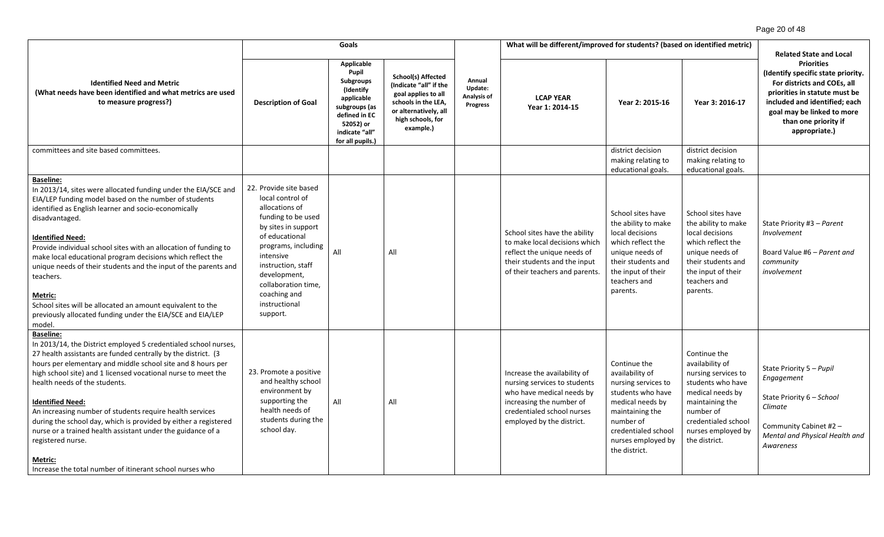|                                                                                                                                                                                                                                                                                                                                                                                                                                                                                                                                                                                                                                            |                                                                                                                                                                                                                                                                           | Goals                                                                                                                                                   |                                                                                                                                                              |                                                     | What will be different/improved for students? (based on identified metric)                                                                                                       |                                                                                                                                                                                               |                                                                                                                                                                                               | <b>Related State and Local</b>                                                                                                                                                                                                  |
|--------------------------------------------------------------------------------------------------------------------------------------------------------------------------------------------------------------------------------------------------------------------------------------------------------------------------------------------------------------------------------------------------------------------------------------------------------------------------------------------------------------------------------------------------------------------------------------------------------------------------------------------|---------------------------------------------------------------------------------------------------------------------------------------------------------------------------------------------------------------------------------------------------------------------------|---------------------------------------------------------------------------------------------------------------------------------------------------------|--------------------------------------------------------------------------------------------------------------------------------------------------------------|-----------------------------------------------------|----------------------------------------------------------------------------------------------------------------------------------------------------------------------------------|-----------------------------------------------------------------------------------------------------------------------------------------------------------------------------------------------|-----------------------------------------------------------------------------------------------------------------------------------------------------------------------------------------------|---------------------------------------------------------------------------------------------------------------------------------------------------------------------------------------------------------------------------------|
| <b>Identified Need and Metric</b><br>(What needs have been identified and what metrics are used<br>to measure progress?)                                                                                                                                                                                                                                                                                                                                                                                                                                                                                                                   | <b>Description of Goal</b>                                                                                                                                                                                                                                                | <b>Applicable</b><br>Pupil<br>Subgroups<br>(Identify<br>applicable<br>subgroups (as<br>defined in EC<br>52052) or<br>indicate "all"<br>for all pupils.) | <b>School(s) Affected</b><br>(Indicate "all" if the<br>goal applies to all<br>schools in the LEA,<br>or alternatively, all<br>high schools, for<br>example.) | Annual<br>Update:<br>Analysis of<br><b>Progress</b> | <b>LCAP YEAR</b><br>Year 1: 2014-15                                                                                                                                              | Year 2: 2015-16                                                                                                                                                                               | Year 3: 2016-17                                                                                                                                                                               | <b>Priorities</b><br>(Identify specific state priority.<br>For districts and COEs, all<br>priorities in statute must be<br>included and identified; each<br>goal may be linked to more<br>than one priority if<br>appropriate.) |
| committees and site based committees.                                                                                                                                                                                                                                                                                                                                                                                                                                                                                                                                                                                                      |                                                                                                                                                                                                                                                                           |                                                                                                                                                         |                                                                                                                                                              |                                                     |                                                                                                                                                                                  | district decision<br>making relating to<br>educational goals.                                                                                                                                 | district decision<br>making relating to<br>educational goals.                                                                                                                                 |                                                                                                                                                                                                                                 |
| <b>Baseline:</b><br>In 2013/14, sites were allocated funding under the EIA/SCE and<br>EIA/LEP funding model based on the number of students<br>identified as English learner and socio-economically<br>disadvantaged.<br><b>Identified Need:</b><br>Provide individual school sites with an allocation of funding to<br>make local educational program decisions which reflect the<br>unique needs of their students and the input of the parents and<br>teachers.<br>Metric:<br>School sites will be allocated an amount equivalent to the<br>previously allocated funding under the EIA/SCE and EIA/LEP<br>model.                        | 22. Provide site based<br>local control of<br>allocations of<br>funding to be used<br>by sites in support<br>of educational<br>programs, including<br>intensive<br>instruction, staff<br>development,<br>collaboration time,<br>coaching and<br>instructional<br>support. | All                                                                                                                                                     | All                                                                                                                                                          |                                                     | School sites have the ability<br>to make local decisions which<br>reflect the unique needs of<br>their students and the input<br>of their teachers and parents.                  | School sites have<br>the ability to make<br>local decisions<br>which reflect the<br>unique needs of<br>their students and<br>the input of their<br>teachers and<br>parents.                   | School sites have<br>the ability to make<br>local decisions<br>which reflect the<br>unique needs of<br>their students and<br>the input of their<br>teachers and<br>parents.                   | State Priority #3 - Parent<br>Involvement<br>Board Value #6 - Parent and<br>community<br>involvement                                                                                                                            |
| <b>Baseline:</b><br>In 2013/14, the District employed 5 credentialed school nurses,<br>27 health assistants are funded centrally by the district. (3<br>hours per elementary and middle school site and 8 hours per<br>high school site) and 1 licensed vocational nurse to meet the<br>health needs of the students.<br><b>Identified Need:</b><br>An increasing number of students require health services<br>during the school day, which is provided by either a registered<br>nurse or a trained health assistant under the guidance of a<br>registered nurse.<br>Metric:<br>Increase the total number of itinerant school nurses who | 23. Promote a positive<br>and healthy school<br>environment by<br>supporting the<br>health needs of<br>students during the<br>school day.                                                                                                                                 | All                                                                                                                                                     | All                                                                                                                                                          |                                                     | Increase the availability of<br>nursing services to students<br>who have medical needs by<br>increasing the number of<br>credentialed school nurses<br>employed by the district. | Continue the<br>availability of<br>nursing services to<br>students who have<br>medical needs by<br>maintaining the<br>number of<br>credentialed school<br>nurses employed by<br>the district. | Continue the<br>availability of<br>nursing services to<br>students who have<br>medical needs by<br>maintaining the<br>number of<br>credentialed school<br>nurses employed by<br>the district. | State Priority 5 - Pupil<br>Engagement<br>State Priority 6 - School<br>Climate<br>Community Cabinet #2 -<br>Mental and Physical Health and<br>Awareness                                                                         |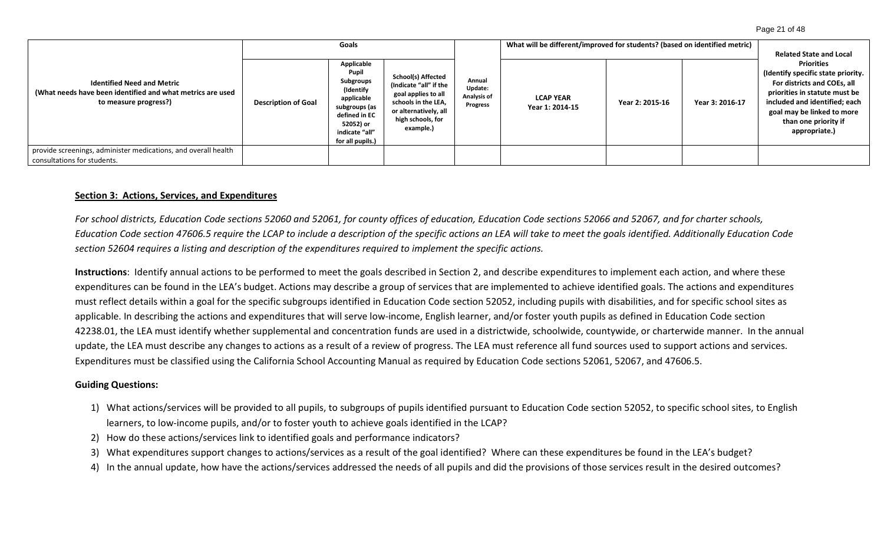#### Page 21 of 48

|                                                                                                                          | Goals                      |                                                                                                                                                  |                                                                                                                                                       |                                                     | What will be different/improved for students? (based on identified metric) | <b>Related State and Local</b> |                 |                                                                                                                                                                                                                                 |
|--------------------------------------------------------------------------------------------------------------------------|----------------------------|--------------------------------------------------------------------------------------------------------------------------------------------------|-------------------------------------------------------------------------------------------------------------------------------------------------------|-----------------------------------------------------|----------------------------------------------------------------------------|--------------------------------|-----------------|---------------------------------------------------------------------------------------------------------------------------------------------------------------------------------------------------------------------------------|
| <b>Identified Need and Metric</b><br>(What needs have been identified and what metrics are used<br>to measure progress?) | <b>Description of Goal</b> | Applicable<br>Pupil<br>Subgroups<br>(Identify<br>applicable<br>subgroups (as<br>defined in EC<br>52052) or<br>indicate "all"<br>for all pupils.) | School(s) Affected<br>(Indicate "all" if the<br>goal applies to all<br>schools in the LEA,<br>or alternatively, all<br>high schools, for<br>example.) | Annual<br>Update:<br>Analysis of<br><b>Progress</b> | <b>LCAP YEAR</b><br>Year 1: 2014-15                                        | Year 2: 2015-16                | Year 3: 2016-17 | <b>Priorities</b><br>(Identify specific state priority.<br>For districts and COEs, all<br>priorities in statute must be<br>included and identified; each<br>goal may be linked to more<br>than one priority if<br>appropriate.) |
| provide screenings, administer medications, and overall health<br>consultations for students.                            |                            |                                                                                                                                                  |                                                                                                                                                       |                                                     |                                                                            |                                |                 |                                                                                                                                                                                                                                 |

#### **Section 3: Actions, Services, and Expenditures**

*For school districts, Education Code sections 52060 and 52061, for county offices of education, Education Code sections 52066 and 52067, and for charter schools, Education Code section 47606.5 require the LCAP to include a description of the specific actions an LEA will take to meet the goals identified. Additionally Education Code section 52604 requires a listing and description of the expenditures required to implement the specific actions.*

**Instructions**: Identify annual actions to be performed to meet the goals described in Section 2, and describe expenditures to implement each action, and where these expenditures can be found in the LEA's budget. Actions may describe a group of services that are implemented to achieve identified goals. The actions and expenditures must reflect details within a goal for the specific subgroups identified in Education Code section 52052, including pupils with disabilities, and for specific school sites as applicable. In describing the actions and expenditures that will serve low-income, English learner, and/or foster youth pupils as defined in Education Code section 42238.01, the LEA must identify whether supplemental and concentration funds are used in a districtwide, schoolwide, countywide, or charterwide manner. In the annual update, the LEA must describe any changes to actions as a result of a review of progress. The LEA must reference all fund sources used to support actions and services. Expenditures must be classified using the California School Accounting Manual as required by Education Code sections 52061, 52067, and 47606.5.

#### **Guiding Questions:**

- 1) What actions/services will be provided to all pupils, to subgroups of pupils identified pursuant to Education Code section 52052, to specific school sites, to English learners, to low-income pupils, and/or to foster youth to achieve goals identified in the LCAP?
- 2) How do these actions/services link to identified goals and performance indicators?
- 3) What expenditures support changes to actions/services as a result of the goal identified? Where can these expenditures be found in the LEA's budget?
- 4) In the annual update, how have the actions/services addressed the needs of all pupils and did the provisions of those services result in the desired outcomes?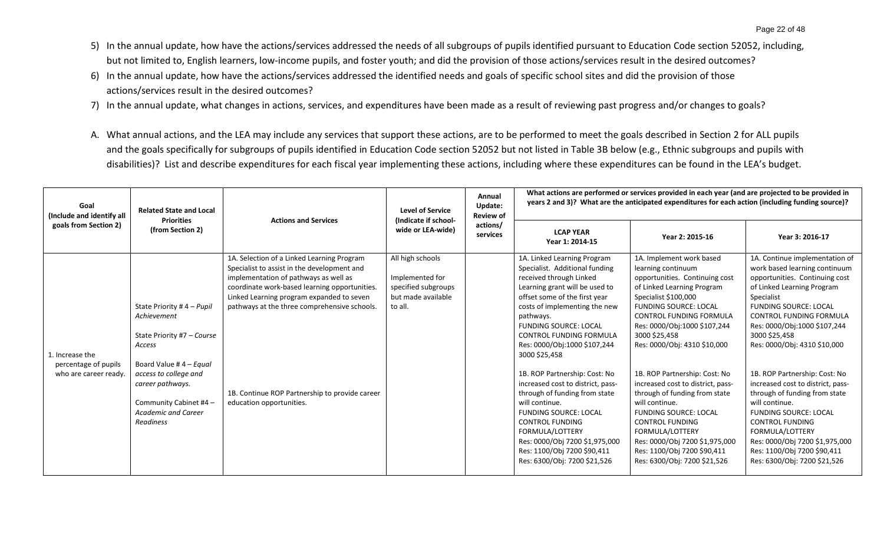- 5) In the annual update, how have the actions/services addressed the needs of all subgroups of pupils identified pursuant to Education Code section 52052, including, but not limited to, English learners, low-income pupils, and foster youth; and did the provision of those actions/services result in the desired outcomes?
- 6) In the annual update, how have the actions/services addressed the identified needs and goals of specific school sites and did the provision of those actions/services result in the desired outcomes?
- 7) In the annual update, what changes in actions, services, and expenditures have been made as a result of reviewing past progress and/or changes to goals?
- A. What annual actions, and the LEA may include any services that support these actions, are to be performed to meet the goals described in Section 2 for ALL pupils and the goals specifically for subgroups of pupils identified in Education Code section 52052 but not listed in Table 3B below (e.g., Ethnic subgroups and pupils with disabilities)? List and describe expenditures for each fiscal year implementing these actions, including where these expenditures can be found in the LEA's budget.

| Goal<br>(Include and identify all                                | <b>Related State and Local</b><br><b>Priorities</b>                                                                                                                                                                                    | <b>Actions and Services</b>                                                                                                                                                                                                                                                                                                                                    | <b>Level of Service</b><br>(Indicate if school-                                             | Annual<br>Update:<br><b>Review of</b> |                                                                                                                                                                                                                                                                                                                                                                                                                                                                                                                                                                                                                              | What actions are performed or services provided in each year (and are projected to be provided in<br>years 2 and 3)? What are the anticipated expenditures for each action (including funding source)?                                                                                                                                                                                                                                                                                                                                                                                    |                                                                                                                                                                                                                                                                                                                                                                                                                                                                                                                                                                                                  |  |  |
|------------------------------------------------------------------|----------------------------------------------------------------------------------------------------------------------------------------------------------------------------------------------------------------------------------------|----------------------------------------------------------------------------------------------------------------------------------------------------------------------------------------------------------------------------------------------------------------------------------------------------------------------------------------------------------------|---------------------------------------------------------------------------------------------|---------------------------------------|------------------------------------------------------------------------------------------------------------------------------------------------------------------------------------------------------------------------------------------------------------------------------------------------------------------------------------------------------------------------------------------------------------------------------------------------------------------------------------------------------------------------------------------------------------------------------------------------------------------------------|-------------------------------------------------------------------------------------------------------------------------------------------------------------------------------------------------------------------------------------------------------------------------------------------------------------------------------------------------------------------------------------------------------------------------------------------------------------------------------------------------------------------------------------------------------------------------------------------|--------------------------------------------------------------------------------------------------------------------------------------------------------------------------------------------------------------------------------------------------------------------------------------------------------------------------------------------------------------------------------------------------------------------------------------------------------------------------------------------------------------------------------------------------------------------------------------------------|--|--|
| goals from Section 2)                                            | (from Section 2)                                                                                                                                                                                                                       |                                                                                                                                                                                                                                                                                                                                                                | wide or LEA-wide)                                                                           | actions/<br>services                  | <b>LCAP YEAR</b><br>Year 1: 2014-15                                                                                                                                                                                                                                                                                                                                                                                                                                                                                                                                                                                          | Year 2: 2015-16                                                                                                                                                                                                                                                                                                                                                                                                                                                                                                                                                                           | Year 3: 2016-17                                                                                                                                                                                                                                                                                                                                                                                                                                                                                                                                                                                  |  |  |
| 1. Increase the<br>percentage of pupils<br>who are career ready. | State Priority #4 - Pupil<br>Achievement<br>State Priority #7 - Course<br>Access<br>Board Value # $4 -$ Equal<br>access to college and<br>career pathways.<br>Community Cabinet #4 -<br><b>Academic and Career</b><br><b>Readiness</b> | 1A. Selection of a Linked Learning Program<br>Specialist to assist in the development and<br>implementation of pathways as well as<br>coordinate work-based learning opportunities.<br>Linked Learning program expanded to seven<br>pathways at the three comprehensive schools.<br>1B. Continue ROP Partnership to provide career<br>education opportunities. | All high schools<br>Implemented for<br>specified subgroups<br>but made available<br>to all. |                                       | 1A. Linked Learning Program<br>Specialist. Additional funding<br>received through Linked<br>Learning grant will be used to<br>offset some of the first year<br>costs of implementing the new<br>pathways.<br><b>FUNDING SOURCE: LOCAL</b><br>CONTROL FUNDING FORMULA<br>Res: 0000/Obj:1000 \$107,244<br>3000 \$25,458<br>1B. ROP Partnership: Cost: No<br>increased cost to district, pass-<br>through of funding from state<br>will continue.<br><b>FUNDING SOURCE: LOCAL</b><br><b>CONTROL FUNDING</b><br>FORMULA/LOTTERY<br>Res: 0000/Obj 7200 \$1,975,000<br>Res: 1100/Obj 7200 \$90,411<br>Res: 6300/Obj: 7200 \$21,526 | 1A. Implement work based<br>learning continuum<br>opportunities. Continuing cost<br>of Linked Learning Program<br>Specialist \$100,000<br><b>FUNDING SOURCE: LOCAL</b><br>CONTROL FUNDING FORMULA<br>Res: 0000/Obj:1000 \$107,244<br>3000 \$25,458<br>Res: 0000/Obj: 4310 \$10,000<br>1B. ROP Partnership: Cost: No<br>increased cost to district, pass-<br>through of funding from state<br>will continue.<br><b>FUNDING SOURCE: LOCAL</b><br><b>CONTROL FUNDING</b><br>FORMULA/LOTTERY<br>Res: 0000/Obj 7200 \$1,975,000<br>Res: 1100/Obj 7200 \$90,411<br>Res: 6300/Obj: 7200 \$21,526 | 1A. Continue implementation of<br>work based learning continuum<br>opportunities. Continuing cost<br>of Linked Learning Program<br>Specialist<br><b>FUNDING SOURCE: LOCAL</b><br>CONTROL FUNDING FORMULA<br>Res: 0000/Obj:1000 \$107,244<br>3000 \$25,458<br>Res: 0000/Obj: 4310 \$10,000<br>1B. ROP Partnership: Cost: No<br>increased cost to district, pass-<br>through of funding from state<br>will continue.<br><b>FUNDING SOURCE: LOCAL</b><br><b>CONTROL FUNDING</b><br>FORMULA/LOTTERY<br>Res: 0000/Obj 7200 \$1,975,000<br>Res: 1100/Obj 7200 \$90,411<br>Res: 6300/Obj: 7200 \$21,526 |  |  |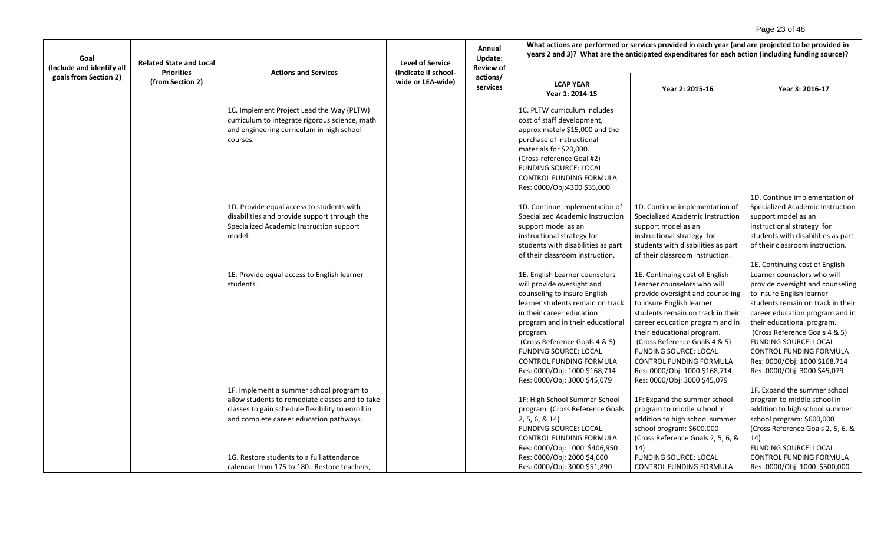# Page 23 of 48

| Goal<br>(Include and identify all<br><b>Priorities</b><br>goals from Section 2) | <b>Related State and Local</b> | <b>Actions and Services</b>                                                                                                                                                                                                                                                             | <b>Level of Service</b><br>(Indicate if school- | Annual<br>Update:<br><b>Review of</b> | What actions are performed or services provided in each year (and are projected to be provided in<br>years 2 and 3)? What are the anticipated expenditures for each action (including funding source)?                                                                                                                                                                     |                                                                                                                                                                                                                                                                                                                                                                                                          |                                                                                                                                                                                                                                                                                                                                                                 |  |
|---------------------------------------------------------------------------------|--------------------------------|-----------------------------------------------------------------------------------------------------------------------------------------------------------------------------------------------------------------------------------------------------------------------------------------|-------------------------------------------------|---------------------------------------|----------------------------------------------------------------------------------------------------------------------------------------------------------------------------------------------------------------------------------------------------------------------------------------------------------------------------------------------------------------------------|----------------------------------------------------------------------------------------------------------------------------------------------------------------------------------------------------------------------------------------------------------------------------------------------------------------------------------------------------------------------------------------------------------|-----------------------------------------------------------------------------------------------------------------------------------------------------------------------------------------------------------------------------------------------------------------------------------------------------------------------------------------------------------------|--|
|                                                                                 | (from Section 2)               |                                                                                                                                                                                                                                                                                         | wide or LEA-wide)                               | actions/<br>services                  | <b>LCAP YEAR</b><br>Year 1: 2014-15                                                                                                                                                                                                                                                                                                                                        | Year 2: 2015-16                                                                                                                                                                                                                                                                                                                                                                                          | Year 3: 2016-17                                                                                                                                                                                                                                                                                                                                                 |  |
|                                                                                 |                                | 1C. Implement Project Lead the Way (PLTW)<br>curriculum to integrate rigorous science, math<br>and engineering curriculum in high school<br>courses.                                                                                                                                    |                                                 |                                       | 1C. PLTW curriculum includes<br>cost of staff development,<br>approximately \$15,000 and the<br>purchase of instructional<br>materials for \$20,000.<br>(Cross-reference Goal #2)<br><b>FUNDING SOURCE: LOCAL</b><br><b>CONTROL FUNDING FORMULA</b><br>Res: 0000/Obj:4300 \$35,000                                                                                         |                                                                                                                                                                                                                                                                                                                                                                                                          |                                                                                                                                                                                                                                                                                                                                                                 |  |
|                                                                                 |                                | 1D. Provide equal access to students with<br>disabilities and provide support through the<br>Specialized Academic Instruction support<br>model.                                                                                                                                         |                                                 |                                       | 1D. Continue implementation of<br>Specialized Academic Instruction<br>support model as an<br>instructional strategy for<br>students with disabilities as part<br>of their classroom instruction.                                                                                                                                                                           | 1D. Continue implementation of<br>Specialized Academic Instruction<br>support model as an<br>instructional strategy for<br>students with disabilities as part<br>of their classroom instruction.                                                                                                                                                                                                         | 1D. Continue implementation of<br>Specialized Academic Instruction<br>support model as an<br>instructional strategy for<br>students with disabilities as part<br>of their classroom instruction.<br>1E. Continuing cost of English                                                                                                                              |  |
|                                                                                 |                                | 1E. Provide equal access to English learner<br>students.                                                                                                                                                                                                                                |                                                 |                                       | 1E. English Learner counselors<br>will provide oversight and<br>counseling to insure English<br>learner students remain on track<br>in their career education<br>program and in their educational<br>program.<br>(Cross Reference Goals 4 & 5)<br><b>FUNDING SOURCE: LOCAL</b><br>CONTROL FUNDING FORMULA<br>Res: 0000/Obj: 1000 \$168,714<br>Res: 0000/Obj: 3000 \$45,079 | 1E. Continuing cost of English<br>Learner counselors who will<br>provide oversight and counseling<br>to insure English learner<br>students remain on track in their<br>career education program and in<br>their educational program.<br>(Cross Reference Goals 4 & 5)<br><b>FUNDING SOURCE: LOCAL</b><br><b>CONTROL FUNDING FORMULA</b><br>Res: 0000/Obj: 1000 \$168,714<br>Res: 0000/Obj: 3000 \$45,079 | Learner counselors who will<br>provide oversight and counseling<br>to insure English learner<br>students remain on track in their<br>career education program and in<br>their educational program.<br>(Cross Reference Goals 4 & 5)<br><b>FUNDING SOURCE: LOCAL</b><br>CONTROL FUNDING FORMULA<br>Res: 0000/Obj: 1000 \$168,714<br>Res: 0000/Obj: 3000 \$45,079 |  |
|                                                                                 |                                | 1F. Implement a summer school program to<br>allow students to remediate classes and to take<br>classes to gain schedule flexibility to enroll in<br>and complete career education pathways.<br>1G. Restore students to a full attendance<br>calendar from 175 to 180. Restore teachers, |                                                 |                                       | 1F: High School Summer School<br>program: (Cross Reference Goals<br>2, 5, 6, 8, 14<br><b>FUNDING SOURCE: LOCAL</b><br>CONTROL FUNDING FORMULA<br>Res: 0000/Obj: 1000 \$406,950<br>Res: 0000/Obj: 2000 \$4,600<br>Res: 0000/Obj: 3000 \$51,890                                                                                                                              | 1F: Expand the summer school<br>program to middle school in<br>addition to high school summer<br>school program: \$600,000<br>(Cross Reference Goals 2, 5, 6, &<br>14)<br><b>FUNDING SOURCE: LOCAL</b><br><b>CONTROL FUNDING FORMULA</b>                                                                                                                                                                 | 1F. Expand the summer school<br>program to middle school in<br>addition to high school summer<br>school program: \$600,000<br>(Cross Reference Goals 2, 5, 6, &<br>14)<br><b>FUNDING SOURCE: LOCAL</b><br>CONTROL FUNDING FORMULA<br>Res: 0000/Obj: 1000 \$500,000                                                                                              |  |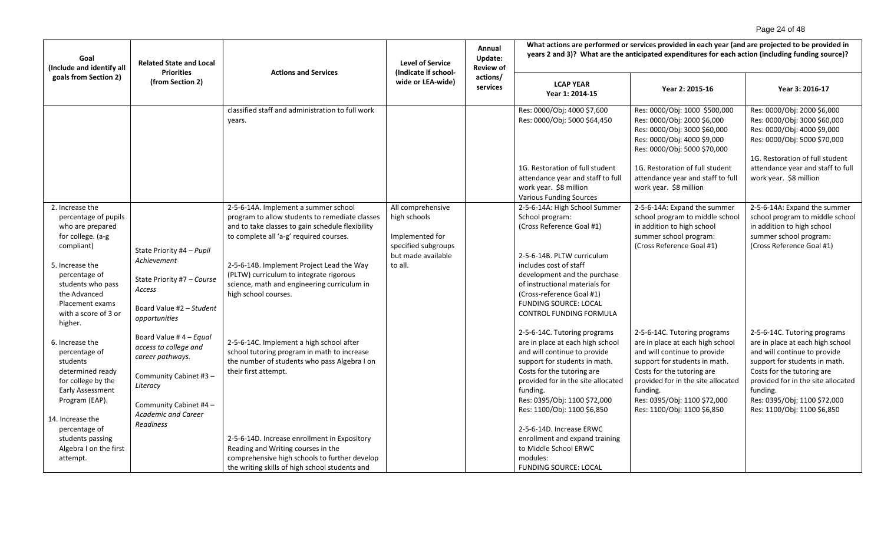# Page 24 of 48

| Goal<br>(Include and identify all                                                                                                              | <b>Related State and Local</b><br><b>Priorities</b><br><b>Actions and Services</b>                                                  | <b>Level of Service</b><br>(Indicate if school-                                                                                                                                       | Annual<br>Update:<br><b>Review of</b>                                                             |                      | What actions are performed or services provided in each year (and are projected to be provided in<br>years 2 and 3)? What are the anticipated expenditures for each action (including funding source)?                                                                           |                                                                                                                                                                                                                                                                                  |                                                                                                                                                                                                                                                                                  |
|------------------------------------------------------------------------------------------------------------------------------------------------|-------------------------------------------------------------------------------------------------------------------------------------|---------------------------------------------------------------------------------------------------------------------------------------------------------------------------------------|---------------------------------------------------------------------------------------------------|----------------------|----------------------------------------------------------------------------------------------------------------------------------------------------------------------------------------------------------------------------------------------------------------------------------|----------------------------------------------------------------------------------------------------------------------------------------------------------------------------------------------------------------------------------------------------------------------------------|----------------------------------------------------------------------------------------------------------------------------------------------------------------------------------------------------------------------------------------------------------------------------------|
| goals from Section 2)                                                                                                                          | (from Section 2)                                                                                                                    |                                                                                                                                                                                       | wide or LEA-wide)                                                                                 | actions/<br>services | <b>LCAP YEAR</b><br>Year 1: 2014-15                                                                                                                                                                                                                                              | Year 2: 2015-16                                                                                                                                                                                                                                                                  | Year 3: 2016-17                                                                                                                                                                                                                                                                  |
|                                                                                                                                                |                                                                                                                                     | classified staff and administration to full work<br>years.                                                                                                                            |                                                                                                   |                      | Res: 0000/Obj: 4000 \$7,600<br>Res: 0000/Obj: 5000 \$64,450                                                                                                                                                                                                                      | Res: 0000/Obj: 1000 \$500,000<br>Res: 0000/Obj: 2000 \$6,000<br>Res: 0000/Obj: 3000 \$60,000<br>Res: 0000/Obj: 4000 \$9,000<br>Res: 0000/Obj: 5000 \$70,000                                                                                                                      | Res: 0000/Obj: 2000 \$6,000<br>Res: 0000/Obj: 3000 \$60,000<br>Res: 0000/Obj: 4000 \$9,000<br>Res: 0000/Obj: 5000 \$70,000<br>1G. Restoration of full student                                                                                                                    |
|                                                                                                                                                |                                                                                                                                     |                                                                                                                                                                                       |                                                                                                   |                      | 1G. Restoration of full student<br>attendance year and staff to full<br>work year. \$8 million<br><b>Various Funding Sources</b>                                                                                                                                                 | 1G. Restoration of full student<br>attendance year and staff to full<br>work year. \$8 million                                                                                                                                                                                   | attendance year and staff to full<br>work year. \$8 million                                                                                                                                                                                                                      |
| 2. Increase the<br>percentage of pupils<br>who are prepared<br>for college. (a-g<br>compliant)                                                 | State Priority #4 - Pupil                                                                                                           | 2-5-6-14A. Implement a summer school<br>program to allow students to remediate classes<br>and to take classes to gain schedule flexibility<br>to complete all 'a-g' required courses. | All comprehensive<br>high schools<br>Implemented for<br>specified subgroups<br>but made available |                      | 2-5-6-14A: High School Summer<br>School program:<br>(Cross Reference Goal #1)<br>2-5-6-14B. PLTW curriculum                                                                                                                                                                      | 2-5-6-14A: Expand the summer<br>school program to middle school<br>in addition to high school<br>summer school program:<br>(Cross Reference Goal #1)                                                                                                                             | 2-5-6-14A: Expand the summer<br>school program to middle school<br>in addition to high school<br>summer school program:<br>(Cross Reference Goal #1)                                                                                                                             |
| 5. Increase the<br>percentage of<br>students who pass<br>the Advanced<br>Placement exams<br>with a score of 3 or                               | Achievement<br>State Priority #7 - Course<br>Access<br>Board Value #2 - Student<br>opportunities                                    | 2-5-6-14B. Implement Project Lead the Way<br>(PLTW) curriculum to integrate rigorous<br>science, math and engineering curriculum in<br>high school courses.                           | to all.                                                                                           |                      | includes cost of staff<br>development and the purchase<br>of instructional materials for<br>(Cross-reference Goal #1)<br><b>FUNDING SOURCE: LOCAL</b><br>CONTROL FUNDING FORMULA                                                                                                 |                                                                                                                                                                                                                                                                                  |                                                                                                                                                                                                                                                                                  |
| higher.<br>6. Increase the<br>percentage of<br>students<br>determined ready<br>for college by the<br><b>Early Assessment</b><br>Program (EAP). | Board Value #4 - Equal<br>access to college and<br>career pathways.<br>Community Cabinet #3 -<br>Literacy<br>Community Cabinet #4 - | 2-5-6-14C. Implement a high school after<br>school tutoring program in math to increase<br>the number of students who pass Algebra I on<br>their first attempt.                       |                                                                                                   |                      | 2-5-6-14C. Tutoring programs<br>are in place at each high school<br>and will continue to provide<br>support for students in math.<br>Costs for the tutoring are<br>provided for in the site allocated<br>funding.<br>Res: 0395/Obj: 1100 \$72,000<br>Res: 1100/Obj: 1100 \$6,850 | 2-5-6-14C. Tutoring programs<br>are in place at each high school<br>and will continue to provide<br>support for students in math.<br>Costs for the tutoring are<br>provided for in the site allocated<br>funding.<br>Res: 0395/Obj: 1100 \$72,000<br>Res: 1100/Obj: 1100 \$6,850 | 2-5-6-14C. Tutoring programs<br>are in place at each high school<br>and will continue to provide<br>support for students in math.<br>Costs for the tutoring are<br>provided for in the site allocated<br>funding.<br>Res: 0395/Obj: 1100 \$72,000<br>Res: 1100/Obj: 1100 \$6,850 |
| 14. Increase the<br>percentage of<br>students passing<br>Algebra I on the first<br>attempt.                                                    | <b>Academic and Career</b><br>Readiness                                                                                             | 2-5-6-14D. Increase enrollment in Expository<br>Reading and Writing courses in the<br>comprehensive high schools to further develop<br>the writing skills of high school students and |                                                                                                   |                      | 2-5-6-14D. Increase ERWC<br>enrollment and expand training<br>to Middle School ERWC<br>modules:<br><b>FUNDING SOURCE: LOCAL</b>                                                                                                                                                  |                                                                                                                                                                                                                                                                                  |                                                                                                                                                                                                                                                                                  |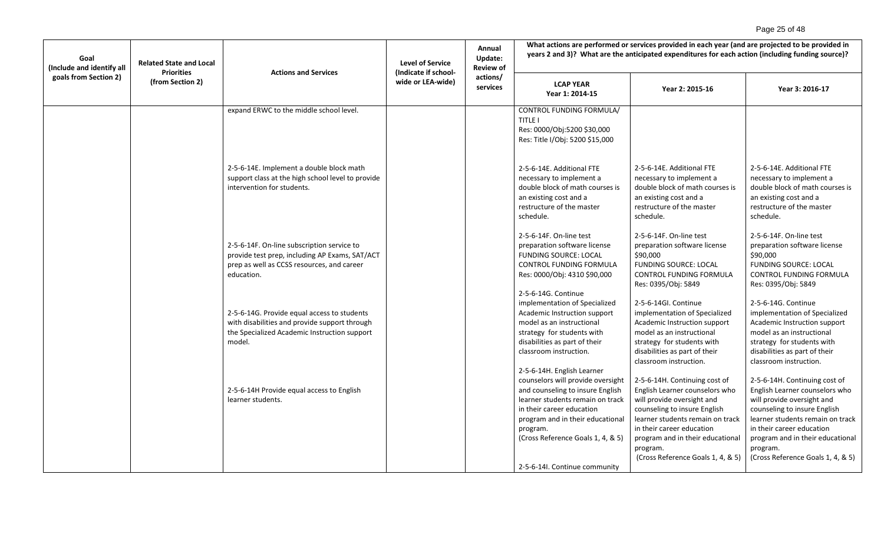# Page 25 of 48

| Goal<br>(Include and identify all | <b>Related State and Local</b><br><b>Priorities</b> | <b>Actions and Services</b>                                                                                                                              | <b>Level of Service</b><br>(Indicate if school- | Annual<br>Update:<br><b>Review of</b> | What actions are performed or services provided in each year (and are projected to be provided in<br>years 2 and 3)? What are the anticipated expenditures for each action (including funding source)?                                                       |                                                                                                                                                                                                                                                                                     |                                                                                                                                                                                                                                                                                     |
|-----------------------------------|-----------------------------------------------------|----------------------------------------------------------------------------------------------------------------------------------------------------------|-------------------------------------------------|---------------------------------------|--------------------------------------------------------------------------------------------------------------------------------------------------------------------------------------------------------------------------------------------------------------|-------------------------------------------------------------------------------------------------------------------------------------------------------------------------------------------------------------------------------------------------------------------------------------|-------------------------------------------------------------------------------------------------------------------------------------------------------------------------------------------------------------------------------------------------------------------------------------|
| goals from Section 2)             | (from Section 2)                                    |                                                                                                                                                          | wide or LEA-wide)                               | actions/<br>services                  | <b>LCAP YEAR</b><br>Year 1: 2014-15                                                                                                                                                                                                                          | Year 2: 2015-16                                                                                                                                                                                                                                                                     | Year 3: 2016-17                                                                                                                                                                                                                                                                     |
|                                   |                                                     | expand ERWC to the middle school level.                                                                                                                  |                                                 |                                       | CONTROL FUNDING FORMULA/<br><b>TITLE I</b><br>Res: 0000/Obj:5200 \$30,000<br>Res: Title I/Obj: 5200 \$15,000                                                                                                                                                 |                                                                                                                                                                                                                                                                                     |                                                                                                                                                                                                                                                                                     |
|                                   |                                                     | 2-5-6-14E. Implement a double block math<br>support class at the high school level to provide<br>intervention for students.                              |                                                 |                                       | 2-5-6-14E. Additional FTE<br>necessary to implement a<br>double block of math courses is<br>an existing cost and a<br>restructure of the master<br>schedule.                                                                                                 | 2-5-6-14E. Additional FTE<br>necessary to implement a<br>double block of math courses is<br>an existing cost and a<br>restructure of the master<br>schedule.                                                                                                                        | 2-5-6-14E. Additional FTE<br>necessary to implement a<br>double block of math courses is<br>an existing cost and a<br>restructure of the master<br>schedule.                                                                                                                        |
|                                   |                                                     | 2-5-6-14F. On-line subscription service to<br>provide test prep, including AP Exams, SAT/ACT<br>prep as well as CCSS resources, and career<br>education. |                                                 |                                       | 2-5-6-14F. On-line test<br>preparation software license<br><b>FUNDING SOURCE: LOCAL</b><br>CONTROL FUNDING FORMULA<br>Res: 0000/Obj: 4310 \$90,000<br>2-5-6-14G. Continue                                                                                    | 2-5-6-14F. On-line test<br>preparation software license<br>\$90,000<br><b>FUNDING SOURCE: LOCAL</b><br>CONTROL FUNDING FORMULA<br>Res: 0395/Obj: 5849                                                                                                                               | 2-5-6-14F. On-line test<br>preparation software license<br>\$90,000<br><b>FUNDING SOURCE: LOCAL</b><br>CONTROL FUNDING FORMULA<br>Res: 0395/Obj: 5849                                                                                                                               |
|                                   |                                                     | 2-5-6-14G. Provide equal access to students<br>with disabilities and provide support through<br>the Specialized Academic Instruction support<br>model.   |                                                 |                                       | implementation of Specialized<br>Academic Instruction support<br>model as an instructional<br>strategy for students with<br>disabilities as part of their<br>classroom instruction.<br>2-5-6-14H. English Learner                                            | 2-5-6-14GI. Continue<br>implementation of Specialized<br>Academic Instruction support<br>model as an instructional<br>strategy for students with<br>disabilities as part of their<br>classroom instruction.                                                                         | 2-5-6-14G. Continue<br>implementation of Specialized<br>Academic Instruction support<br>model as an instructional<br>strategy for students with<br>disabilities as part of their<br>classroom instruction.                                                                          |
|                                   |                                                     | 2-5-6-14H Provide equal access to English<br>learner students.                                                                                           |                                                 |                                       | counselors will provide oversight<br>and counseling to insure English<br>learner students remain on track<br>in their career education<br>program and in their educational<br>program.<br>(Cross Reference Goals 1, 4, & 5)<br>2-5-6-14I. Continue community | 2-5-6-14H. Continuing cost of<br>English Learner counselors who<br>will provide oversight and<br>counseling to insure English<br>learner students remain on track<br>in their career education<br>program and in their educational<br>program.<br>(Cross Reference Goals 1, 4, & 5) | 2-5-6-14H. Continuing cost of<br>English Learner counselors who<br>will provide oversight and<br>counseling to insure English<br>learner students remain on track<br>in their career education<br>program and in their educational<br>program.<br>(Cross Reference Goals 1, 4, & 5) |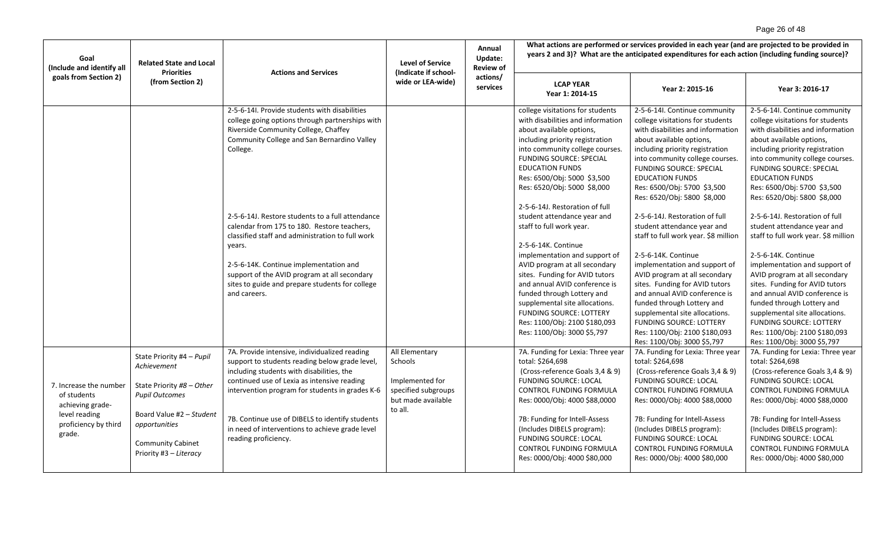# Page 26 of 48

| Goal<br>(Include and identify all<br>goals from Section 2)                                                   | <b>Related State and Local</b><br><b>Priorities</b>                                                                                                                                               | <b>Actions and Services</b>                                                                                                                                                                                                                                                                                                                                                                                                                                                                                                       | <b>Level of Service</b><br>(Indicate if school-                                                      | Annual<br>Update:<br><b>Review of</b> | What actions are performed or services provided in each year (and are projected to be provided in<br>years 2 and 3)? What are the anticipated expenditures for each action (including funding source)?                                                                                                                                                                                                                                                                                                                                                                                                                                                                                                                       |                                                                                                                                                                                                                                                                                                                                                                                                                                                                                                                                                                                                                                                                                                                                                                           |                                                                                                                                                                                                                                                                                                                                                                                                                                                                                                                                                                                                                                                                                                                                                                           |  |
|--------------------------------------------------------------------------------------------------------------|---------------------------------------------------------------------------------------------------------------------------------------------------------------------------------------------------|-----------------------------------------------------------------------------------------------------------------------------------------------------------------------------------------------------------------------------------------------------------------------------------------------------------------------------------------------------------------------------------------------------------------------------------------------------------------------------------------------------------------------------------|------------------------------------------------------------------------------------------------------|---------------------------------------|------------------------------------------------------------------------------------------------------------------------------------------------------------------------------------------------------------------------------------------------------------------------------------------------------------------------------------------------------------------------------------------------------------------------------------------------------------------------------------------------------------------------------------------------------------------------------------------------------------------------------------------------------------------------------------------------------------------------------|---------------------------------------------------------------------------------------------------------------------------------------------------------------------------------------------------------------------------------------------------------------------------------------------------------------------------------------------------------------------------------------------------------------------------------------------------------------------------------------------------------------------------------------------------------------------------------------------------------------------------------------------------------------------------------------------------------------------------------------------------------------------------|---------------------------------------------------------------------------------------------------------------------------------------------------------------------------------------------------------------------------------------------------------------------------------------------------------------------------------------------------------------------------------------------------------------------------------------------------------------------------------------------------------------------------------------------------------------------------------------------------------------------------------------------------------------------------------------------------------------------------------------------------------------------------|--|
|                                                                                                              | (from Section 2)                                                                                                                                                                                  |                                                                                                                                                                                                                                                                                                                                                                                                                                                                                                                                   | wide or LEA-wide)                                                                                    | actions/<br>services                  | <b>LCAP YEAR</b><br>Year 1: 2014-15                                                                                                                                                                                                                                                                                                                                                                                                                                                                                                                                                                                                                                                                                          | Year 2: 2015-16                                                                                                                                                                                                                                                                                                                                                                                                                                                                                                                                                                                                                                                                                                                                                           | Year 3: 2016-17                                                                                                                                                                                                                                                                                                                                                                                                                                                                                                                                                                                                                                                                                                                                                           |  |
|                                                                                                              |                                                                                                                                                                                                   | 2-5-6-14I. Provide students with disabilities<br>college going options through partnerships with<br>Riverside Community College, Chaffey<br>Community College and San Bernardino Valley<br>College.<br>2-5-6-14J. Restore students to a full attendance<br>calendar from 175 to 180. Restore teachers,<br>classified staff and administration to full work<br>vears.<br>2-5-6-14K. Continue implementation and<br>support of the AVID program at all secondary<br>sites to guide and prepare students for college<br>and careers. |                                                                                                      |                                       | college visitations for students<br>with disabilities and information<br>about available options,<br>including priority registration<br>into community college courses.<br><b>FUNDING SOURCE: SPECIAL</b><br><b>EDUCATION FUNDS</b><br>Res: 6500/Obj: 5000 \$3,500<br>Res: 6520/Obj: 5000 \$8,000<br>2-5-6-14J. Restoration of full<br>student attendance year and<br>staff to full work year.<br>2-5-6-14K. Continue<br>implementation and support of<br>AVID program at all secondary<br>sites. Funding for AVID tutors<br>and annual AVID conference is<br>funded through Lottery and<br>supplemental site allocations.<br><b>FUNDING SOURCE: LOTTERY</b><br>Res: 1100/Obj: 2100 \$180,093<br>Res: 1100/Obj: 3000 \$5,797 | 2-5-6-14I. Continue community<br>college visitations for students<br>with disabilities and information<br>about available options,<br>including priority registration<br>into community college courses.<br><b>FUNDING SOURCE: SPECIAL</b><br><b>EDUCATION FUNDS</b><br>Res: 6500/Obj: 5700 \$3,500<br>Res: 6520/Obj: 5800 \$8,000<br>2-5-6-14J. Restoration of full<br>student attendance year and<br>staff to full work year. \$8 million<br>2-5-6-14K. Continue<br>implementation and support of<br>AVID program at all secondary<br>sites. Funding for AVID tutors<br>and annual AVID conference is<br>funded through Lottery and<br>supplemental site allocations.<br><b>FUNDING SOURCE: LOTTERY</b><br>Res: 1100/Obj: 2100 \$180,093<br>Res: 1100/Obj: 3000 \$5,797 | 2-5-6-14I. Continue community<br>college visitations for students<br>with disabilities and information<br>about available options,<br>including priority registration<br>into community college courses.<br><b>FUNDING SOURCE: SPECIAL</b><br><b>EDUCATION FUNDS</b><br>Res: 6500/Obj: 5700 \$3,500<br>Res: 6520/Obj: 5800 \$8,000<br>2-5-6-14J. Restoration of full<br>student attendance year and<br>staff to full work year. \$8 million<br>2-5-6-14K. Continue<br>implementation and support of<br>AVID program at all secondary<br>sites. Funding for AVID tutors<br>and annual AVID conference is<br>funded through Lottery and<br>supplemental site allocations.<br><b>FUNDING SOURCE: LOTTERY</b><br>Res: 1100/Obj: 2100 \$180,093<br>Res: 1100/Obj: 3000 \$5,797 |  |
| 7. Increase the number<br>of students<br>achieving grade-<br>level reading<br>proficiency by third<br>grade. | State Priority #4 - Pupil<br>Achievement<br>State Priority #8 - Other<br><b>Pupil Outcomes</b><br>Board Value #2 - Student<br>opportunities<br><b>Community Cabinet</b><br>Priority #3 - Literacy | 7A. Provide intensive, individualized reading<br>support to students reading below grade level,<br>including students with disabilities, the<br>continued use of Lexia as intensive reading<br>intervention program for students in grades K-6<br>7B. Continue use of DIBELS to identify students<br>in need of interventions to achieve grade level<br>reading proficiency.                                                                                                                                                      | All Elementary<br>Schools<br>Implemented for<br>specified subgroups<br>but made available<br>to all. |                                       | 7A. Funding for Lexia: Three year<br>total: \$264,698<br>(Cross-reference Goals 3,4 & 9)<br><b>FUNDING SOURCE: LOCAL</b><br>CONTROL FUNDING FORMULA<br>Res: 0000/Obj: 4000 \$88,0000<br>7B: Funding for Intell-Assess<br>(Includes DIBELS program):<br><b>FUNDING SOURCE: LOCAL</b><br><b>CONTROL FUNDING FORMULA</b><br>Res: 0000/Obj: 4000 \$80,000                                                                                                                                                                                                                                                                                                                                                                        | 7A. Funding for Lexia: Three year<br>total: \$264,698<br>(Cross-reference Goals 3,4 & 9)<br><b>FUNDING SOURCE: LOCAL</b><br>CONTROL FUNDING FORMULA<br>Res: 0000/Obj: 4000 \$88,0000<br>7B: Funding for Intell-Assess<br>(Includes DIBELS program):<br><b>FUNDING SOURCE: LOCAL</b><br>CONTROL FUNDING FORMULA<br>Res: 0000/Obj: 4000 \$80,000                                                                                                                                                                                                                                                                                                                                                                                                                            | 7A. Funding for Lexia: Three year<br>total: \$264,698<br>(Cross-reference Goals 3,4 & 9)<br><b>FUNDING SOURCE: LOCAL</b><br>CONTROL FUNDING FORMULA<br>Res: 0000/Obj: 4000 \$88,0000<br>7B: Funding for Intell-Assess<br>(Includes DIBELS program):<br><b>FUNDING SOURCE: LOCAL</b><br>CONTROL FUNDING FORMULA<br>Res: 0000/Obj: 4000 \$80,000                                                                                                                                                                                                                                                                                                                                                                                                                            |  |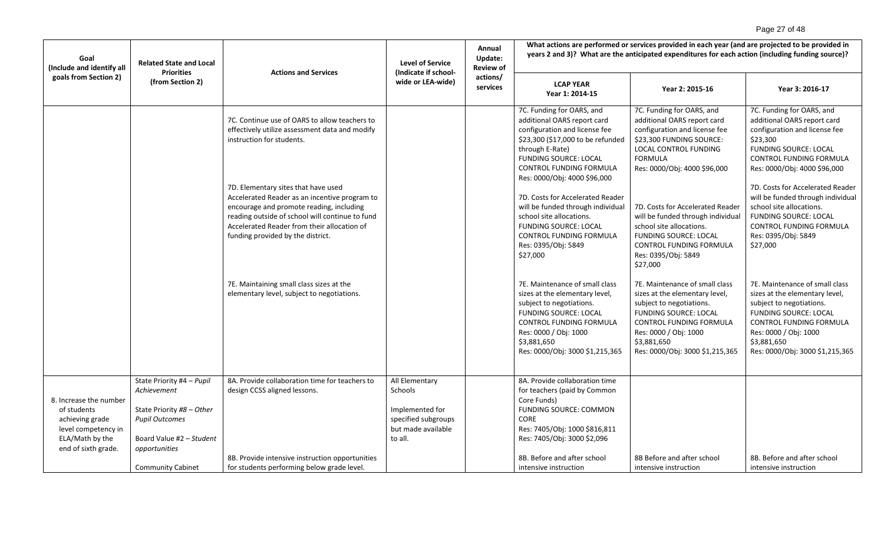# Page 27 of 48

| Goal<br>(Include and identify all                                                                                         | <b>Related State and Local</b><br><b>Priorities</b>                                                                                                                     | <b>Actions and Services</b>                                                                                                                                                                                                                                             | <b>Level of Service</b><br>(Indicate if school-                                                      | Annual<br>Update:<br><b>Review of</b> | What actions are performed or services provided in each year (and are projected to be provided in<br>years 2 and 3)? What are the anticipated expenditures for each action (including funding source)?                                                |                                                                                                                                                                                                                                    |                                                                                                                                                                                                                                    |
|---------------------------------------------------------------------------------------------------------------------------|-------------------------------------------------------------------------------------------------------------------------------------------------------------------------|-------------------------------------------------------------------------------------------------------------------------------------------------------------------------------------------------------------------------------------------------------------------------|------------------------------------------------------------------------------------------------------|---------------------------------------|-------------------------------------------------------------------------------------------------------------------------------------------------------------------------------------------------------------------------------------------------------|------------------------------------------------------------------------------------------------------------------------------------------------------------------------------------------------------------------------------------|------------------------------------------------------------------------------------------------------------------------------------------------------------------------------------------------------------------------------------|
| goals from Section 2)                                                                                                     | (from Section 2)                                                                                                                                                        |                                                                                                                                                                                                                                                                         | wide or LEA-wide)                                                                                    | actions/<br>services                  | <b>LCAP YEAR</b><br>Year 1: 2014-15                                                                                                                                                                                                                   | Year 2: 2015-16                                                                                                                                                                                                                    | Year 3: 2016-17                                                                                                                                                                                                                    |
|                                                                                                                           |                                                                                                                                                                         | 7C. Continue use of OARS to allow teachers to<br>effectively utilize assessment data and modify<br>instruction for students.                                                                                                                                            |                                                                                                      |                                       | 7C. Funding for OARS, and<br>additional OARS report card<br>configuration and license fee<br>\$23,300 (\$17,000 to be refunded<br>through E-Rate)<br><b>FUNDING SOURCE: LOCAL</b><br>CONTROL FUNDING FORMULA                                          | 7C. Funding for OARS, and<br>additional OARS report card<br>configuration and license fee<br>\$23,300 FUNDING SOURCE:<br>LOCAL CONTROL FUNDING<br><b>FORMULA</b><br>Res: 0000/Obj: 4000 \$96,000                                   | 7C. Funding for OARS, and<br>additional OARS report card<br>configuration and license fee<br>\$23,300<br><b>FUNDING SOURCE: LOCAL</b><br><b>CONTROL FUNDING FORMULA</b><br>Res: 0000/Obj: 4000 \$96,000                            |
|                                                                                                                           |                                                                                                                                                                         | 7D. Elementary sites that have used<br>Accelerated Reader as an incentive program to<br>encourage and promote reading, including<br>reading outside of school will continue to fund<br>Accelerated Reader from their allocation of<br>funding provided by the district. |                                                                                                      |                                       | Res: 0000/Obj: 4000 \$96,000<br>7D. Costs for Accelerated Reader<br>will be funded through individual<br>school site allocations.<br><b>FUNDING SOURCE: LOCAL</b><br>CONTROL FUNDING FORMULA<br>Res: 0395/Obj: 5849<br>\$27,000                       | 7D. Costs for Accelerated Reader<br>will be funded through individual<br>school site allocations.<br><b>FUNDING SOURCE: LOCAL</b><br><b>CONTROL FUNDING FORMULA</b><br>Res: 0395/Obj: 5849<br>\$27,000                             | 7D. Costs for Accelerated Reader<br>will be funded through individual<br>school site allocations.<br><b>FUNDING SOURCE: LOCAL</b><br><b>CONTROL FUNDING FORMULA</b><br>Res: 0395/Obj: 5849<br>\$27,000                             |
|                                                                                                                           |                                                                                                                                                                         | 7E. Maintaining small class sizes at the<br>elementary level, subject to negotiations.                                                                                                                                                                                  |                                                                                                      |                                       | 7E. Maintenance of small class<br>sizes at the elementary level,<br>subject to negotiations.<br><b>FUNDING SOURCE: LOCAL</b><br>CONTROL FUNDING FORMULA<br>Res: 0000 / Obj: 1000<br>\$3,881,650<br>Res: 0000/Obj: 3000 \$1,215,365                    | 7E. Maintenance of small class<br>sizes at the elementary level,<br>subject to negotiations.<br><b>FUNDING SOURCE: LOCAL</b><br>CONTROL FUNDING FORMULA<br>Res: 0000 / Obj: 1000<br>\$3,881,650<br>Res: 0000/Obj: 3000 \$1,215,365 | 7E. Maintenance of small class<br>sizes at the elementary level,<br>subject to negotiations.<br><b>FUNDING SOURCE: LOCAL</b><br>CONTROL FUNDING FORMULA<br>Res: 0000 / Obj: 1000<br>\$3,881,650<br>Res: 0000/Obj: 3000 \$1,215,365 |
| 8. Increase the number<br>of students<br>achieving grade<br>level competency in<br>ELA/Math by the<br>end of sixth grade. | State Priority #4 - Pupil<br>Achievement<br>State Priority #8 - Other<br><b>Pupil Outcomes</b><br>Board Value #2 - Student<br>opportunities<br><b>Community Cabinet</b> | 8A. Provide collaboration time for teachers to<br>design CCSS aligned lessons.<br>8B. Provide intensive instruction opportunities<br>for students performing below grade level.                                                                                         | All Elementary<br>Schools<br>Implemented for<br>specified subgroups<br>but made available<br>to all. |                                       | 8A. Provide collaboration time<br>for teachers (paid by Common<br>Core Funds)<br><b>FUNDING SOURCE: COMMON</b><br><b>CORE</b><br>Res: 7405/Obj: 1000 \$816,811<br>Res: 7405/Obj: 3000 \$2,096<br>8B. Before and after school<br>intensive instruction | 8B Before and after school<br>intensive instruction                                                                                                                                                                                | 8B. Before and after school<br>intensive instruction                                                                                                                                                                               |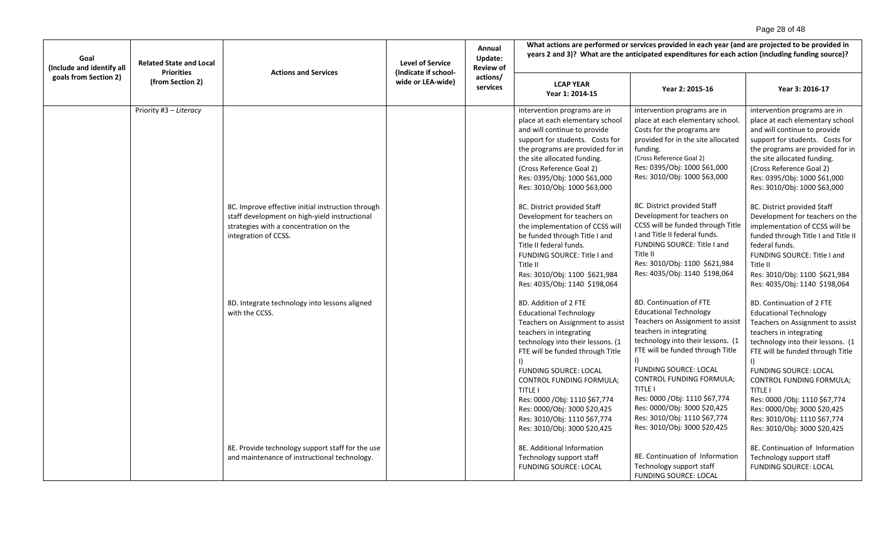# Page 28 of 48

| Goal<br>(Include and identify all | <b>Related State and Local</b><br><b>Priorities</b> | <b>Actions and Services</b>                                                                                                                                          | <b>Level of Service</b><br>(Indicate if school- | Annual<br>Update:<br><b>Review of</b> | What actions are performed or services provided in each year (and are projected to be provided in<br>years 2 and 3)? What are the anticipated expenditures for each action (including funding source)?                                                                                                                                                                                                                |                                                                                                                                                                                                                                                                                                                                                                                                                      |                                                                                                                                                                                                                                                                                                                                                                                                                    |  |
|-----------------------------------|-----------------------------------------------------|----------------------------------------------------------------------------------------------------------------------------------------------------------------------|-------------------------------------------------|---------------------------------------|-----------------------------------------------------------------------------------------------------------------------------------------------------------------------------------------------------------------------------------------------------------------------------------------------------------------------------------------------------------------------------------------------------------------------|----------------------------------------------------------------------------------------------------------------------------------------------------------------------------------------------------------------------------------------------------------------------------------------------------------------------------------------------------------------------------------------------------------------------|--------------------------------------------------------------------------------------------------------------------------------------------------------------------------------------------------------------------------------------------------------------------------------------------------------------------------------------------------------------------------------------------------------------------|--|
| goals from Section 2)             | (from Section 2)                                    |                                                                                                                                                                      | wide or LEA-wide)                               | actions/<br>services                  | <b>LCAP YEAR</b><br>Year 1: 2014-15                                                                                                                                                                                                                                                                                                                                                                                   | Year 2: 2015-16                                                                                                                                                                                                                                                                                                                                                                                                      | Year 3: 2016-17                                                                                                                                                                                                                                                                                                                                                                                                    |  |
|                                   | Priority #3 - Literacy                              |                                                                                                                                                                      |                                                 |                                       | intervention programs are in<br>place at each elementary school<br>and will continue to provide<br>support for students. Costs for<br>the programs are provided for in<br>the site allocated funding.<br>(Cross Reference Goal 2)<br>Res: 0395/Obj: 1000 \$61,000<br>Res: 3010/Obj: 1000 \$63,000                                                                                                                     | intervention programs are in<br>place at each elementary school.<br>Costs for the programs are<br>provided for in the site allocated<br>funding.<br>(Cross Reference Goal 2)<br>Res: 0395/Obj: 1000 \$61,000<br>Res: 3010/Obj: 1000 \$63,000                                                                                                                                                                         | intervention programs are in<br>place at each elementary school<br>and will continue to provide<br>support for students. Costs for<br>the programs are provided for in<br>the site allocated funding.<br>(Cross Reference Goal 2)<br>Res: 0395/Obj: 1000 \$61,000<br>Res: 3010/Obj: 1000 \$63,000                                                                                                                  |  |
|                                   |                                                     | 8C. Improve effective initial instruction through<br>staff development on high-yield instructional<br>strategies with a concentration on the<br>integration of CCSS. |                                                 |                                       | 8C. District provided Staff<br>Development for teachers on<br>the implementation of CCSS will<br>be funded through Title I and<br>Title II federal funds.<br>FUNDING SOURCE: Title I and<br>Title II<br>Res: 3010/Obj: 1100 \$621,984<br>Res: 4035/Obj: 1140 \$198,064                                                                                                                                                | 8C. District provided Staff<br>Development for teachers on<br>CCSS will be funded through Title<br>I and Title II federal funds.<br>FUNDING SOURCE: Title I and<br>Title II<br>Res: 3010/Obj: 1100 \$621,984<br>Res: 4035/Obj: 1140 \$198,064                                                                                                                                                                        | 8C. District provided Staff<br>Development for teachers on the<br>implementation of CCSS will be<br>funded through Title I and Title II<br>federal funds.<br>FUNDING SOURCE: Title I and<br>Title II<br>Res: 3010/Obj: 1100 \$621,984<br>Res: 4035/Obj: 1140 \$198,064                                                                                                                                             |  |
|                                   |                                                     | 8D. Integrate technology into lessons aligned<br>with the CCSS.                                                                                                      |                                                 |                                       | 8D. Addition of 2 FTE<br><b>Educational Technology</b><br>Teachers on Assignment to assist<br>teachers in integrating<br>technology into their lessons. (1<br>FTE will be funded through Title<br><b>FUNDING SOURCE: LOCAL</b><br><b>CONTROL FUNDING FORMULA:</b><br><b>TITLE I</b><br>Res: 0000 / Obj: 1110 \$67,774<br>Res: 0000/Obj: 3000 \$20,425<br>Res: 3010/Obj: 1110 \$67,774<br>Res: 3010/Obj: 3000 \$20,425 | 8D. Continuation of FTE<br><b>Educational Technology</b><br>Teachers on Assignment to assist<br>teachers in integrating<br>technology into their lessons. (1<br>FTE will be funded through Title<br>$\vert$<br><b>FUNDING SOURCE: LOCAL</b><br>CONTROL FUNDING FORMULA;<br>TITLE I<br>Res: 0000 / Obj: 1110 \$67,774<br>Res: 0000/Obj: 3000 \$20,425<br>Res: 3010/Obj: 1110 \$67,774<br>Res: 3010/Obj: 3000 \$20,425 | 8D. Continuation of 2 FTE<br><b>Educational Technology</b><br>Teachers on Assignment to assist<br>teachers in integrating<br>technology into their lessons. (1<br>FTE will be funded through Title<br><b>FUNDING SOURCE: LOCAL</b><br><b>CONTROL FUNDING FORMULA:</b><br>TITLE I<br>Res: 0000 / Obj: 1110 \$67,774<br>Res: 0000/Obj: 3000 \$20,425<br>Res: 3010/Obj: 1110 \$67,774<br>Res: 3010/Obj: 3000 \$20,425 |  |
|                                   |                                                     | 8E. Provide technology support staff for the use<br>and maintenance of instructional technology.                                                                     |                                                 |                                       | 8E. Additional Information<br>Technology support staff<br><b>FUNDING SOURCE: LOCAL</b>                                                                                                                                                                                                                                                                                                                                | 8E. Continuation of Information<br>Technology support staff<br><b>FUNDING SOURCE: LOCAL</b>                                                                                                                                                                                                                                                                                                                          | 8E. Continuation of Information<br>Technology support staff<br><b>FUNDING SOURCE: LOCAL</b>                                                                                                                                                                                                                                                                                                                        |  |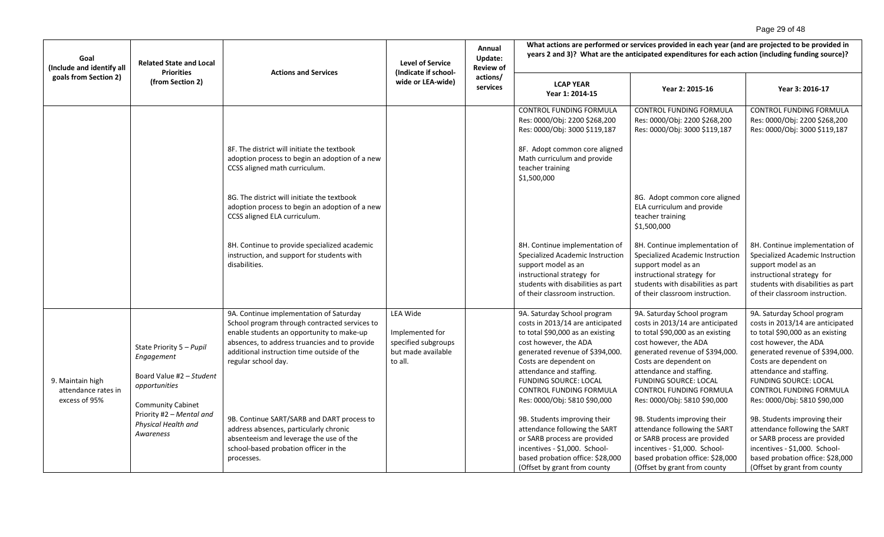# Page 29 of 48

| Goal<br>(Include and identify all                        | <b>Related State and Local</b><br><b>Priorities</b>                                                                                                                             | <b>Actions and Services</b>                                                                                                                                                                                                                                                                                                                                                                                                                           | <b>Level of Service</b>                                                             | Annual<br>Update:<br><b>Review of</b> | What actions are performed or services provided in each year (and are projected to be provided in<br>years 2 and 3)? What are the anticipated expenditures for each action (including funding source)?                                                                                                                                                                                                                                                                                                                 |                                                                                                                                                                                                                                                                                                                                                                                                                                                                                                                        |                                                                                                                                                                                                                                                                                                                                                                                                                                                                                                                        |  |
|----------------------------------------------------------|---------------------------------------------------------------------------------------------------------------------------------------------------------------------------------|-------------------------------------------------------------------------------------------------------------------------------------------------------------------------------------------------------------------------------------------------------------------------------------------------------------------------------------------------------------------------------------------------------------------------------------------------------|-------------------------------------------------------------------------------------|---------------------------------------|------------------------------------------------------------------------------------------------------------------------------------------------------------------------------------------------------------------------------------------------------------------------------------------------------------------------------------------------------------------------------------------------------------------------------------------------------------------------------------------------------------------------|------------------------------------------------------------------------------------------------------------------------------------------------------------------------------------------------------------------------------------------------------------------------------------------------------------------------------------------------------------------------------------------------------------------------------------------------------------------------------------------------------------------------|------------------------------------------------------------------------------------------------------------------------------------------------------------------------------------------------------------------------------------------------------------------------------------------------------------------------------------------------------------------------------------------------------------------------------------------------------------------------------------------------------------------------|--|
| goals from Section 2)                                    | (from Section 2)                                                                                                                                                                |                                                                                                                                                                                                                                                                                                                                                                                                                                                       | (Indicate if school-<br>wide or LEA-wide)                                           | actions/<br>services                  | <b>LCAP YEAR</b><br>Year 1: 2014-15                                                                                                                                                                                                                                                                                                                                                                                                                                                                                    | Year 2: 2015-16                                                                                                                                                                                                                                                                                                                                                                                                                                                                                                        | Year 3: 2016-17                                                                                                                                                                                                                                                                                                                                                                                                                                                                                                        |  |
|                                                          |                                                                                                                                                                                 | 8F. The district will initiate the textbook<br>adoption process to begin an adoption of a new<br>CCSS aligned math curriculum.<br>8G. The district will initiate the textbook<br>adoption process to begin an adoption of a new<br>CCSS aligned ELA curriculum.<br>8H. Continue to provide specialized academic<br>instruction, and support for students with<br>disabilities.                                                                        |                                                                                     |                                       | CONTROL FUNDING FORMULA<br>Res: 0000/Obj: 2200 \$268,200<br>Res: 0000/Obj: 3000 \$119,187<br>8F. Adopt common core aligned<br>Math curriculum and provide<br>teacher training<br>\$1,500,000<br>8H. Continue implementation of<br><b>Specialized Academic Instruction</b><br>support model as an<br>instructional strategy for<br>students with disabilities as part<br>of their classroom instruction.                                                                                                                | CONTROL FUNDING FORMULA<br>Res: 0000/Obj: 2200 \$268,200<br>Res: 0000/Obj: 3000 \$119,187<br>8G. Adopt common core aligned<br>ELA curriculum and provide<br>teacher training<br>\$1,500,000<br>8H. Continue implementation of<br>Specialized Academic Instruction<br>support model as an<br>instructional strategy for<br>students with disabilities as part<br>of their classroom instruction.                                                                                                                        | CONTROL FUNDING FORMULA<br>Res: 0000/Obj: 2200 \$268,200<br>Res: 0000/Obj: 3000 \$119,187<br>8H. Continue implementation of<br>Specialized Academic Instruction<br>support model as an<br>instructional strategy for<br>students with disabilities as part<br>of their classroom instruction.                                                                                                                                                                                                                          |  |
| 9. Maintain high<br>attendance rates in<br>excess of 95% | State Priority 5 - Pupil<br>Engagement<br>Board Value #2 - Student<br>opportunities<br><b>Community Cabinet</b><br>Priority #2 - Mental and<br>Physical Health and<br>Awareness | 9A. Continue implementation of Saturday<br>School program through contracted services to<br>enable students an opportunity to make-up<br>absences, to address truancies and to provide<br>additional instruction time outside of the<br>regular school day.<br>9B. Continue SART/SARB and DART process to<br>address absences, particularly chronic<br>absenteeism and leverage the use of the<br>school-based probation officer in the<br>processes. | LEA Wide<br>Implemented for<br>specified subgroups<br>but made available<br>to all. |                                       | 9A. Saturday School program<br>costs in 2013/14 are anticipated<br>to total \$90,000 as an existing<br>cost however, the ADA<br>generated revenue of \$394,000.<br>Costs are dependent on<br>attendance and staffing.<br><b>FUNDING SOURCE: LOCAL</b><br>CONTROL FUNDING FORMULA<br>Res: 0000/Obj: 5810 \$90,000<br>9B. Students improving their<br>attendance following the SART<br>or SARB process are provided<br>incentives - \$1,000. School-<br>based probation office: \$28,000<br>(Offset by grant from county | 9A. Saturday School program<br>costs in 2013/14 are anticipated<br>to total \$90,000 as an existing<br>cost however, the ADA<br>generated revenue of \$394,000.<br>Costs are dependent on<br>attendance and staffing.<br><b>FUNDING SOURCE: LOCAL</b><br>CONTROL FUNDING FORMULA<br>Res: 0000/Obj: 5810 \$90,000<br>9B. Students improving their<br>attendance following the SART<br>or SARB process are provided<br>incentives - \$1,000. School-<br>based probation office: \$28,000<br>(Offset by grant from county | 9A. Saturday School program<br>costs in 2013/14 are anticipated<br>to total \$90,000 as an existing<br>cost however, the ADA<br>generated revenue of \$394,000.<br>Costs are dependent on<br>attendance and staffing.<br><b>FUNDING SOURCE: LOCAL</b><br>CONTROL FUNDING FORMULA<br>Res: 0000/Obj: 5810 \$90,000<br>9B. Students improving their<br>attendance following the SART<br>or SARB process are provided<br>incentives - \$1,000. School-<br>based probation office: \$28,000<br>(Offset by grant from county |  |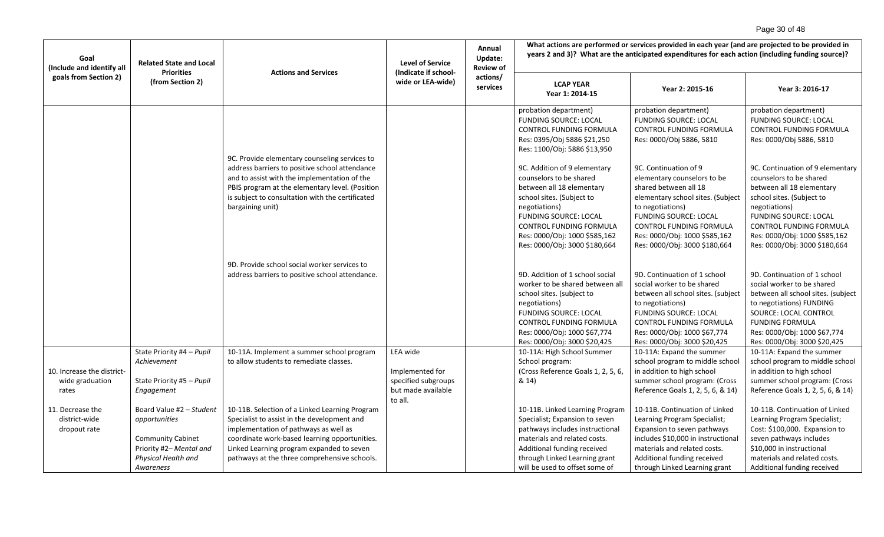# Page 30 of 48

| Goal<br>(Include and identify all<br>goals from Section 2) | <b>Related State and Local</b><br><b>Priorities</b>                                                                     | <b>Actions and Services</b>                                                                                                                                                                                                                                                          | <b>Level of Service</b><br>(Indicate if school-                                     | Annual<br>Update:<br><b>Review of</b> | What actions are performed or services provided in each year (and are projected to be provided in<br>years 2 and 3)? What are the anticipated expenditures for each action (including funding source)?                                      |                                                                                                                                                                                                                                                        |                                                                                                                                                                                                                                                 |  |
|------------------------------------------------------------|-------------------------------------------------------------------------------------------------------------------------|--------------------------------------------------------------------------------------------------------------------------------------------------------------------------------------------------------------------------------------------------------------------------------------|-------------------------------------------------------------------------------------|---------------------------------------|---------------------------------------------------------------------------------------------------------------------------------------------------------------------------------------------------------------------------------------------|--------------------------------------------------------------------------------------------------------------------------------------------------------------------------------------------------------------------------------------------------------|-------------------------------------------------------------------------------------------------------------------------------------------------------------------------------------------------------------------------------------------------|--|
|                                                            | (from Section 2)                                                                                                        |                                                                                                                                                                                                                                                                                      | wide or LEA-wide)                                                                   | actions/<br>services                  | <b>LCAP YEAR</b><br>Year 1: 2014-15                                                                                                                                                                                                         | Year 2: 2015-16                                                                                                                                                                                                                                        | Year 3: 2016-17                                                                                                                                                                                                                                 |  |
|                                                            |                                                                                                                         | 9C. Provide elementary counseling services to                                                                                                                                                                                                                                        |                                                                                     |                                       | probation department)<br><b>FUNDING SOURCE: LOCAL</b><br>CONTROL FUNDING FORMULA<br>Res: 0395/Obj 5886 \$21,250<br>Res: 1100/Obj: 5886 \$13,950                                                                                             | probation department)<br><b>FUNDING SOURCE: LOCAL</b><br>CONTROL FUNDING FORMULA<br>Res: 0000/Obj 5886, 5810                                                                                                                                           | probation department)<br><b>FUNDING SOURCE: LOCAL</b><br>CONTROL FUNDING FORMULA<br>Res: 0000/Obj 5886, 5810                                                                                                                                    |  |
|                                                            |                                                                                                                         | address barriers to positive school attendance<br>and to assist with the implementation of the<br>PBIS program at the elementary level. (Position<br>is subject to consultation with the certificated                                                                                |                                                                                     |                                       | 9C. Addition of 9 elementary<br>counselors to be shared<br>between all 18 elementary<br>school sites. (Subject to                                                                                                                           | 9C. Continuation of 9<br>elementary counselors to be<br>shared between all 18<br>elementary school sites. (Subject                                                                                                                                     | 9C. Continuation of 9 elementary<br>counselors to be shared<br>between all 18 elementary<br>school sites. (Subject to                                                                                                                           |  |
|                                                            |                                                                                                                         | bargaining unit)                                                                                                                                                                                                                                                                     |                                                                                     |                                       | negotiations)<br><b>FUNDING SOURCE: LOCAL</b><br>CONTROL FUNDING FORMULA<br>Res: 0000/Obj: 1000 \$585,162<br>Res: 0000/Obj: 3000 \$180,664                                                                                                  | to negotiations)<br><b>FUNDING SOURCE: LOCAL</b><br><b>CONTROL FUNDING FORMULA</b><br>Res: 0000/Obj: 1000 \$585,162<br>Res: 0000/Obj: 3000 \$180,664                                                                                                   | negotiations)<br><b>FUNDING SOURCE: LOCAL</b><br><b>CONTROL FUNDING FORMULA</b><br>Res: 0000/Obj: 1000 \$585,162<br>Res: 0000/Obj: 3000 \$180,664                                                                                               |  |
|                                                            |                                                                                                                         | 9D. Provide school social worker services to<br>address barriers to positive school attendance.                                                                                                                                                                                      |                                                                                     |                                       | 9D. Addition of 1 school social<br>worker to be shared between all<br>school sites. (subject to<br>negotiations)<br><b>FUNDING SOURCE: LOCAL</b><br>CONTROL FUNDING FORMULA<br>Res: 0000/Obj: 1000 \$67,774<br>Res: 0000/Obj: 3000 \$20,425 | 9D. Continuation of 1 school<br>social worker to be shared<br>between all school sites. (subject<br>to negotiations)<br><b>FUNDING SOURCE: LOCAL</b><br><b>CONTROL FUNDING FORMULA</b><br>Res: 0000/Obj: 1000 \$67,774<br>Res: 0000/Obj: 3000 \$20,425 | 9D. Continuation of 1 school<br>social worker to be shared<br>between all school sites. (subject<br>to negotiations) FUNDING<br>SOURCE: LOCAL CONTROL<br><b>FUNDING FORMULA</b><br>Res: 0000/Obj: 1000 \$67,774<br>Res: 0000/Obj: 3000 \$20,425 |  |
| 10. Increase the district-<br>wide graduation<br>rates     | State Priority #4 - Pupil<br>Achievement<br>State Priority #5 - Pupil<br>Engagement                                     | 10-11A. Implement a summer school program<br>to allow students to remediate classes.                                                                                                                                                                                                 | LEA wide<br>Implemented for<br>specified subgroups<br>but made available<br>to all. |                                       | 10-11A: High School Summer<br>School program:<br>(Cross Reference Goals 1, 2, 5, 6,<br>& 14)                                                                                                                                                | 10-11A: Expand the summer<br>school program to middle school<br>in addition to high school<br>summer school program: (Cross<br>Reference Goals 1, 2, 5, 6, & 14)                                                                                       | 10-11A: Expand the summer<br>school program to middle school<br>in addition to high school<br>summer school program: (Cross<br>Reference Goals 1, 2, 5, 6, & 14)                                                                                |  |
| 11. Decrease the<br>district-wide<br>dropout rate          | Board Value #2 - Student<br>opportunities<br><b>Community Cabinet</b><br>Priority #2- Mental and<br>Physical Health and | 10-11B. Selection of a Linked Learning Program<br>Specialist to assist in the development and<br>implementation of pathways as well as<br>coordinate work-based learning opportunities.<br>Linked Learning program expanded to seven<br>pathways at the three comprehensive schools. |                                                                                     |                                       | 10-11B. Linked Learning Program<br>Specialist; Expansion to seven<br>pathways includes instructional<br>materials and related costs.<br>Additional funding received<br>through Linked Learning grant                                        | 10-11B. Continuation of Linked<br>Learning Program Specialist;<br>Expansion to seven pathways<br>includes \$10,000 in instructional<br>materials and related costs.<br>Additional funding received                                                     | 10-11B. Continuation of Linked<br>Learning Program Specialist;<br>Cost: \$100,000. Expansion to<br>seven pathways includes<br>\$10,000 in instructional<br>materials and related costs.                                                         |  |
|                                                            | Awareness                                                                                                               |                                                                                                                                                                                                                                                                                      |                                                                                     |                                       | will be used to offset some of                                                                                                                                                                                                              | through Linked Learning grant                                                                                                                                                                                                                          | Additional funding received                                                                                                                                                                                                                     |  |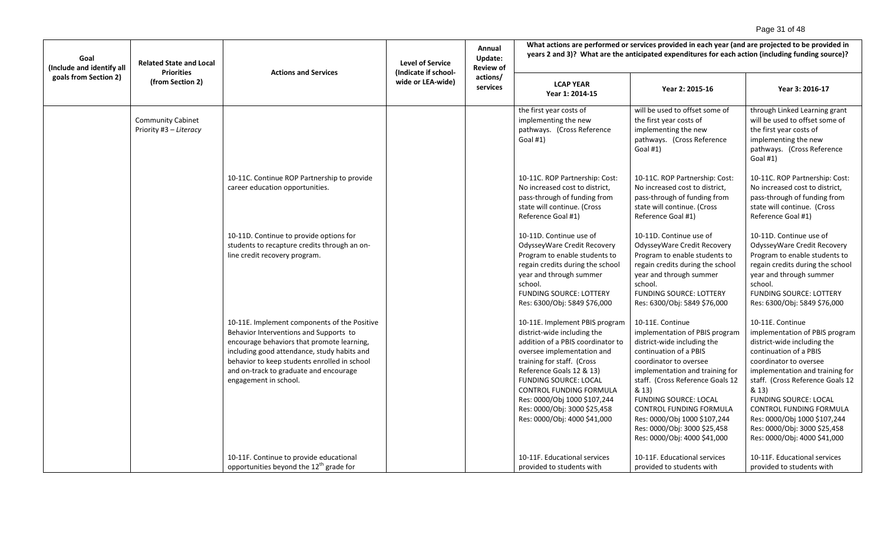# Page 31 of 48

| Goal<br>(Include and identify all | <b>Related State and Local</b><br><b>Level of Service</b><br><b>Actions and Services</b><br>(Indicate if school-<br><b>Priorities</b><br>(from Section 2)<br>wide or LEA-wide) |                                                                                                                                                                                                                                                                                                        | Annual<br>Update:<br><b>Review of</b> | What actions are performed or services provided in each year (and are projected to be provided in<br>years 2 and 3)? What are the anticipated expenditures for each action (including funding source)?                                                                                                                                                |                                                                                                                                                                                                                                                                                                                                                                                  |                                                                                                                                                                                                                                                                                                                                                                           |  |
|-----------------------------------|--------------------------------------------------------------------------------------------------------------------------------------------------------------------------------|--------------------------------------------------------------------------------------------------------------------------------------------------------------------------------------------------------------------------------------------------------------------------------------------------------|---------------------------------------|-------------------------------------------------------------------------------------------------------------------------------------------------------------------------------------------------------------------------------------------------------------------------------------------------------------------------------------------------------|----------------------------------------------------------------------------------------------------------------------------------------------------------------------------------------------------------------------------------------------------------------------------------------------------------------------------------------------------------------------------------|---------------------------------------------------------------------------------------------------------------------------------------------------------------------------------------------------------------------------------------------------------------------------------------------------------------------------------------------------------------------------|--|
| goals from Section 2)             |                                                                                                                                                                                | actions/<br>services                                                                                                                                                                                                                                                                                   | <b>LCAP YEAR</b><br>Year 1: 2014-15   | Year 2: 2015-16                                                                                                                                                                                                                                                                                                                                       | Year 3: 2016-17                                                                                                                                                                                                                                                                                                                                                                  |                                                                                                                                                                                                                                                                                                                                                                           |  |
|                                   | <b>Community Cabinet</b><br>Priority #3 - Literacy                                                                                                                             |                                                                                                                                                                                                                                                                                                        |                                       | the first year costs of<br>implementing the new<br>pathways. (Cross Reference<br>Goal #1)                                                                                                                                                                                                                                                             | will be used to offset some of<br>the first year costs of<br>implementing the new<br>pathways. (Cross Reference<br>Goal #1)                                                                                                                                                                                                                                                      | through Linked Learning grant<br>will be used to offset some of<br>the first year costs of<br>implementing the new<br>pathways. (Cross Reference<br>Goal $#1$ )                                                                                                                                                                                                           |  |
|                                   |                                                                                                                                                                                | 10-11C. Continue ROP Partnership to provide<br>career education opportunities.                                                                                                                                                                                                                         |                                       | 10-11C. ROP Partnership: Cost:<br>No increased cost to district,<br>pass-through of funding from<br>state will continue. (Cross<br>Reference Goal #1)                                                                                                                                                                                                 | 10-11C. ROP Partnership: Cost:<br>No increased cost to district,<br>pass-through of funding from<br>state will continue. (Cross<br>Reference Goal #1)                                                                                                                                                                                                                            | 10-11C. ROP Partnership: Cost:<br>No increased cost to district,<br>pass-through of funding from<br>state will continue. (Cross<br>Reference Goal #1)                                                                                                                                                                                                                     |  |
|                                   |                                                                                                                                                                                | 10-11D. Continue to provide options for<br>students to recapture credits through an on-<br>line credit recovery program.                                                                                                                                                                               |                                       | 10-11D. Continue use of<br>OdysseyWare Credit Recovery<br>Program to enable students to<br>regain credits during the school<br>year and through summer<br>school.<br><b>FUNDING SOURCE: LOTTERY</b><br>Res: 6300/Obj: 5849 \$76,000                                                                                                                   | 10-11D. Continue use of<br>OdysseyWare Credit Recovery<br>Program to enable students to<br>regain credits during the school<br>year and through summer<br>school.<br><b>FUNDING SOURCE: LOTTERY</b><br>Res: 6300/Obj: 5849 \$76,000                                                                                                                                              | 10-11D. Continue use of<br>OdysseyWare Credit Recovery<br>Program to enable students to<br>regain credits during the school<br>year and through summer<br>school.<br><b>FUNDING SOURCE: LOTTERY</b><br>Res: 6300/Obj: 5849 \$76,000                                                                                                                                       |  |
|                                   |                                                                                                                                                                                | 10-11E. Implement components of the Positive<br>Behavior Interventions and Supports to<br>encourage behaviors that promote learning,<br>including good attendance, study habits and<br>behavior to keep students enrolled in school<br>and on-track to graduate and encourage<br>engagement in school. |                                       | 10-11E. Implement PBIS program<br>district-wide including the<br>addition of a PBIS coordinator to<br>oversee implementation and<br>training for staff. (Cross<br>Reference Goals 12 & 13)<br><b>FUNDING SOURCE: LOCAL</b><br>CONTROL FUNDING FORMULA<br>Res: 0000/Obj 1000 \$107,244<br>Res: 0000/Obj: 3000 \$25,458<br>Res: 0000/Obj: 4000 \$41,000 | 10-11E. Continue<br>implementation of PBIS program<br>district-wide including the<br>continuation of a PBIS<br>coordinator to oversee<br>implementation and training for<br>staff. (Cross Reference Goals 12<br>& 13)<br><b>FUNDING SOURCE: LOCAL</b><br>CONTROL FUNDING FORMULA<br>Res: 0000/Obj 1000 \$107,244<br>Res: 0000/Obj: 3000 \$25,458<br>Res: 0000/Obj: 4000 \$41,000 | 10-11E. Continue<br>implementation of PBIS program<br>district-wide including the<br>continuation of a PBIS<br>coordinator to oversee<br>implementation and training for<br>staff. (Cross Reference Goals 12<br>& 13)<br>FUNDING SOURCE: LOCAL<br>CONTROL FUNDING FORMULA<br>Res: 0000/Obj 1000 \$107,244<br>Res: 0000/Obj: 3000 \$25,458<br>Res: 0000/Obj: 4000 \$41,000 |  |
|                                   |                                                                                                                                                                                | 10-11F. Continue to provide educational<br>opportunities beyond the 12 <sup>th</sup> grade for                                                                                                                                                                                                         |                                       | 10-11F. Educational services<br>provided to students with                                                                                                                                                                                                                                                                                             | 10-11F. Educational services<br>provided to students with                                                                                                                                                                                                                                                                                                                        | 10-11F. Educational services<br>provided to students with                                                                                                                                                                                                                                                                                                                 |  |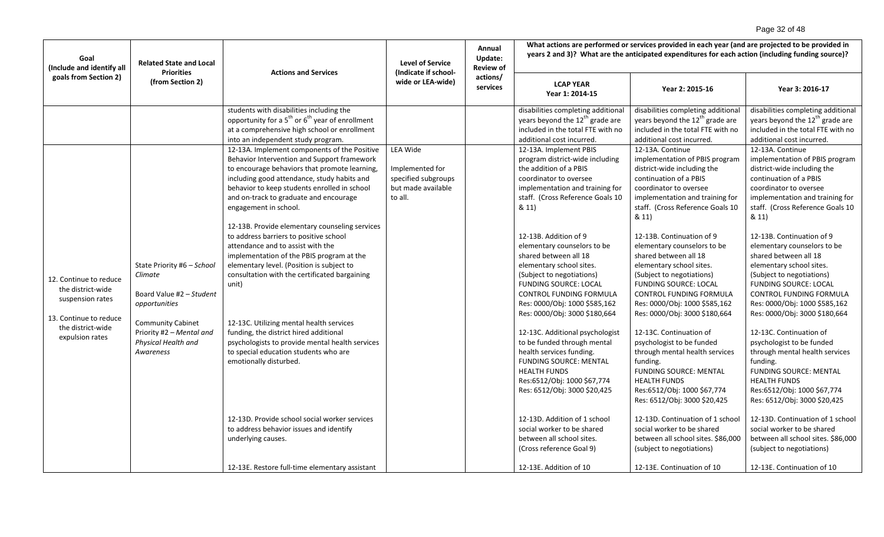# Page 32 of 48

| Goal<br>(Include and identify all                                                                              | <b>Related State and Local</b><br><b>Priorities</b>                                                                                        | <b>Actions and Services</b>                                                                                                                                                                                                                                                                                           | <b>Level of Service</b><br>(Indicate if school-                         | Annual<br>Update:<br><b>Review of</b> |                                                                                                                                                                                                                                                                                      | What actions are performed or services provided in each year (and are projected to be provided in<br>years 2 and 3)? What are the anticipated expenditures for each action (including funding source)?                                                                                                    |                                                                                                                                                                                                                                                                                                           |
|----------------------------------------------------------------------------------------------------------------|--------------------------------------------------------------------------------------------------------------------------------------------|-----------------------------------------------------------------------------------------------------------------------------------------------------------------------------------------------------------------------------------------------------------------------------------------------------------------------|-------------------------------------------------------------------------|---------------------------------------|--------------------------------------------------------------------------------------------------------------------------------------------------------------------------------------------------------------------------------------------------------------------------------------|-----------------------------------------------------------------------------------------------------------------------------------------------------------------------------------------------------------------------------------------------------------------------------------------------------------|-----------------------------------------------------------------------------------------------------------------------------------------------------------------------------------------------------------------------------------------------------------------------------------------------------------|
| goals from Section 2)                                                                                          | (from Section 2)                                                                                                                           |                                                                                                                                                                                                                                                                                                                       | wide or LEA-wide)                                                       | actions/<br>services                  | <b>LCAP YEAR</b><br>Year 1: 2014-15                                                                                                                                                                                                                                                  | Year 2: 2015-16                                                                                                                                                                                                                                                                                           | Year 3: 2016-17                                                                                                                                                                                                                                                                                           |
|                                                                                                                |                                                                                                                                            | students with disabilities including the<br>opportunity for a 5 <sup>th</sup> or 6 <sup>th</sup> year of enrollment<br>at a comprehensive high school or enrollment<br>into an independent study program.<br>12-13A. Implement components of the Positive                                                             | <b>LEA Wide</b>                                                         |                                       | disabilities completing additional<br>years beyond the 12 <sup>th</sup> grade are<br>included in the total FTE with no<br>additional cost incurred.<br>12-13A. Implement PBIS                                                                                                        | disabilities completing additional<br>years beyond the $12^{th}$ grade are<br>included in the total FTE with no<br>additional cost incurred.<br>12-13A. Continue                                                                                                                                          | disabilities completing additional<br>years beyond the 12 <sup>th</sup> grade are<br>included in the total FTE with no<br>additional cost incurred.<br>12-13A. Continue                                                                                                                                   |
|                                                                                                                |                                                                                                                                            | Behavior Intervention and Support framework<br>to encourage behaviors that promote learning,<br>including good attendance, study habits and<br>behavior to keep students enrolled in school<br>and on-track to graduate and encourage<br>engagement in school.<br>12-13B. Provide elementary counseling services      | Implemented for<br>specified subgroups<br>but made available<br>to all. |                                       | program district-wide including<br>the addition of a PBIS<br>coordinator to oversee<br>implementation and training for<br>staff. (Cross Reference Goals 10<br>& 11)<br>12-13B. Addition of 9                                                                                         | implementation of PBIS program<br>district-wide including the<br>continuation of a PBIS<br>coordinator to oversee<br>implementation and training for<br>staff. (Cross Reference Goals 10<br>& 11)                                                                                                         | implementation of PBIS program<br>district-wide including the<br>continuation of a PBIS<br>coordinator to oversee<br>implementation and training for<br>staff. (Cross Reference Goals 10<br>& 11)                                                                                                         |
| 12. Continue to reduce<br>the district-wide<br>suspension rates<br>13. Continue to reduce<br>the district-wide | State Priority #6 - School<br>Climate<br>Board Value #2 - Student<br>opportunities<br><b>Community Cabinet</b><br>Priority #2 - Mental and | to address barriers to positive school<br>attendance and to assist with the<br>implementation of the PBIS program at the<br>elementary level. (Position is subject to<br>consultation with the certificated bargaining<br>unit)<br>12-13C. Utilizing mental health services<br>funding, the district hired additional |                                                                         |                                       | elementary counselors to be<br>shared between all 18<br>elementary school sites.<br>(Subject to negotiations)<br><b>FUNDING SOURCE: LOCAL</b><br><b>CONTROL FUNDING FORMULA</b><br>Res: 0000/Obj: 1000 \$585,162<br>Res: 0000/Obj: 3000 \$180,664<br>12-13C. Additional psychologist | 12-13B. Continuation of 9<br>elementary counselors to be<br>shared between all 18<br>elementary school sites.<br>(Subject to negotiations)<br><b>FUNDING SOURCE: LOCAL</b><br><b>CONTROL FUNDING FORMULA</b><br>Res: 0000/Obj: 1000 \$585,162<br>Res: 0000/Obj: 3000 \$180,664<br>12-13C. Continuation of | 12-13B. Continuation of 9<br>elementary counselors to be<br>shared between all 18<br>elementary school sites.<br>(Subject to negotiations)<br><b>FUNDING SOURCE: LOCAL</b><br><b>CONTROL FUNDING FORMULA</b><br>Res: 0000/Obj: 1000 \$585,162<br>Res: 0000/Obj: 3000 \$180,664<br>12-13C. Continuation of |
| expulsion rates                                                                                                | Physical Health and<br>Awareness                                                                                                           | psychologists to provide mental health services<br>to special education students who are<br>emotionally disturbed.                                                                                                                                                                                                    |                                                                         |                                       | to be funded through mental<br>health services funding.<br><b>FUNDING SOURCE: MENTAL</b><br><b>HEALTH FUNDS</b><br>Res:6512/Obj: 1000 \$67,774<br>Res: 6512/Obj: 3000 \$20,425                                                                                                       | psychologist to be funded<br>through mental health services<br>funding.<br><b>FUNDING SOURCE: MENTAL</b><br><b>HEALTH FUNDS</b><br>Res:6512/Obj: 1000 \$67,774<br>Res: 6512/Obj: 3000 \$20,425                                                                                                            | psychologist to be funded<br>through mental health services<br>funding.<br><b>FUNDING SOURCE: MENTAL</b><br><b>HEALTH FUNDS</b><br>Res:6512/Obj: 1000 \$67,774<br>Res: 6512/Obj: 3000 \$20,425                                                                                                            |
|                                                                                                                |                                                                                                                                            | 12-13D. Provide school social worker services<br>to address behavior issues and identify<br>underlying causes.                                                                                                                                                                                                        |                                                                         |                                       | 12-13D. Addition of 1 school<br>social worker to be shared<br>between all school sites.<br>(Cross reference Goal 9)                                                                                                                                                                  | 12-13D. Continuation of 1 school<br>social worker to be shared<br>between all school sites. \$86,000<br>(subject to negotiations)                                                                                                                                                                         | 12-13D. Continuation of 1 school<br>social worker to be shared<br>between all school sites. \$86,000<br>(subject to negotiations)                                                                                                                                                                         |
|                                                                                                                |                                                                                                                                            | 12-13E. Restore full-time elementary assistant                                                                                                                                                                                                                                                                        |                                                                         |                                       | 12-13E. Addition of 10                                                                                                                                                                                                                                                               | 12-13E. Continuation of 10                                                                                                                                                                                                                                                                                | 12-13E. Continuation of 10                                                                                                                                                                                                                                                                                |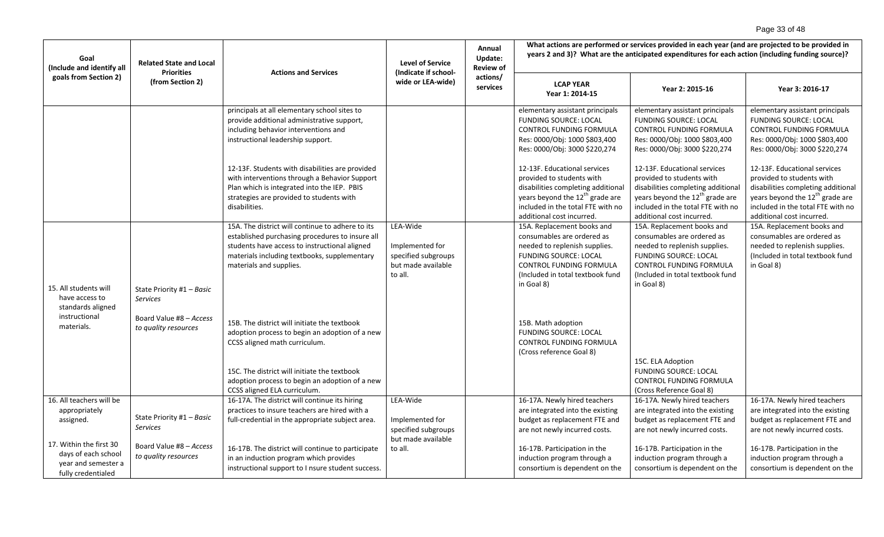# Page 33 of 48

| Goal<br>(Include and identify all                                                                                                                     | <b>Related State and Local</b><br><b>Priorities</b>                                      | <b>Actions and Services</b>                                                                                                                                                                                                                                                                            | <b>Level of Service</b><br>(Indicate if school-                                     | Annual<br>Update:<br><b>Review of</b> | What actions are performed or services provided in each year (and are projected to be provided in<br>years 2 and 3)? What are the anticipated expenditures for each action (including funding source)?                              |                                                                                                                                                                                                                                     |                                                                                                                                                                                                                                     |
|-------------------------------------------------------------------------------------------------------------------------------------------------------|------------------------------------------------------------------------------------------|--------------------------------------------------------------------------------------------------------------------------------------------------------------------------------------------------------------------------------------------------------------------------------------------------------|-------------------------------------------------------------------------------------|---------------------------------------|-------------------------------------------------------------------------------------------------------------------------------------------------------------------------------------------------------------------------------------|-------------------------------------------------------------------------------------------------------------------------------------------------------------------------------------------------------------------------------------|-------------------------------------------------------------------------------------------------------------------------------------------------------------------------------------------------------------------------------------|
| goals from Section 2)                                                                                                                                 | (from Section 2)                                                                         |                                                                                                                                                                                                                                                                                                        | wide or LEA-wide)                                                                   | actions/<br>services                  | <b>LCAP YEAR</b><br>Year 1: 2014-15                                                                                                                                                                                                 | Year 2: 2015-16                                                                                                                                                                                                                     | Year 3: 2016-17                                                                                                                                                                                                                     |
|                                                                                                                                                       |                                                                                          | principals at all elementary school sites to<br>provide additional administrative support,<br>including behavior interventions and<br>instructional leadership support.                                                                                                                                |                                                                                     |                                       | elementary assistant principals<br><b>FUNDING SOURCE: LOCAL</b><br>CONTROL FUNDING FORMULA<br>Res: 0000/Obj: 1000 \$803,400<br>Res: 0000/Obj: 3000 \$220,274                                                                        | elementary assistant principals<br><b>FUNDING SOURCE: LOCAL</b><br>CONTROL FUNDING FORMULA<br>Res: 0000/Obj: 1000 \$803,400<br>Res: 0000/Obj: 3000 \$220,274                                                                        | elementary assistant principals<br><b>FUNDING SOURCE: LOCAL</b><br>CONTROL FUNDING FORMULA<br>Res: 0000/Obj: 1000 \$803,400<br>Res: 0000/Obj: 3000 \$220,274                                                                        |
|                                                                                                                                                       |                                                                                          | 12-13F. Students with disabilities are provided<br>with interventions through a Behavior Support<br>Plan which is integrated into the IEP. PBIS<br>strategies are provided to students with<br>disabilities.                                                                                           |                                                                                     |                                       | 12-13F. Educational services<br>provided to students with<br>disabilities completing additional<br>years beyond the 12 <sup>th</sup> grade are<br>included in the total FTE with no<br>additional cost incurred.                    | 12-13F. Educational services<br>provided to students with<br>disabilities completing additional<br>years beyond the $12^{th}$ grade are<br>included in the total FTE with no<br>additional cost incurred.                           | 12-13F. Educational services<br>provided to students with<br>disabilities completing additional<br>years beyond the $12^{th}$ grade are<br>included in the total FTE with no<br>additional cost incurred.                           |
| 15. All students will<br>have access to<br>standards aligned                                                                                          | State Priority #1 - Basic<br><b>Services</b>                                             | 15A. The district will continue to adhere to its<br>established purchasing procedures to insure all<br>students have access to instructional aligned<br>materials including textbooks, supplementary<br>materials and supplies.                                                                        | LEA-Wide<br>Implemented for<br>specified subgroups<br>but made available<br>to all. |                                       | 15A. Replacement books and<br>consumables are ordered as<br>needed to replenish supplies.<br><b>FUNDING SOURCE: LOCAL</b><br><b>CONTROL FUNDING FORMULA</b><br>(Included in total textbook fund<br>in Goal 8)                       | 15A. Replacement books and<br>consumables are ordered as<br>needed to replenish supplies.<br><b>FUNDING SOURCE: LOCAL</b><br>CONTROL FUNDING FORMULA<br>(Included in total textbook fund<br>in Goal 8)                              | 15A. Replacement books and<br>consumables are ordered as<br>needed to replenish supplies.<br>(Included in total textbook fund<br>in Goal 8)                                                                                         |
| instructional<br>materials.                                                                                                                           | Board Value #8 - Access<br>to quality resources                                          | 15B. The district will initiate the textbook<br>adoption process to begin an adoption of a new<br>CCSS aligned math curriculum.<br>15C. The district will initiate the textbook<br>adoption process to begin an adoption of a new<br>CCSS aligned ELA curriculum.                                      |                                                                                     |                                       | 15B. Math adoption<br><b>FUNDING SOURCE: LOCAL</b><br>CONTROL FUNDING FORMULA<br>(Cross reference Goal 8)                                                                                                                           | 15C. ELA Adoption<br><b>FUNDING SOURCE: LOCAL</b><br>CONTROL FUNDING FORMULA<br>(Cross Reference Goal 8)                                                                                                                            |                                                                                                                                                                                                                                     |
| 16. All teachers will be<br>appropriately<br>assigned.<br>17. Within the first 30<br>days of each school<br>year and semester a<br>fully credentialed | State Priority #1 - Basic<br>Services<br>Board Value #8 - Access<br>to quality resources | 16-17A. The district will continue its hiring<br>practices to insure teachers are hired with a<br>full-credential in the appropriate subject area.<br>16-17B. The district will continue to participate<br>in an induction program which provides<br>instructional support to I nsure student success. | LEA-Wide<br>Implemented for<br>specified subgroups<br>but made available<br>to all. |                                       | 16-17A. Newly hired teachers<br>are integrated into the existing<br>budget as replacement FTE and<br>are not newly incurred costs.<br>16-17B. Participation in the<br>induction program through a<br>consortium is dependent on the | 16-17A. Newly hired teachers<br>are integrated into the existing<br>budget as replacement FTE and<br>are not newly incurred costs.<br>16-17B. Participation in the<br>induction program through a<br>consortium is dependent on the | 16-17A. Newly hired teachers<br>are integrated into the existing<br>budget as replacement FTE and<br>are not newly incurred costs.<br>16-17B. Participation in the<br>induction program through a<br>consortium is dependent on the |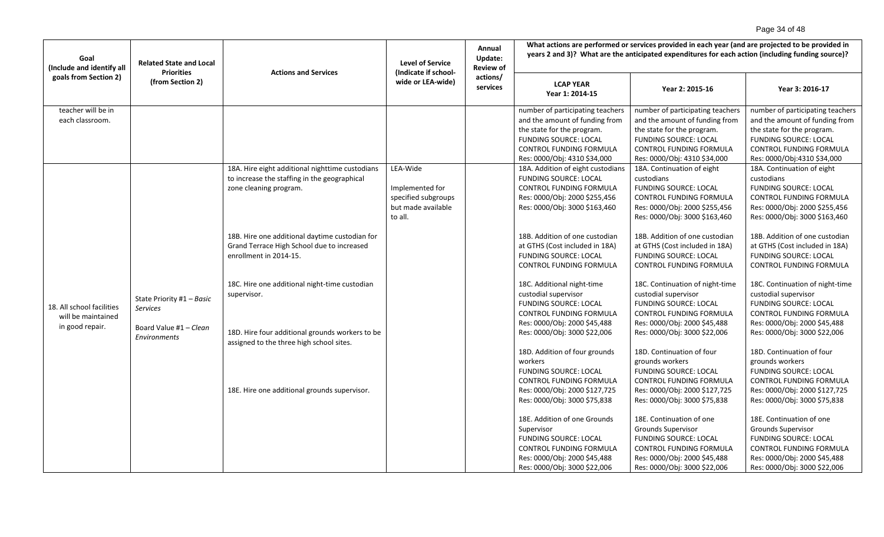# Page 34 of 48

| Goal<br>(Include and identify all                                  | <b>Related State and Local</b><br><b>Actions and Services</b><br>(Indicate if school-<br><b>Priorities</b><br>(from Section 2) |                                                                                                                           | <b>Level of Service</b>                                                             | Annual<br>Update:<br><b>Review of</b> | What actions are performed or services provided in each year (and are projected to be provided in<br>years 2 and 3)? What are the anticipated expenditures for each action (including funding source)? |                                                                                                                                                                                                    |                                                                                                                                                                                                   |  |
|--------------------------------------------------------------------|--------------------------------------------------------------------------------------------------------------------------------|---------------------------------------------------------------------------------------------------------------------------|-------------------------------------------------------------------------------------|---------------------------------------|--------------------------------------------------------------------------------------------------------------------------------------------------------------------------------------------------------|----------------------------------------------------------------------------------------------------------------------------------------------------------------------------------------------------|---------------------------------------------------------------------------------------------------------------------------------------------------------------------------------------------------|--|
| goals from Section 2)                                              |                                                                                                                                | wide or LEA-wide)                                                                                                         | actions/<br>services                                                                | <b>LCAP YEAR</b><br>Year 1: 2014-15   | Year 2: 2015-16                                                                                                                                                                                        | Year 3: 2016-17                                                                                                                                                                                    |                                                                                                                                                                                                   |  |
| teacher will be in<br>each classroom.                              |                                                                                                                                |                                                                                                                           |                                                                                     |                                       | number of participating teachers<br>and the amount of funding from<br>the state for the program.<br><b>FUNDING SOURCE: LOCAL</b><br><b>CONTROL FUNDING FORMULA</b><br>Res: 0000/Obj: 4310 \$34,000     | number of participating teachers<br>and the amount of funding from<br>the state for the program.<br><b>FUNDING SOURCE: LOCAL</b><br><b>CONTROL FUNDING FORMULA</b><br>Res: 0000/Obj: 4310 \$34,000 | number of participating teachers<br>and the amount of funding from<br>the state for the program.<br><b>FUNDING SOURCE: LOCAL</b><br><b>CONTROL FUNDING FORMULA</b><br>Res: 0000/Obj:4310 \$34,000 |  |
|                                                                    |                                                                                                                                | 18A. Hire eight additional nighttime custodians<br>to increase the staffing in the geographical<br>zone cleaning program. | LEA-Wide<br>Implemented for<br>specified subgroups<br>but made available<br>to all. |                                       | 18A. Addition of eight custodians<br><b>FUNDING SOURCE: LOCAL</b><br>CONTROL FUNDING FORMULA<br>Res: 0000/Obj: 2000 \$255,456<br>Res: 0000/Obj: 3000 \$163,460                                         | 18A. Continuation of eight<br>custodians<br><b>FUNDING SOURCE: LOCAL</b><br>CONTROL FUNDING FORMULA<br>Res: 0000/Obj: 2000 \$255,456<br>Res: 0000/Obj: 3000 \$163,460                              | 18A. Continuation of eight<br>custodians<br><b>FUNDING SOURCE: LOCAL</b><br>CONTROL FUNDING FORMULA<br>Res: 0000/Obj: 2000 \$255,456<br>Res: 0000/Obj: 3000 \$163,460                             |  |
|                                                                    |                                                                                                                                | 18B. Hire one additional daytime custodian for<br>Grand Terrace High School due to increased<br>enrollment in 2014-15.    |                                                                                     |                                       | 18B. Addition of one custodian<br>at GTHS (Cost included in 18A)<br><b>FUNDING SOURCE: LOCAL</b><br><b>CONTROL FUNDING FORMULA</b>                                                                     | 18B. Addition of one custodian<br>at GTHS (Cost included in 18A)<br><b>FUNDING SOURCE: LOCAL</b><br>CONTROL FUNDING FORMULA                                                                        | 18B. Addition of one custodian<br>at GTHS (Cost included in 18A)<br><b>FUNDING SOURCE: LOCAL</b><br>CONTROL FUNDING FORMULA                                                                       |  |
| 18. All school facilities<br>will be maintained<br>in good repair. | State Priority #1 - Basic<br><b>Services</b><br>Board Value #1 - Clean                                                         | 18C. Hire one additional night-time custodian<br>supervisor.<br>18D. Hire four additional grounds workers to be           |                                                                                     |                                       | 18C. Additional night-time<br>custodial supervisor<br><b>FUNDING SOURCE: LOCAL</b><br>CONTROL FUNDING FORMULA<br>Res: 0000/Obj: 2000 \$45,488<br>Res: 0000/Obj: 3000 \$22,006                          | 18C. Continuation of night-time<br>custodial supervisor<br><b>FUNDING SOURCE: LOCAL</b><br>CONTROL FUNDING FORMULA<br>Res: 0000/Obj: 2000 \$45,488                                                 | 18C. Continuation of night-time<br>custodial supervisor<br>FUNDING SOURCE: LOCAL<br>CONTROL FUNDING FORMULA<br>Res: 0000/Obj: 2000 \$45,488                                                       |  |
|                                                                    | Environments                                                                                                                   | assigned to the three high school sites.                                                                                  |                                                                                     |                                       | 18D. Addition of four grounds<br>workers<br><b>FUNDING SOURCE: LOCAL</b><br>CONTROL FUNDING FORMULA                                                                                                    | Res: 0000/Obj: 3000 \$22,006<br>18D. Continuation of four<br>grounds workers<br><b>FUNDING SOURCE: LOCAL</b><br>CONTROL FUNDING FORMULA                                                            | Res: 0000/Obj: 3000 \$22,006<br>18D. Continuation of four<br>grounds workers<br><b>FUNDING SOURCE: LOCAL</b><br>CONTROL FUNDING FORMULA                                                           |  |
|                                                                    |                                                                                                                                | 18E. Hire one additional grounds supervisor.                                                                              |                                                                                     |                                       | Res: 0000/Obj: 2000 \$127,725<br>Res: 0000/Obj: 3000 \$75,838<br>18E. Addition of one Grounds                                                                                                          | Res: 0000/Obj: 2000 \$127,725<br>Res: 0000/Obj: 3000 \$75,838<br>18E. Continuation of one                                                                                                          | Res: 0000/Obj: 2000 \$127,725<br>Res: 0000/Obj: 3000 \$75,838<br>18E. Continuation of one                                                                                                         |  |
|                                                                    |                                                                                                                                |                                                                                                                           |                                                                                     |                                       | Supervisor<br><b>FUNDING SOURCE: LOCAL</b><br><b>CONTROL FUNDING FORMULA</b><br>Res: 0000/Obj: 2000 \$45,488<br>Res: 0000/Obj: 3000 \$22,006                                                           | Grounds Supervisor<br><b>FUNDING SOURCE: LOCAL</b><br><b>CONTROL FUNDING FORMULA</b><br>Res: 0000/Obj: 2000 \$45,488<br>Res: 0000/Obj: 3000 \$22,006                                               | Grounds Supervisor<br><b>FUNDING SOURCE: LOCAL</b><br><b>CONTROL FUNDING FORMULA</b><br>Res: 0000/Obj: 2000 \$45,488<br>Res: 0000/Obj: 3000 \$22,006                                              |  |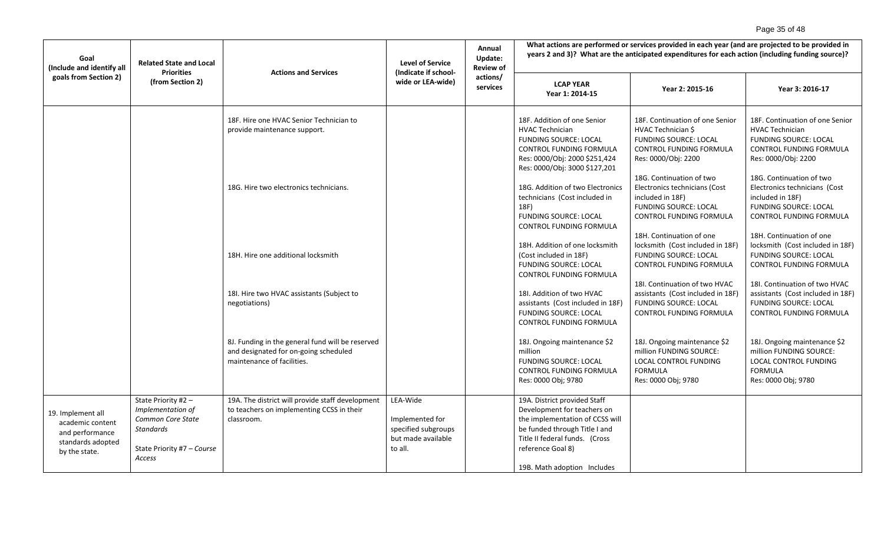# Page 35 of 48

| Goal<br>(Include and identify all                                                              | <b>Related State and Local</b><br><b>Priorities</b>                                                                       | <b>Actions and Services</b>                                                                                             | <b>Level of Service</b><br>(Indicate if school-                                     | Annual<br>Update:<br><b>Review of</b> | What actions are performed or services provided in each year (and are projected to be provided in<br>years 2 and 3)? What are the anticipated expenditures for each action (including funding source)?                |                                                                                                                                                |                                                                                                                                             |  |
|------------------------------------------------------------------------------------------------|---------------------------------------------------------------------------------------------------------------------------|-------------------------------------------------------------------------------------------------------------------------|-------------------------------------------------------------------------------------|---------------------------------------|-----------------------------------------------------------------------------------------------------------------------------------------------------------------------------------------------------------------------|------------------------------------------------------------------------------------------------------------------------------------------------|---------------------------------------------------------------------------------------------------------------------------------------------|--|
| goals from Section 2)                                                                          | (from Section 2)                                                                                                          |                                                                                                                         | wide or LEA-wide)                                                                   | actions/<br>services                  | <b>LCAP YEAR</b><br>Year 1: 2014-15                                                                                                                                                                                   | Year 2: 2015-16                                                                                                                                | Year 3: 2016-17                                                                                                                             |  |
|                                                                                                |                                                                                                                           | 18F. Hire one HVAC Senior Technician to<br>provide maintenance support.                                                 |                                                                                     |                                       | 18F. Addition of one Senior<br><b>HVAC Technician</b><br><b>FUNDING SOURCE: LOCAL</b><br>CONTROL FUNDING FORMULA<br>Res: 0000/Obj: 2000 \$251,424<br>Res: 0000/Obj: 3000 \$127,201                                    | 18F. Continuation of one Senior<br>HVAC Technician \$<br><b>FUNDING SOURCE: LOCAL</b><br><b>CONTROL FUNDING FORMULA</b><br>Res: 0000/Obj: 2200 | 18F. Continuation of one Senior<br><b>HVAC Technician</b><br><b>FUNDING SOURCE: LOCAL</b><br>CONTROL FUNDING FORMULA<br>Res: 0000/Obj: 2200 |  |
|                                                                                                |                                                                                                                           | 18G. Hire two electronics technicians.                                                                                  |                                                                                     |                                       | 18G. Addition of two Electronics<br>technicians (Cost included in<br>18F)<br><b>FUNDING SOURCE: LOCAL</b><br>CONTROL FUNDING FORMULA                                                                                  | 18G. Continuation of two<br>Electronics technicians (Cost<br>included in 18F)<br><b>FUNDING SOURCE: LOCAL</b><br>CONTROL FUNDING FORMULA       | 18G. Continuation of two<br>Electronics technicians (Cost<br>included in 18F)<br><b>FUNDING SOURCE: LOCAL</b><br>CONTROL FUNDING FORMULA    |  |
|                                                                                                |                                                                                                                           | 18H. Hire one additional locksmith                                                                                      |                                                                                     |                                       | 18H. Addition of one locksmith<br>(Cost included in 18F)<br><b>FUNDING SOURCE: LOCAL</b><br>CONTROL FUNDING FORMULA                                                                                                   | 18H. Continuation of one<br>locksmith (Cost included in 18F)<br><b>FUNDING SOURCE: LOCAL</b><br><b>CONTROL FUNDING FORMULA</b>                 | 18H. Continuation of one<br>locksmith (Cost included in 18F)<br><b>FUNDING SOURCE: LOCAL</b><br>CONTROL FUNDING FORMULA                     |  |
|                                                                                                |                                                                                                                           | 18I. Hire two HVAC assistants (Subject to<br>negotiations)                                                              |                                                                                     |                                       | 18I. Addition of two HVAC<br>assistants (Cost included in 18F)<br><b>FUNDING SOURCE: LOCAL</b><br><b>CONTROL FUNDING FORMULA</b>                                                                                      | 18I. Continuation of two HVAC<br>assistants (Cost included in 18F)<br><b>FUNDING SOURCE: LOCAL</b><br>CONTROL FUNDING FORMULA                  | 18I. Continuation of two HVAC<br>assistants (Cost included in 18F)<br>FUNDING SOURCE: LOCAL<br>CONTROL FUNDING FORMULA                      |  |
|                                                                                                |                                                                                                                           | 8J. Funding in the general fund will be reserved<br>and designated for on-going scheduled<br>maintenance of facilities. |                                                                                     |                                       | 18J. Ongoing maintenance \$2<br>million<br><b>FUNDING SOURCE: LOCAL</b><br>CONTROL FUNDING FORMULA<br>Res: 0000 Obj; 9780                                                                                             | 18J. Ongoing maintenance \$2<br>million FUNDING SOURCE:<br>LOCAL CONTROL FUNDING<br><b>FORMULA</b><br>Res: 0000 Obj; 9780                      | 18J. Ongoing maintenance \$2<br>million FUNDING SOURCE:<br>LOCAL CONTROL FUNDING<br><b>FORMULA</b><br>Res: 0000 Obj; 9780                   |  |
| 19. Implement all<br>academic content<br>and performance<br>standards adopted<br>by the state. | State Priority #2 -<br>Implementation of<br>Common Core State<br><b>Standards</b><br>State Priority #7 - Course<br>Access | 19A. The district will provide staff development<br>to teachers on implementing CCSS in their<br>classroom.             | LEA-Wide<br>Implemented for<br>specified subgroups<br>but made available<br>to all. |                                       | 19A. District provided Staff<br>Development for teachers on<br>the implementation of CCSS will<br>be funded through Title I and<br>Title II federal funds. (Cross<br>reference Goal 8)<br>19B. Math adoption Includes |                                                                                                                                                |                                                                                                                                             |  |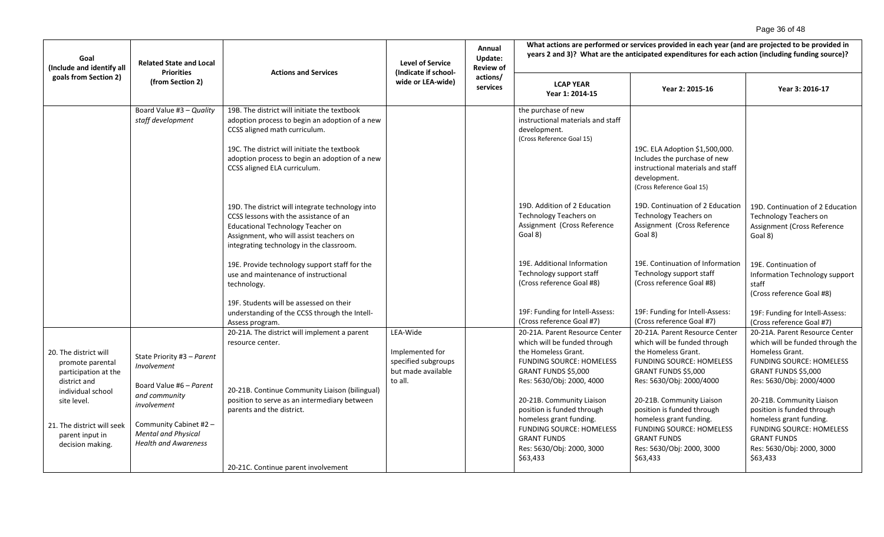# Page 36 of 48

| Goal<br>(Include and identify all                                                                                                                                                          | <b>Related State and Local</b><br><b>Priorities</b>                                                                                                                                         | <b>Actions and Services</b>                                                                                                                                                                                                                                       | <b>Level of Service</b><br>(Indicate if school-                                     | Annual<br>Update:<br><b>Review of</b> | What actions are performed or services provided in each year (and are projected to be provided in<br>years 2 and 3)? What are the anticipated expenditures for each action (including funding source)?                                                                                                                                                               |                                                                                                                                                                                                                                                                                                                                                                     |                                                                                                                                                                                                                                                                                                                                                                     |  |
|--------------------------------------------------------------------------------------------------------------------------------------------------------------------------------------------|---------------------------------------------------------------------------------------------------------------------------------------------------------------------------------------------|-------------------------------------------------------------------------------------------------------------------------------------------------------------------------------------------------------------------------------------------------------------------|-------------------------------------------------------------------------------------|---------------------------------------|----------------------------------------------------------------------------------------------------------------------------------------------------------------------------------------------------------------------------------------------------------------------------------------------------------------------------------------------------------------------|---------------------------------------------------------------------------------------------------------------------------------------------------------------------------------------------------------------------------------------------------------------------------------------------------------------------------------------------------------------------|---------------------------------------------------------------------------------------------------------------------------------------------------------------------------------------------------------------------------------------------------------------------------------------------------------------------------------------------------------------------|--|
| goals from Section 2)                                                                                                                                                                      | (from Section 2)                                                                                                                                                                            |                                                                                                                                                                                                                                                                   | wide or LEA-wide)                                                                   | actions/<br>services                  | <b>LCAP YEAR</b><br>Year 1: 2014-15                                                                                                                                                                                                                                                                                                                                  | Year 2: 2015-16                                                                                                                                                                                                                                                                                                                                                     | Year 3: 2016-17                                                                                                                                                                                                                                                                                                                                                     |  |
|                                                                                                                                                                                            | Board Value #3 - Quality<br>staff development                                                                                                                                               | 19B. The district will initiate the textbook<br>adoption process to begin an adoption of a new<br>CCSS aligned math curriculum.<br>19C. The district will initiate the textbook<br>adoption process to begin an adoption of a new<br>CCSS aligned ELA curriculum. |                                                                                     |                                       | the purchase of new<br>instructional materials and staff<br>development.<br>(Cross Reference Goal 15)                                                                                                                                                                                                                                                                | 19C. ELA Adoption \$1,500,000.<br>Includes the purchase of new<br>instructional materials and staff<br>development.<br>(Cross Reference Goal 15)                                                                                                                                                                                                                    |                                                                                                                                                                                                                                                                                                                                                                     |  |
|                                                                                                                                                                                            |                                                                                                                                                                                             | 19D. The district will integrate technology into<br>CCSS lessons with the assistance of an<br><b>Educational Technology Teacher on</b><br>Assignment, who will assist teachers on<br>integrating technology in the classroom.                                     |                                                                                     |                                       | 19D. Addition of 2 Education<br><b>Technology Teachers on</b><br>Assignment (Cross Reference<br>Goal 8)                                                                                                                                                                                                                                                              | 19D. Continuation of 2 Education<br><b>Technology Teachers on</b><br>Assignment (Cross Reference<br>Goal 8)                                                                                                                                                                                                                                                         | 19D. Continuation of 2 Education<br><b>Technology Teachers on</b><br>Assignment (Cross Reference<br>Goal 8)                                                                                                                                                                                                                                                         |  |
|                                                                                                                                                                                            |                                                                                                                                                                                             | 19E. Provide technology support staff for the<br>use and maintenance of instructional<br>technology.<br>19F. Students will be assessed on their                                                                                                                   |                                                                                     |                                       | 19E. Additional Information<br>Technology support staff<br>(Cross reference Goal #8)                                                                                                                                                                                                                                                                                 | 19E. Continuation of Information<br>Technology support staff<br>(Cross reference Goal #8)                                                                                                                                                                                                                                                                           | 19E. Continuation of<br>Information Technology support<br>staff<br>(Cross reference Goal #8)                                                                                                                                                                                                                                                                        |  |
|                                                                                                                                                                                            |                                                                                                                                                                                             | understanding of the CCSS through the Intell-<br>Assess program.                                                                                                                                                                                                  |                                                                                     |                                       | 19F: Funding for Intell-Assess:<br>(Cross reference Goal #7)                                                                                                                                                                                                                                                                                                         | 19F: Funding for Intell-Assess:<br>(Cross reference Goal #7)                                                                                                                                                                                                                                                                                                        | 19F: Funding for Intell-Assess:<br>(Cross reference Goal #7)                                                                                                                                                                                                                                                                                                        |  |
| 20. The district will<br>promote parental<br>participation at the<br>district and<br>individual school<br>site level.<br>21. The district will seek<br>parent input in<br>decision making. | State Priority #3 - Parent<br>Involvement<br>Board Value #6 - Parent<br>and community<br>involvement<br>Community Cabinet #2 -<br><b>Mental and Physical</b><br><b>Health and Awareness</b> | 20-21A. The district will implement a parent<br>resource center.<br>20-21B. Continue Community Liaison (bilingual)<br>position to serve as an intermediary between<br>parents and the district.<br>20-21C. Continue parent involvement                            | LEA-Wide<br>Implemented for<br>specified subgroups<br>but made available<br>to all. |                                       | 20-21A. Parent Resource Center<br>which will be funded through<br>the Homeless Grant.<br><b>FUNDING SOURCE: HOMELESS</b><br>GRANT FUNDS \$5,000<br>Res: 5630/Obj: 2000, 4000<br>20-21B. Community Liaison<br>position is funded through<br>homeless grant funding.<br><b>FUNDING SOURCE: HOMELESS</b><br><b>GRANT FUNDS</b><br>Res: 5630/Obj: 2000, 3000<br>\$63,433 | 20-21A. Parent Resource Center<br>which will be funded through<br>the Homeless Grant.<br><b>FUNDING SOURCE: HOMELESS</b><br>GRANT FUNDS \$5,000<br>Res: 5630/Obj: 2000/4000<br>20-21B. Community Liaison<br>position is funded through<br>homeless grant funding.<br><b>FUNDING SOURCE: HOMELESS</b><br><b>GRANT FUNDS</b><br>Res: 5630/Obj: 2000, 3000<br>\$63,433 | 20-21A. Parent Resource Center<br>which will be funded through the<br>Homeless Grant.<br><b>FUNDING SOURCE: HOMELESS</b><br>GRANT FUNDS \$5,000<br>Res: 5630/Obj: 2000/4000<br>20-21B. Community Liaison<br>position is funded through<br>homeless grant funding.<br><b>FUNDING SOURCE: HOMELESS</b><br><b>GRANT FUNDS</b><br>Res: 5630/Obj: 2000, 3000<br>\$63,433 |  |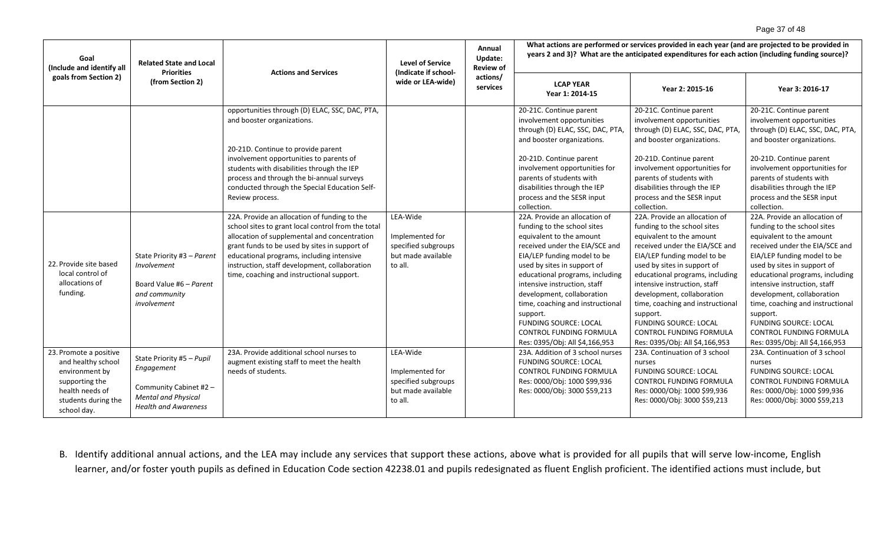# Page 37 of 48

| Goal<br>(Include and identify all                                                                                                         | <b>Related State and Local</b><br><b>Priorities</b>                                                                            | <b>Actions and Services</b>                                                                                                                                                                                                                                                                                                                    | <b>Level of Service</b><br>(Indicate if school-                                     | Annual<br>Update:<br><b>Review of</b> | What actions are performed or services provided in each year (and are projected to be provided in<br>years 2 and 3)? What are the anticipated expenditures for each action (including funding source)?                                                                                                                                                                                                                                 |                                                                                                                                                                                                                                                                                                                                                                                                                                        |                                                                                                                                                                                                                                                                                                                                                                                                                                        |  |
|-------------------------------------------------------------------------------------------------------------------------------------------|--------------------------------------------------------------------------------------------------------------------------------|------------------------------------------------------------------------------------------------------------------------------------------------------------------------------------------------------------------------------------------------------------------------------------------------------------------------------------------------|-------------------------------------------------------------------------------------|---------------------------------------|----------------------------------------------------------------------------------------------------------------------------------------------------------------------------------------------------------------------------------------------------------------------------------------------------------------------------------------------------------------------------------------------------------------------------------------|----------------------------------------------------------------------------------------------------------------------------------------------------------------------------------------------------------------------------------------------------------------------------------------------------------------------------------------------------------------------------------------------------------------------------------------|----------------------------------------------------------------------------------------------------------------------------------------------------------------------------------------------------------------------------------------------------------------------------------------------------------------------------------------------------------------------------------------------------------------------------------------|--|
| goals from Section 2)                                                                                                                     | (from Section 2)                                                                                                               |                                                                                                                                                                                                                                                                                                                                                | wide or LEA-wide)                                                                   | actions/<br>services                  | <b>LCAP YEAR</b><br>Year 1: 2014-15                                                                                                                                                                                                                                                                                                                                                                                                    | Year 2: 2015-16                                                                                                                                                                                                                                                                                                                                                                                                                        | Year 3: 2016-17                                                                                                                                                                                                                                                                                                                                                                                                                        |  |
|                                                                                                                                           |                                                                                                                                | opportunities through (D) ELAC, SSC, DAC, PTA,<br>and booster organizations.<br>20-21D. Continue to provide parent                                                                                                                                                                                                                             |                                                                                     |                                       | 20-21C. Continue parent<br>involvement opportunities<br>through (D) ELAC, SSC, DAC, PTA,<br>and booster organizations.                                                                                                                                                                                                                                                                                                                 | 20-21C. Continue parent<br>involvement opportunities<br>through (D) ELAC, SSC, DAC, PTA,<br>and booster organizations.                                                                                                                                                                                                                                                                                                                 | 20-21C. Continue parent<br>involvement opportunities<br>through (D) ELAC, SSC, DAC, PTA,<br>and booster organizations.                                                                                                                                                                                                                                                                                                                 |  |
|                                                                                                                                           |                                                                                                                                | involvement opportunities to parents of<br>students with disabilities through the IEP<br>process and through the bi-annual surveys<br>conducted through the Special Education Self-<br>Review process.                                                                                                                                         |                                                                                     |                                       | 20-21D. Continue parent<br>involvement opportunities for<br>parents of students with<br>disabilities through the IEP<br>process and the SESR input<br>collection.                                                                                                                                                                                                                                                                      | 20-21D. Continue parent<br>involvement opportunities for<br>parents of students with<br>disabilities through the IEP<br>process and the SESR input<br>collection.                                                                                                                                                                                                                                                                      | 20-21D. Continue parent<br>involvement opportunities for<br>parents of students with<br>disabilities through the IEP<br>process and the SESR input<br>collection.                                                                                                                                                                                                                                                                      |  |
| 22. Provide site based<br>local control of<br>allocations of<br>funding.                                                                  | State Priority #3 - Parent<br>Involvement<br>Board Value #6 - Parent<br>and community<br>involvement                           | 22A. Provide an allocation of funding to the<br>school sites to grant local control from the total<br>allocation of supplemental and concentration<br>grant funds to be used by sites in support of<br>educational programs, including intensive<br>instruction, staff development, collaboration<br>time, coaching and instructional support. | LEA-Wide<br>Implemented for<br>specified subgroups<br>but made available<br>to all. |                                       | 22A. Provide an allocation of<br>funding to the school sites<br>equivalent to the amount<br>received under the EIA/SCE and<br>EIA/LEP funding model to be<br>used by sites in support of<br>educational programs, including<br>intensive instruction, staff<br>development, collaboration<br>time, coaching and instructional<br>support.<br><b>FUNDING SOURCE: LOCAL</b><br>CONTROL FUNDING FORMULA<br>Res: 0395/Obj: All \$4,166,953 | 22A. Provide an allocation of<br>funding to the school sites<br>equivalent to the amount<br>received under the EIA/SCE and<br>EIA/LEP funding model to be<br>used by sites in support of<br>educational programs, including<br>intensive instruction, staff<br>development, collaboration<br>time, coaching and instructional<br>support.<br><b>FUNDING SOURCE: LOCAL</b><br>CONTROL FUNDING FORMULA<br>Res: 0395/Obj: All \$4,166,953 | 22A. Provide an allocation of<br>funding to the school sites<br>equivalent to the amount<br>received under the EIA/SCE and<br>EIA/LEP funding model to be<br>used by sites in support of<br>educational programs, including<br>intensive instruction, staff<br>development, collaboration<br>time, coaching and instructional<br>support.<br><b>FUNDING SOURCE: LOCAL</b><br>CONTROL FUNDING FORMULA<br>Res: 0395/Obj: All \$4,166,953 |  |
| 23. Promote a positive<br>and healthy school<br>environment by<br>supporting the<br>health needs of<br>students during the<br>school day. | State Priority #5 - Pupil<br>Engagement<br>Community Cabinet #2 -<br><b>Mental and Physical</b><br><b>Health and Awareness</b> | 23A. Provide additional school nurses to<br>augment existing staff to meet the health<br>needs of students.                                                                                                                                                                                                                                    | LEA-Wide<br>Implemented for<br>specified subgroups<br>but made available<br>to all. |                                       | 23A. Addition of 3 school nurses<br><b>FUNDING SOURCE: LOCAL</b><br><b>CONTROL FUNDING FORMULA</b><br>Res: 0000/Obj: 1000 \$99,936<br>Res: 0000/Obj: 3000 \$59,213                                                                                                                                                                                                                                                                     | 23A. Continuation of 3 school<br>nurses<br><b>FUNDING SOURCE: LOCAL</b><br><b>CONTROL FUNDING FORMULA</b><br>Res: 0000/Obj: 1000 \$99,936<br>Res: 0000/Obj: 3000 \$59,213                                                                                                                                                                                                                                                              | 23A. Continuation of 3 school<br>nurses<br><b>FUNDING SOURCE: LOCAL</b><br><b>CONTROL FUNDING FORMULA</b><br>Res: 0000/Obj: 1000 \$99,936<br>Res: 0000/Obj: 3000 \$59,213                                                                                                                                                                                                                                                              |  |

B. Identify additional annual actions, and the LEA may include any services that support these actions, above what is provided for all pupils that will serve low-income, English learner, and/or foster youth pupils as defined in Education Code section 42238.01 and pupils redesignated as fluent English proficient. The identified actions must include, but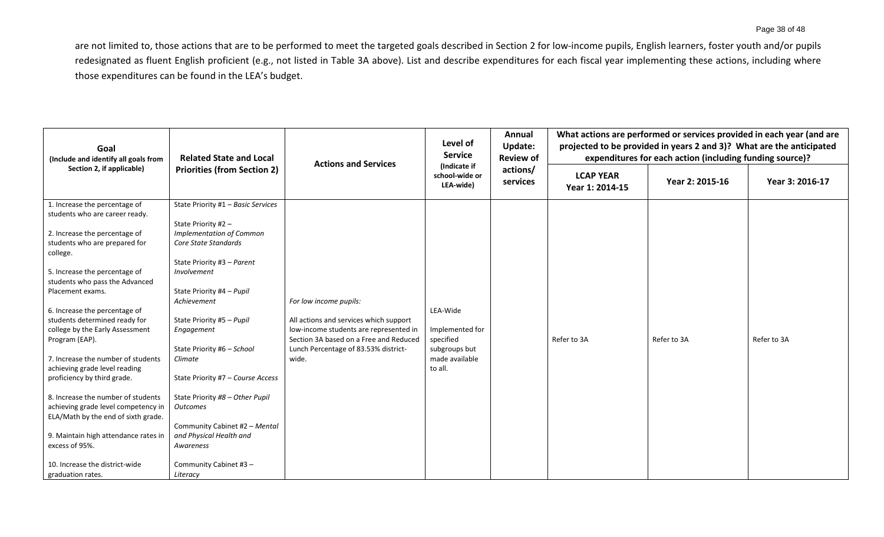are not limited to, those actions that are to be performed to meet the targeted goals described in Section 2 for low-income pupils, English learners, foster youth and/or pupils redesignated as fluent English proficient (e.g., not listed in Table 3A above). List and describe expenditures for each fiscal year implementing these actions, including where those expenditures can be found in the LEA's budget.

| Goal<br>(Include and identify all goals from<br>Section 2, if applicable)                                                                                                                                                                                                                                                                                                                                                                                                                                                                                                                                                                                                                              | <b>Related State and Local</b><br><b>Priorities (from Section 2)</b>                                                                                                                                                                                                                                                                                                                                                                                                                                        | <b>Actions and Services</b>                                                                                                                                                                           | Level of<br><b>Service</b><br>(Indicate if<br>school-wide or<br>LEA-wide)              | Annual<br>Update:<br><b>Review of</b><br>actions/<br>services | What actions are performed or services provided in each year (and are<br>projected to be provided in years 2 and 3)? What are the anticipated<br>expenditures for each action (including funding source)? |                 |                 |  |
|--------------------------------------------------------------------------------------------------------------------------------------------------------------------------------------------------------------------------------------------------------------------------------------------------------------------------------------------------------------------------------------------------------------------------------------------------------------------------------------------------------------------------------------------------------------------------------------------------------------------------------------------------------------------------------------------------------|-------------------------------------------------------------------------------------------------------------------------------------------------------------------------------------------------------------------------------------------------------------------------------------------------------------------------------------------------------------------------------------------------------------------------------------------------------------------------------------------------------------|-------------------------------------------------------------------------------------------------------------------------------------------------------------------------------------------------------|----------------------------------------------------------------------------------------|---------------------------------------------------------------|-----------------------------------------------------------------------------------------------------------------------------------------------------------------------------------------------------------|-----------------|-----------------|--|
|                                                                                                                                                                                                                                                                                                                                                                                                                                                                                                                                                                                                                                                                                                        |                                                                                                                                                                                                                                                                                                                                                                                                                                                                                                             |                                                                                                                                                                                                       |                                                                                        |                                                               | <b>LCAP YEAR</b><br>Year 1: 2014-15                                                                                                                                                                       | Year 2: 2015-16 | Year 3: 2016-17 |  |
| 1. Increase the percentage of<br>students who are career ready.<br>2. Increase the percentage of<br>students who are prepared for<br>college.<br>5. Increase the percentage of<br>students who pass the Advanced<br>Placement exams.<br>6. Increase the percentage of<br>students determined ready for<br>college by the Early Assessment<br>Program (EAP).<br>7. Increase the number of students<br>achieving grade level reading<br>proficiency by third grade.<br>8. Increase the number of students<br>achieving grade level competency in<br>ELA/Math by the end of sixth grade.<br>9. Maintain high attendance rates in<br>excess of 95%.<br>10. Increase the district-wide<br>graduation rates. | State Priority #1 - Basic Services<br>State Priority #2 -<br><b>Implementation of Common</b><br>Core State Standards<br>State Priority #3 - Parent<br>Involvement<br>State Priority #4 - Pupil<br>Achievement<br>State Priority #5 - Pupil<br>Engagement<br>State Priority #6 - School<br>Climate<br>State Priority #7 - Course Access<br>State Priority #8 - Other Pupil<br><b>Outcomes</b><br>Community Cabinet #2 - Mental<br>and Physical Health and<br>Awareness<br>Community Cabinet #3 -<br>Literacy | For low income pupils:<br>All actions and services which support<br>low-income students are represented in<br>Section 3A based on a Free and Reduced<br>Lunch Percentage of 83.53% district-<br>wide. | LEA-Wide<br>Implemented for<br>specified<br>subgroups but<br>made available<br>to all. |                                                               | Refer to 3A                                                                                                                                                                                               | Refer to 3A     | Refer to 3A     |  |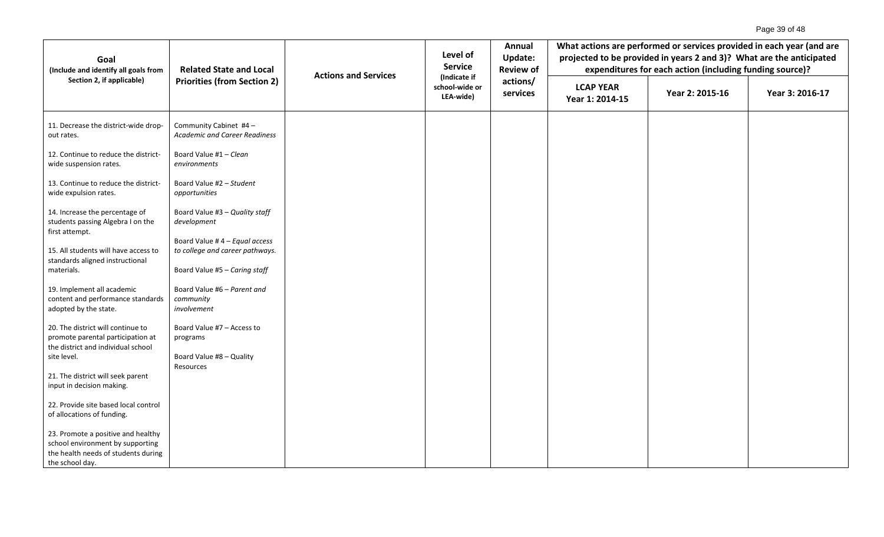| Goal<br>(Include and identify all goals from                                                                                     | <b>Related State and Local</b>                                                           | <b>Actions and Services</b> | Level of<br><b>Service</b>                  | Annual<br><b>Update:</b><br><b>Review of</b><br>actions/<br>services | What actions are performed or services provided in each year (and are<br>projected to be provided in years 2 and 3)? What are the anticipated<br>expenditures for each action (including funding source)? |                 |                 |  |
|----------------------------------------------------------------------------------------------------------------------------------|------------------------------------------------------------------------------------------|-----------------------------|---------------------------------------------|----------------------------------------------------------------------|-----------------------------------------------------------------------------------------------------------------------------------------------------------------------------------------------------------|-----------------|-----------------|--|
| Section 2, if applicable)                                                                                                        | <b>Priorities (from Section 2)</b>                                                       |                             | (Indicate if<br>school-wide or<br>LEA-wide) |                                                                      | <b>LCAP YEAR</b><br>Year 1: 2014-15                                                                                                                                                                       | Year 2: 2015-16 | Year 3: 2016-17 |  |
| 11. Decrease the district-wide drop-<br>out rates.                                                                               | Community Cabinet #4 -<br><b>Academic and Career Readiness</b>                           |                             |                                             |                                                                      |                                                                                                                                                                                                           |                 |                 |  |
| 12. Continue to reduce the district-<br>wide suspension rates.                                                                   | Board Value #1 - Clean<br>environments                                                   |                             |                                             |                                                                      |                                                                                                                                                                                                           |                 |                 |  |
| 13. Continue to reduce the district-<br>wide expulsion rates.                                                                    | Board Value #2 - Student<br>opportunities                                                |                             |                                             |                                                                      |                                                                                                                                                                                                           |                 |                 |  |
| 14. Increase the percentage of<br>students passing Algebra I on the                                                              | Board Value #3 - Quality staff<br>development                                            |                             |                                             |                                                                      |                                                                                                                                                                                                           |                 |                 |  |
| first attempt.<br>15. All students will have access to<br>standards aligned instructional                                        | Board Value #4 - Equal access<br>to college and career pathways.                         |                             |                                             |                                                                      |                                                                                                                                                                                                           |                 |                 |  |
| materials.<br>19. Implement all academic<br>content and performance standards<br>adopted by the state.                           | Board Value #5 - Caring staff<br>Board Value #6 - Parent and<br>community<br>involvement |                             |                                             |                                                                      |                                                                                                                                                                                                           |                 |                 |  |
| 20. The district will continue to<br>promote parental participation at<br>the district and individual school<br>site level.      | Board Value #7 - Access to<br>programs<br>Board Value #8 - Quality                       |                             |                                             |                                                                      |                                                                                                                                                                                                           |                 |                 |  |
| 21. The district will seek parent<br>input in decision making.                                                                   | Resources                                                                                |                             |                                             |                                                                      |                                                                                                                                                                                                           |                 |                 |  |
| 22. Provide site based local control<br>of allocations of funding.                                                               |                                                                                          |                             |                                             |                                                                      |                                                                                                                                                                                                           |                 |                 |  |
| 23. Promote a positive and healthy<br>school environment by supporting<br>the health needs of students during<br>the school day. |                                                                                          |                             |                                             |                                                                      |                                                                                                                                                                                                           |                 |                 |  |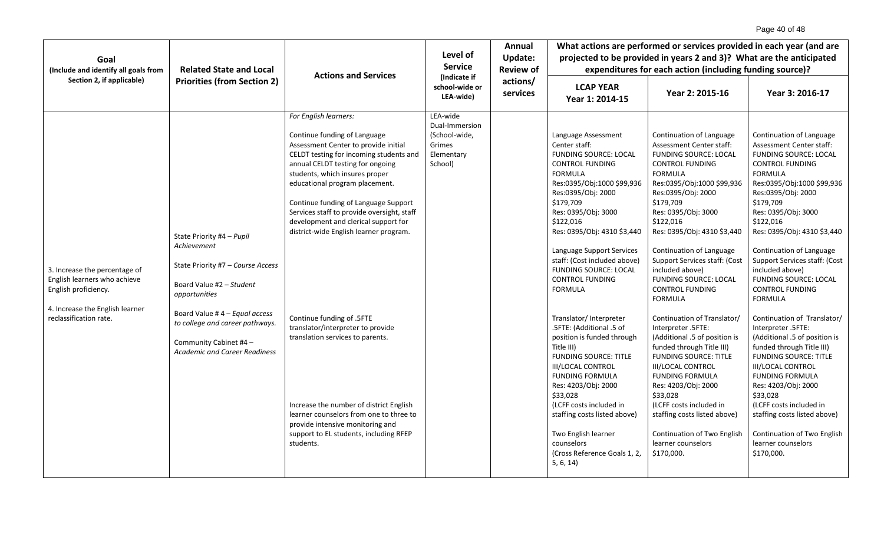| Goal<br>(Include and identify all goals from                                                                                                       | <b>Related State and Local</b>                                                                                                                                                                                                                                   | <b>Actions and Services</b>                                                                                                                                                                                                                                                                                                                                                                                                                                                                                                                                                                                                                                                                                     | Level of<br><b>Service</b>                                                     | Annual<br>Update:<br><b>Review of</b><br>actions/<br>services | What actions are performed or services provided in each year (and are<br>projected to be provided in years 2 and 3)? What are the anticipated<br>expenditures for each action (including funding source)?                                                                                                                                                                                                                                                                                                                                                                                                                                                                                                                                                              |                                                                                                                                                                                                                                                                                                                                                                                                                                                                                                                                                                                                                                                                                                                                                                                                            |                                                                                                                                                                                                                                                                                                                                                                                                                                                                                                                                                                                                                                                                                                                                                                                                            |
|----------------------------------------------------------------------------------------------------------------------------------------------------|------------------------------------------------------------------------------------------------------------------------------------------------------------------------------------------------------------------------------------------------------------------|-----------------------------------------------------------------------------------------------------------------------------------------------------------------------------------------------------------------------------------------------------------------------------------------------------------------------------------------------------------------------------------------------------------------------------------------------------------------------------------------------------------------------------------------------------------------------------------------------------------------------------------------------------------------------------------------------------------------|--------------------------------------------------------------------------------|---------------------------------------------------------------|------------------------------------------------------------------------------------------------------------------------------------------------------------------------------------------------------------------------------------------------------------------------------------------------------------------------------------------------------------------------------------------------------------------------------------------------------------------------------------------------------------------------------------------------------------------------------------------------------------------------------------------------------------------------------------------------------------------------------------------------------------------------|------------------------------------------------------------------------------------------------------------------------------------------------------------------------------------------------------------------------------------------------------------------------------------------------------------------------------------------------------------------------------------------------------------------------------------------------------------------------------------------------------------------------------------------------------------------------------------------------------------------------------------------------------------------------------------------------------------------------------------------------------------------------------------------------------------|------------------------------------------------------------------------------------------------------------------------------------------------------------------------------------------------------------------------------------------------------------------------------------------------------------------------------------------------------------------------------------------------------------------------------------------------------------------------------------------------------------------------------------------------------------------------------------------------------------------------------------------------------------------------------------------------------------------------------------------------------------------------------------------------------------|
| Section 2, if applicable)                                                                                                                          | <b>Priorities (from Section 2)</b>                                                                                                                                                                                                                               |                                                                                                                                                                                                                                                                                                                                                                                                                                                                                                                                                                                                                                                                                                                 | (Indicate if<br>school-wide or<br>LEA-wide)                                    |                                                               | <b>LCAP YEAR</b><br>Year 1: 2014-15                                                                                                                                                                                                                                                                                                                                                                                                                                                                                                                                                                                                                                                                                                                                    | Year 2: 2015-16                                                                                                                                                                                                                                                                                                                                                                                                                                                                                                                                                                                                                                                                                                                                                                                            | Year 3: 2016-17                                                                                                                                                                                                                                                                                                                                                                                                                                                                                                                                                                                                                                                                                                                                                                                            |
| 3. Increase the percentage of<br>English learners who achieve<br>English proficiency.<br>4. Increase the English learner<br>reclassification rate. | State Priority #4 - Pupil<br>Achievement<br>State Priority #7 - Course Access<br>Board Value #2 - Student<br>opportunities<br>Board Value #4 - Equal access<br>to college and career pathways.<br>Community Cabinet #4 -<br><b>Academic and Career Readiness</b> | For English learners:<br>Continue funding of Language<br>Assessment Center to provide initial<br>CELDT testing for incoming students and<br>annual CELDT testing for ongoing<br>students, which insures proper<br>educational program placement.<br>Continue funding of Language Support<br>Services staff to provide oversight, staff<br>development and clerical support for<br>district-wide English learner program.<br>Continue funding of .5FTE<br>translator/interpreter to provide<br>translation services to parents.<br>Increase the number of district English<br>learner counselors from one to three to<br>provide intensive monitoring and<br>support to EL students, including RFEP<br>students. | LEA-wide<br>Dual-Immersion<br>(School-wide,<br>Grimes<br>Elementary<br>School) |                                                               | Language Assessment<br>Center staff:<br><b>FUNDING SOURCE: LOCAL</b><br><b>CONTROL FUNDING</b><br><b>FORMULA</b><br>Res:0395/Obj:1000 \$99,936<br>Res:0395/Obj: 2000<br>\$179,709<br>Res: 0395/Obj: 3000<br>\$122,016<br>Res: 0395/Obj: 4310 \$3,440<br>Language Support Services<br>staff: (Cost included above)<br><b>FUNDING SOURCE: LOCAL</b><br><b>CONTROL FUNDING</b><br><b>FORMULA</b><br>Translator/ Interpreter<br>.5FTE: (Additional .5 of<br>position is funded through<br>Title III)<br><b>FUNDING SOURCE: TITLE</b><br><b>III/LOCAL CONTROL</b><br><b>FUNDING FORMULA</b><br>Res: 4203/Obj: 2000<br>\$33,028<br>(LCFF costs included in<br>staffing costs listed above)<br>Two English learner<br>counselors<br>(Cross Reference Goals 1, 2,<br>5, 6, 14) | Continuation of Language<br>Assessment Center staff:<br><b>FUNDING SOURCE: LOCAL</b><br><b>CONTROL FUNDING</b><br><b>FORMULA</b><br>Res:0395/Obj:1000 \$99,936<br>Res:0395/Obj: 2000<br>\$179,709<br>Res: 0395/Obj: 3000<br>\$122,016<br>Res: 0395/Obj: 4310 \$3,440<br>Continuation of Language<br>Support Services staff: (Cost<br>included above)<br><b>FUNDING SOURCE: LOCAL</b><br><b>CONTROL FUNDING</b><br><b>FORMULA</b><br>Continuation of Translator/<br>Interpreter .5FTE:<br>(Additional .5 of position is<br>funded through Title III)<br><b>FUNDING SOURCE: TITLE</b><br><b>III/LOCAL CONTROL</b><br><b>FUNDING FORMULA</b><br>Res: 4203/Obj: 2000<br>\$33,028<br>(LCFF costs included in<br>staffing costs listed above)<br>Continuation of Two English<br>learner counselors<br>\$170,000. | Continuation of Language<br>Assessment Center staff:<br><b>FUNDING SOURCE: LOCAL</b><br><b>CONTROL FUNDING</b><br><b>FORMULA</b><br>Res:0395/Obj:1000 \$99,936<br>Res:0395/Obj: 2000<br>\$179,709<br>Res: 0395/Obj: 3000<br>\$122,016<br>Res: 0395/Obj: 4310 \$3,440<br>Continuation of Language<br>Support Services staff: (Cost<br>included above)<br><b>FUNDING SOURCE: LOCAL</b><br><b>CONTROL FUNDING</b><br><b>FORMULA</b><br>Continuation of Translator/<br>Interpreter .5FTE:<br>(Additional .5 of position is<br>funded through Title III)<br><b>FUNDING SOURCE: TITLE</b><br><b>III/LOCAL CONTROL</b><br><b>FUNDING FORMULA</b><br>Res: 4203/Obj: 2000<br>\$33,028<br>(LCFF costs included in<br>staffing costs listed above)<br>Continuation of Two English<br>learner counselors<br>\$170,000. |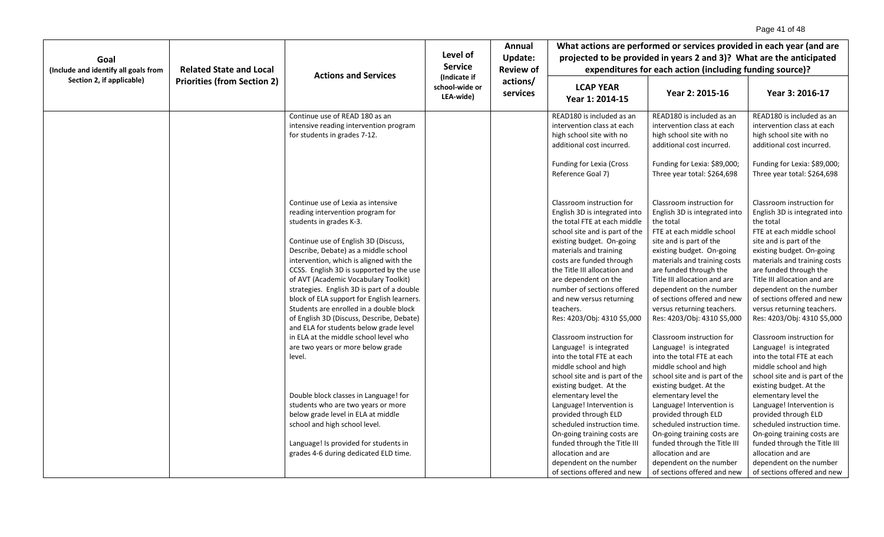|                                                                   |                                    |                                                                                                                                                                                                                                                                                                                                                                                                                                                                                                                                                                                                                                        |                                             | Annual                                   |                                                                                                                                                                                                                                                                                                                                                                                                                                                                     | What actions are performed or services provided in each year (and are                                                                                                                                                                                                                                                                                                                                                                                               |                                                                                                                                                                                                                                                                                                                                                                                                                                                                     |  |
|-------------------------------------------------------------------|------------------------------------|----------------------------------------------------------------------------------------------------------------------------------------------------------------------------------------------------------------------------------------------------------------------------------------------------------------------------------------------------------------------------------------------------------------------------------------------------------------------------------------------------------------------------------------------------------------------------------------------------------------------------------------|---------------------------------------------|------------------------------------------|---------------------------------------------------------------------------------------------------------------------------------------------------------------------------------------------------------------------------------------------------------------------------------------------------------------------------------------------------------------------------------------------------------------------------------------------------------------------|---------------------------------------------------------------------------------------------------------------------------------------------------------------------------------------------------------------------------------------------------------------------------------------------------------------------------------------------------------------------------------------------------------------------------------------------------------------------|---------------------------------------------------------------------------------------------------------------------------------------------------------------------------------------------------------------------------------------------------------------------------------------------------------------------------------------------------------------------------------------------------------------------------------------------------------------------|--|
| Goal                                                              |                                    |                                                                                                                                                                                                                                                                                                                                                                                                                                                                                                                                                                                                                                        | Level of                                    | <b>Update:</b>                           | projected to be provided in years 2 and 3)? What are the anticipated                                                                                                                                                                                                                                                                                                                                                                                                |                                                                                                                                                                                                                                                                                                                                                                                                                                                                     |                                                                                                                                                                                                                                                                                                                                                                                                                                                                     |  |
| (Include and identify all goals from<br>Section 2, if applicable) | <b>Related State and Local</b>     |                                                                                                                                                                                                                                                                                                                                                                                                                                                                                                                                                                                                                                        | <b>Service</b>                              | <b>Review of</b><br>actions/<br>services | expenditures for each action (including funding source)?                                                                                                                                                                                                                                                                                                                                                                                                            |                                                                                                                                                                                                                                                                                                                                                                                                                                                                     |                                                                                                                                                                                                                                                                                                                                                                                                                                                                     |  |
|                                                                   | <b>Priorities (from Section 2)</b> | <b>Actions and Services</b>                                                                                                                                                                                                                                                                                                                                                                                                                                                                                                                                                                                                            | (Indicate if<br>school-wide or<br>LEA-wide) |                                          | <b>LCAP YEAR</b><br>Year 1: 2014-15                                                                                                                                                                                                                                                                                                                                                                                                                                 | Year 2: 2015-16                                                                                                                                                                                                                                                                                                                                                                                                                                                     | Year 3: 2016-17                                                                                                                                                                                                                                                                                                                                                                                                                                                     |  |
|                                                                   |                                    | Continue use of READ 180 as an<br>intensive reading intervention program<br>for students in grades 7-12.                                                                                                                                                                                                                                                                                                                                                                                                                                                                                                                               |                                             |                                          | READ180 is included as an<br>intervention class at each<br>high school site with no<br>additional cost incurred.<br>Funding for Lexia (Cross<br>Reference Goal 7)                                                                                                                                                                                                                                                                                                   | READ180 is included as an<br>intervention class at each<br>high school site with no<br>additional cost incurred.<br>Funding for Lexia: \$89,000;<br>Three year total: \$264,698                                                                                                                                                                                                                                                                                     | READ180 is included as an<br>intervention class at each<br>high school site with no<br>additional cost incurred.<br>Funding for Lexia: \$89,000;<br>Three year total: \$264,698                                                                                                                                                                                                                                                                                     |  |
|                                                                   |                                    | Continue use of Lexia as intensive<br>reading intervention program for<br>students in grades K-3.<br>Continue use of English 3D (Discuss,<br>Describe, Debate) as a middle school<br>intervention, which is aligned with the<br>CCSS. English 3D is supported by the use<br>of AVT (Academic Vocabulary Toolkit)<br>strategies. English 3D is part of a double<br>block of ELA support for English learners.<br>Students are enrolled in a double block<br>of English 3D (Discuss, Describe, Debate)<br>and ELA for students below grade level<br>in ELA at the middle school level who<br>are two years or more below grade<br>level. |                                             |                                          | Classroom instruction for<br>English 3D is integrated into<br>the total FTE at each middle<br>school site and is part of the<br>existing budget. On-going<br>materials and training<br>costs are funded through<br>the Title III allocation and<br>are dependent on the<br>number of sections offered<br>and new versus returning<br>teachers.<br>Res: 4203/Obj: 4310 \$5,000<br>Classroom instruction for<br>Language! is integrated<br>into the total FTE at each | Classroom instruction for<br>English 3D is integrated into<br>the total<br>FTE at each middle school<br>site and is part of the<br>existing budget. On-going<br>materials and training costs<br>are funded through the<br>Title III allocation and are<br>dependent on the number<br>of sections offered and new<br>versus returning teachers.<br>Res: 4203/Obj: 4310 \$5,000<br>Classroom instruction for<br>Language! is integrated<br>into the total FTE at each | Classroom instruction for<br>English 3D is integrated into<br>the total<br>FTE at each middle school<br>site and is part of the<br>existing budget. On-going<br>materials and training costs<br>are funded through the<br>Title III allocation and are<br>dependent on the number<br>of sections offered and new<br>versus returning teachers.<br>Res: 4203/Obj: 4310 \$5,000<br>Classroom instruction for<br>Language! is integrated<br>into the total FTE at each |  |
|                                                                   |                                    | Double block classes in Language! for<br>students who are two years or more<br>below grade level in ELA at middle<br>school and high school level.<br>Language! Is provided for students in<br>grades 4-6 during dedicated ELD time.                                                                                                                                                                                                                                                                                                                                                                                                   |                                             |                                          | middle school and high<br>school site and is part of the<br>existing budget. At the<br>elementary level the<br>Language! Intervention is<br>provided through ELD<br>scheduled instruction time.<br>On-going training costs are<br>funded through the Title III<br>allocation and are<br>dependent on the number<br>of sections offered and new                                                                                                                      | middle school and high<br>school site and is part of the<br>existing budget. At the<br>elementary level the<br>Language! Intervention is<br>provided through ELD<br>scheduled instruction time.<br>On-going training costs are<br>funded through the Title III<br>allocation and are<br>dependent on the number<br>of sections offered and new                                                                                                                      | middle school and high<br>school site and is part of the<br>existing budget. At the<br>elementary level the<br>Language! Intervention is<br>provided through ELD<br>scheduled instruction time.<br>On-going training costs are<br>funded through the Title III<br>allocation and are<br>dependent on the number<br>of sections offered and new                                                                                                                      |  |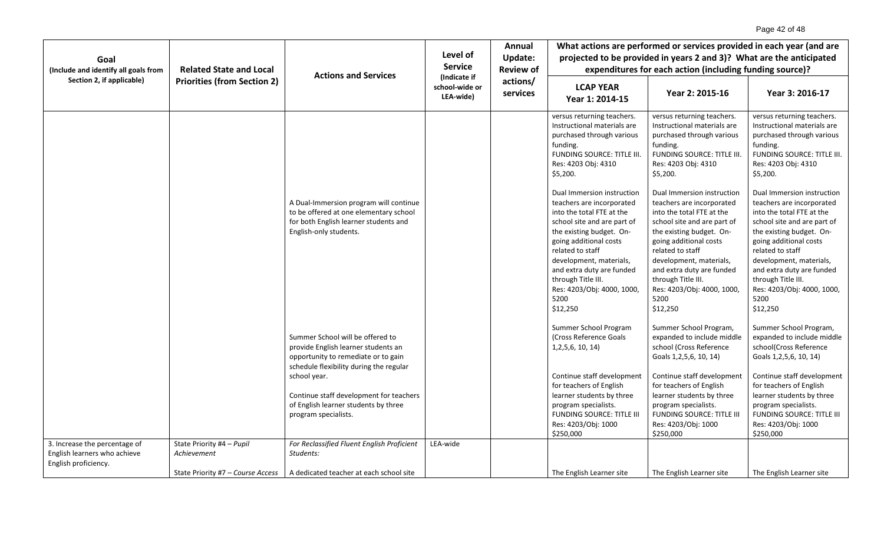| Goal                                                                                  |                                          | <b>Actions and Services</b>                                                                                                                                                                                                                                                          | Level of<br><b>Service</b>                  | Annual<br>Update:                        | What actions are performed or services provided in each year (and are<br>projected to be provided in years 2 and 3)? What are the anticipated                                                                                                                                                                                 |                                                                                                                                                                                                                                                                                                                               |                                                                                                                                                                                                                                                                                                                               |  |
|---------------------------------------------------------------------------------------|------------------------------------------|--------------------------------------------------------------------------------------------------------------------------------------------------------------------------------------------------------------------------------------------------------------------------------------|---------------------------------------------|------------------------------------------|-------------------------------------------------------------------------------------------------------------------------------------------------------------------------------------------------------------------------------------------------------------------------------------------------------------------------------|-------------------------------------------------------------------------------------------------------------------------------------------------------------------------------------------------------------------------------------------------------------------------------------------------------------------------------|-------------------------------------------------------------------------------------------------------------------------------------------------------------------------------------------------------------------------------------------------------------------------------------------------------------------------------|--|
| (Include and identify all goals from                                                  | <b>Related State and Local</b>           |                                                                                                                                                                                                                                                                                      |                                             | <b>Review of</b><br>actions/<br>services | expenditures for each action (including funding source)?                                                                                                                                                                                                                                                                      |                                                                                                                                                                                                                                                                                                                               |                                                                                                                                                                                                                                                                                                                               |  |
| Section 2, if applicable)                                                             | <b>Priorities (from Section 2)</b>       |                                                                                                                                                                                                                                                                                      | (Indicate if<br>school-wide or<br>LEA-wide) |                                          | <b>LCAP YEAR</b><br>Year 1: 2014-15                                                                                                                                                                                                                                                                                           | Year 2: 2015-16                                                                                                                                                                                                                                                                                                               | Year 3: 2016-17                                                                                                                                                                                                                                                                                                               |  |
|                                                                                       |                                          |                                                                                                                                                                                                                                                                                      |                                             |                                          | versus returning teachers.<br>Instructional materials are<br>purchased through various<br>funding.<br>FUNDING SOURCE: TITLE III.<br>Res: 4203 Obj: 4310<br>\$5,200.                                                                                                                                                           | versus returning teachers.<br>Instructional materials are<br>purchased through various<br>funding.<br>FUNDING SOURCE: TITLE III.<br>Res: 4203 Obj: 4310<br>\$5,200.                                                                                                                                                           | versus returning teachers.<br>Instructional materials are<br>purchased through various<br>funding.<br>FUNDING SOURCE: TITLE III.<br>Res: 4203 Obj: 4310<br>\$5,200.                                                                                                                                                           |  |
|                                                                                       |                                          | A Dual-Immersion program will continue<br>to be offered at one elementary school<br>for both English learner students and<br>English-only students.                                                                                                                                  |                                             |                                          | Dual Immersion instruction<br>teachers are incorporated<br>into the total FTE at the<br>school site and are part of<br>the existing budget. On-<br>going additional costs<br>related to staff<br>development, materials,<br>and extra duty are funded<br>through Title III.<br>Res: 4203/Obj: 4000, 1000,<br>5200<br>\$12,250 | Dual Immersion instruction<br>teachers are incorporated<br>into the total FTE at the<br>school site and are part of<br>the existing budget. On-<br>going additional costs<br>related to staff<br>development, materials,<br>and extra duty are funded<br>through Title III.<br>Res: 4203/Obj: 4000, 1000,<br>5200<br>\$12,250 | Dual Immersion instruction<br>teachers are incorporated<br>into the total FTE at the<br>school site and are part of<br>the existing budget. On-<br>going additional costs<br>related to staff<br>development, materials,<br>and extra duty are funded<br>through Title III.<br>Res: 4203/Obj: 4000, 1000,<br>5200<br>\$12,250 |  |
|                                                                                       |                                          | Summer School will be offered to<br>provide English learner students an<br>opportunity to remediate or to gain<br>schedule flexibility during the regular<br>school year.<br>Continue staff development for teachers<br>of English learner students by three<br>program specialists. |                                             |                                          | Summer School Program<br>(Cross Reference Goals<br>1, 2, 5, 6, 10, 14)<br>Continue staff development<br>for teachers of English<br>learner students by three<br>program specialists.<br><b>FUNDING SOURCE: TITLE III</b><br>Res: 4203/Obj: 1000                                                                               | Summer School Program,<br>expanded to include middle<br>school (Cross Reference<br>Goals 1,2,5,6, 10, 14)<br>Continue staff development<br>for teachers of English<br>learner students by three<br>program specialists.<br><b>FUNDING SOURCE: TITLE III</b><br>Res: 4203/Obj: 1000                                            | Summer School Program,<br>expanded to include middle<br>school(Cross Reference<br>Goals 1,2,5,6, 10, 14)<br>Continue staff development<br>for teachers of English<br>learner students by three<br>program specialists.<br><b>FUNDING SOURCE: TITLE III</b><br>Res: 4203/Obj: 1000                                             |  |
|                                                                                       |                                          |                                                                                                                                                                                                                                                                                      |                                             |                                          | \$250,000                                                                                                                                                                                                                                                                                                                     | \$250,000                                                                                                                                                                                                                                                                                                                     | \$250,000                                                                                                                                                                                                                                                                                                                     |  |
| 3. Increase the percentage of<br>English learners who achieve<br>English proficiency. | State Priority #4 - Pupil<br>Achievement | For Reclassified Fluent English Proficient<br>Students:                                                                                                                                                                                                                              | LEA-wide                                    |                                          |                                                                                                                                                                                                                                                                                                                               |                                                                                                                                                                                                                                                                                                                               |                                                                                                                                                                                                                                                                                                                               |  |
|                                                                                       | State Priority #7 - Course Access        | A dedicated teacher at each school site                                                                                                                                                                                                                                              |                                             |                                          | The English Learner site                                                                                                                                                                                                                                                                                                      | The English Learner site                                                                                                                                                                                                                                                                                                      | The English Learner site                                                                                                                                                                                                                                                                                                      |  |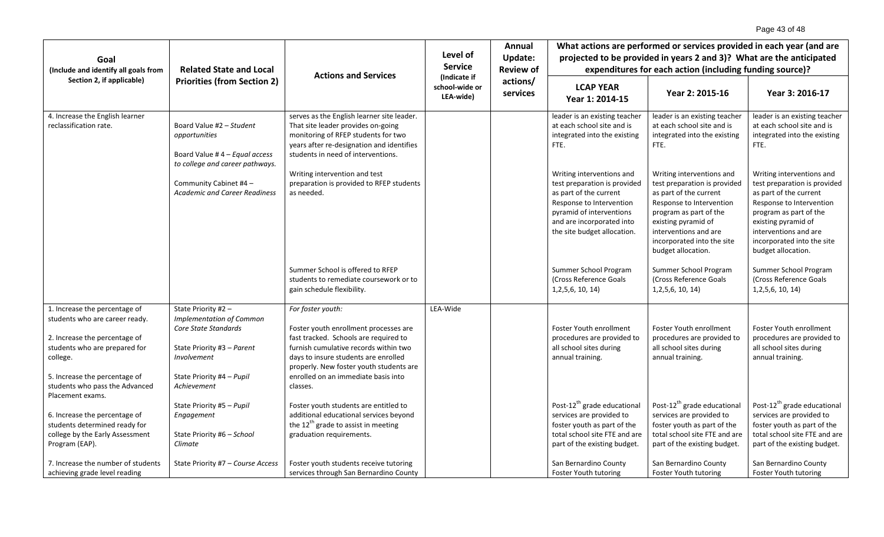| Goal                                                                                                                                                                                                                                 | <b>Related State and Local</b>                                                                                                                                          | <b>Actions and Services</b>                                                                                                                                                                                                                                                        | Level of<br><b>Service</b>                  | Annual<br><b>Update:</b><br><b>Review of</b><br>actions/<br>services | What actions are performed or services provided in each year (and are<br>projected to be provided in years 2 and 3)? What are the anticipated<br>expenditures for each action (including funding source)?             |                                                                                                                                                                                                                                               |                                                                                                                                                                                                                                               |  |
|--------------------------------------------------------------------------------------------------------------------------------------------------------------------------------------------------------------------------------------|-------------------------------------------------------------------------------------------------------------------------------------------------------------------------|------------------------------------------------------------------------------------------------------------------------------------------------------------------------------------------------------------------------------------------------------------------------------------|---------------------------------------------|----------------------------------------------------------------------|-----------------------------------------------------------------------------------------------------------------------------------------------------------------------------------------------------------------------|-----------------------------------------------------------------------------------------------------------------------------------------------------------------------------------------------------------------------------------------------|-----------------------------------------------------------------------------------------------------------------------------------------------------------------------------------------------------------------------------------------------|--|
| (Include and identify all goals from                                                                                                                                                                                                 |                                                                                                                                                                         |                                                                                                                                                                                                                                                                                    |                                             |                                                                      |                                                                                                                                                                                                                       |                                                                                                                                                                                                                                               |                                                                                                                                                                                                                                               |  |
| Section 2, if applicable)                                                                                                                                                                                                            | <b>Priorities (from Section 2)</b>                                                                                                                                      |                                                                                                                                                                                                                                                                                    | (Indicate if<br>school-wide or<br>LEA-wide) |                                                                      | <b>LCAP YEAR</b><br>Year 1: 2014-15                                                                                                                                                                                   | Year 2: 2015-16                                                                                                                                                                                                                               | Year 3: 2016-17                                                                                                                                                                                                                               |  |
| 4. Increase the English learner<br>reclassification rate.                                                                                                                                                                            | Board Value #2 - Student<br>opportunities<br>Board Value # $4 -$ Equal access<br>to college and career pathways.                                                        | serves as the English learner site leader.<br>That site leader provides on-going<br>monitoring of RFEP students for two<br>years after re-designation and identifies<br>students in need of interventions.                                                                         |                                             |                                                                      | leader is an existing teacher<br>at each school site and is<br>integrated into the existing<br>FTE.                                                                                                                   | leader is an existing teacher<br>at each school site and is<br>integrated into the existing<br>FTE.                                                                                                                                           | leader is an existing teacher<br>at each school site and is<br>integrated into the existing<br>FTE.                                                                                                                                           |  |
|                                                                                                                                                                                                                                      | Community Cabinet #4 -<br><b>Academic and Career Readiness</b>                                                                                                          | Writing intervention and test<br>preparation is provided to RFEP students<br>as needed.                                                                                                                                                                                            |                                             |                                                                      | Writing interventions and<br>test preparation is provided<br>as part of the current<br>Response to Intervention<br>pyramid of interventions<br>and are incorporated into<br>the site budget allocation.               | Writing interventions and<br>test preparation is provided<br>as part of the current<br>Response to Intervention<br>program as part of the<br>existing pyramid of<br>interventions and are<br>incorporated into the site<br>budget allocation. | Writing interventions and<br>test preparation is provided<br>as part of the current<br>Response to Intervention<br>program as part of the<br>existing pyramid of<br>interventions and are<br>incorporated into the site<br>budget allocation. |  |
|                                                                                                                                                                                                                                      |                                                                                                                                                                         | Summer School is offered to RFEP<br>students to remediate coursework or to<br>gain schedule flexibility.                                                                                                                                                                           |                                             |                                                                      | Summer School Program<br>(Cross Reference Goals)<br>1, 2, 5, 6, 10, 14                                                                                                                                                | Summer School Program<br>(Cross Reference Goals)<br>1, 2, 5, 6, 10, 14                                                                                                                                                                        | Summer School Program<br>(Cross Reference Goals<br>1, 2, 5, 6, 10, 14                                                                                                                                                                         |  |
| 1. Increase the percentage of<br>students who are career ready.<br>2. Increase the percentage of<br>students who are prepared for<br>college.<br>5. Increase the percentage of<br>students who pass the Advanced<br>Placement exams. | State Priority #2 -<br><b>Implementation of Common</b><br>Core State Standards<br>State Priority #3 - Parent<br>Involvement<br>State Priority #4 - Pupil<br>Achievement | For foster youth:<br>Foster youth enrollment processes are<br>fast tracked. Schools are required to<br>furnish cumulative records within two<br>days to insure students are enrolled<br>properly. New foster youth students are<br>enrolled on an immediate basis into<br>classes. | LEA-Wide                                    |                                                                      | Foster Youth enrollment<br>procedures are provided to<br>all school sites during<br>annual training.                                                                                                                  | Foster Youth enrollment<br>procedures are provided to<br>all school sites during<br>annual training.                                                                                                                                          | Foster Youth enrollment<br>procedures are provided to<br>all school sites during<br>annual training.                                                                                                                                          |  |
| 6. Increase the percentage of<br>students determined ready for<br>college by the Early Assessment<br>Program (EAP).<br>7. Increase the number of students<br>achieving grade level reading                                           | State Priority #5 - Pupil<br>Engagement<br>State Priority #6 - School<br>Climate<br>State Priority #7 - Course Access                                                   | Foster youth students are entitled to<br>additional educational services beyond<br>the $12^{th}$ grade to assist in meeting<br>graduation requirements.<br>Foster youth students receive tutoring<br>services through San Bernardino County                                        |                                             |                                                                      | Post-12 <sup>th</sup> grade educational<br>services are provided to<br>foster youth as part of the<br>total school site FTE and are<br>part of the existing budget.<br>San Bernardino County<br>Foster Youth tutoring | Post-12 <sup>th</sup> grade educational<br>services are provided to<br>foster youth as part of the<br>total school site FTE and are<br>part of the existing budget.<br>San Bernardino County<br>Foster Youth tutoring                         | Post-12 <sup>th</sup> grade educational<br>services are provided to<br>foster youth as part of the<br>total school site FTE and are<br>part of the existing budget.<br>San Bernardino County<br>Foster Youth tutoring                         |  |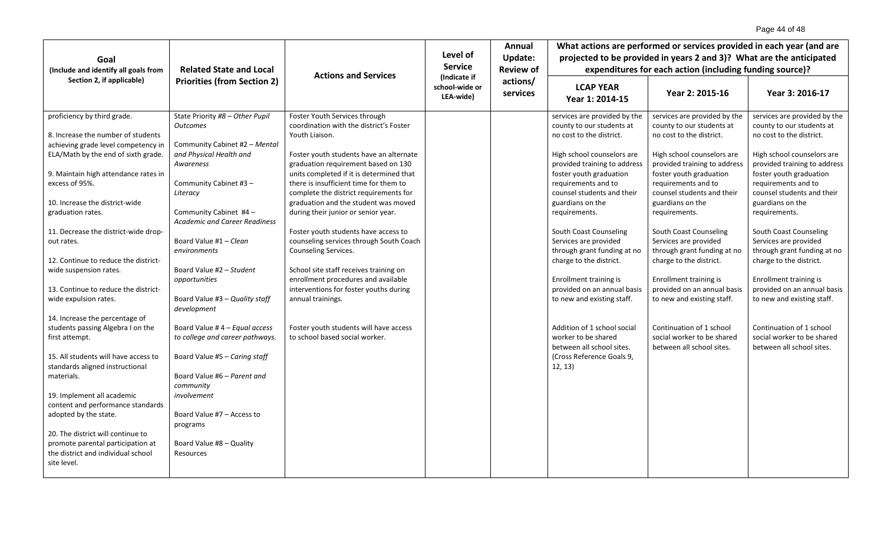|                                                                            |                                                                       |                                                                                                                              |                                             | Annual                                                     | What actions are performed or services provided in each year (and are                 |                                                                                       |                                                                                       |  |
|----------------------------------------------------------------------------|-----------------------------------------------------------------------|------------------------------------------------------------------------------------------------------------------------------|---------------------------------------------|------------------------------------------------------------|---------------------------------------------------------------------------------------|---------------------------------------------------------------------------------------|---------------------------------------------------------------------------------------|--|
| Goal                                                                       |                                                                       |                                                                                                                              | Level of<br><b>Service</b>                  | <b>Update:</b><br><b>Review of</b><br>actions/<br>services | projected to be provided in years 2 and 3)? What are the anticipated                  |                                                                                       |                                                                                       |  |
| (Include and identify all goals from                                       | <b>Related State and Local</b>                                        |                                                                                                                              |                                             |                                                            | expenditures for each action (including funding source)?                              |                                                                                       |                                                                                       |  |
| Section 2, if applicable)                                                  | <b>Actions and Services</b><br><b>Priorities (from Section 2)</b>     |                                                                                                                              | (Indicate if<br>school-wide or<br>LEA-wide) |                                                            | <b>LCAP YEAR</b><br>Year 1: 2014-15                                                   | Year 2: 2015-16                                                                       | Year 3: 2016-17                                                                       |  |
| proficiency by third grade.<br>8. Increase the number of students          | State Priority #8 - Other Pupil<br><b>Outcomes</b>                    | Foster Youth Services through<br>coordination with the district's Foster<br>Youth Liaison.                                   |                                             |                                                            | services are provided by the<br>county to our students at<br>no cost to the district. | services are provided by the<br>county to our students at<br>no cost to the district. | services are provided by the<br>county to our students at<br>no cost to the district. |  |
| achieving grade level competency in<br>ELA/Math by the end of sixth grade. | Community Cabinet #2 - Mental<br>and Physical Health and<br>Awareness | Foster youth students have an alternate<br>graduation requirement based on 130                                               |                                             |                                                            | High school counselors are<br>provided training to address                            | High school counselors are<br>provided training to address                            | High school counselors are<br>provided training to address                            |  |
| 9. Maintain high attendance rates in<br>excess of 95%.                     | Community Cabinet #3 -<br>Literacy                                    | units completed if it is determined that<br>there is insufficient time for them to<br>complete the district requirements for |                                             |                                                            | foster youth graduation<br>requirements and to<br>counsel students and their          | foster youth graduation<br>requirements and to<br>counsel students and their          | foster youth graduation<br>requirements and to<br>counsel students and their          |  |
| 10. Increase the district-wide<br>graduation rates.                        | Community Cabinet #4 -<br><b>Academic and Career Readiness</b>        | graduation and the student was moved<br>during their junior or senior year.                                                  |                                             |                                                            | guardians on the<br>requirements.                                                     | guardians on the<br>requirements.                                                     | guardians on the<br>requirements.                                                     |  |
| 11. Decrease the district-wide drop-<br>out rates.                         | Board Value #1 - Clean<br>environments                                | Foster youth students have access to<br>counseling services through South Coach<br>Counseling Services.                      |                                             |                                                            | South Coast Counseling<br>Services are provided<br>through grant funding at no        | South Coast Counseling<br>Services are provided<br>through grant funding at no        | South Coast Counseling<br>Services are provided<br>through grant funding at no        |  |
| 12. Continue to reduce the district-                                       |                                                                       |                                                                                                                              |                                             |                                                            | charge to the district.                                                               | charge to the district.                                                               | charge to the district.                                                               |  |
| wide suspension rates.                                                     | Board Value #2 - Student                                              | School site staff receives training on<br>enrollment procedures and available                                                |                                             |                                                            |                                                                                       |                                                                                       |                                                                                       |  |
| 13. Continue to reduce the district-                                       | opportunities                                                         | interventions for foster youths during                                                                                       |                                             |                                                            | Enrollment training is<br>provided on an annual basis                                 | Enrollment training is<br>provided on an annual basis                                 | Enrollment training is<br>provided on an annual basis                                 |  |
| wide expulsion rates.                                                      | Board Value #3 - Quality staff<br>development                         | annual trainings.                                                                                                            |                                             |                                                            | to new and existing staff.                                                            | to new and existing staff.                                                            | to new and existing staff.                                                            |  |
| 14. Increase the percentage of                                             |                                                                       |                                                                                                                              |                                             |                                                            |                                                                                       |                                                                                       |                                                                                       |  |
| students passing Algebra I on the<br>first attempt.                        | Board Value #4 - Equal access<br>to college and career pathways.      | Foster youth students will have access<br>to school based social worker.                                                     |                                             |                                                            | Addition of 1 school social<br>worker to be shared<br>between all school sites.       | Continuation of 1 school<br>social worker to be shared<br>between all school sites.   | Continuation of 1 school<br>social worker to be shared<br>between all school sites.   |  |
| 15. All students will have access to<br>standards aligned instructional    | Board Value #5 - Caring staff                                         |                                                                                                                              |                                             |                                                            | (Cross Reference Goals 9,<br>12, 13)                                                  |                                                                                       |                                                                                       |  |
| materials.                                                                 | Board Value #6 - Parent and<br>community                              |                                                                                                                              |                                             |                                                            |                                                                                       |                                                                                       |                                                                                       |  |
| 19. Implement all academic<br>content and performance standards            | involvement                                                           |                                                                                                                              |                                             |                                                            |                                                                                       |                                                                                       |                                                                                       |  |
| adopted by the state.                                                      | Board Value #7 - Access to<br>programs                                |                                                                                                                              |                                             |                                                            |                                                                                       |                                                                                       |                                                                                       |  |
| 20. The district will continue to                                          |                                                                       |                                                                                                                              |                                             |                                                            |                                                                                       |                                                                                       |                                                                                       |  |
| promote parental participation at                                          | Board Value #8 - Quality                                              |                                                                                                                              |                                             |                                                            |                                                                                       |                                                                                       |                                                                                       |  |
| the district and individual school<br>site level.                          | Resources                                                             |                                                                                                                              |                                             |                                                            |                                                                                       |                                                                                       |                                                                                       |  |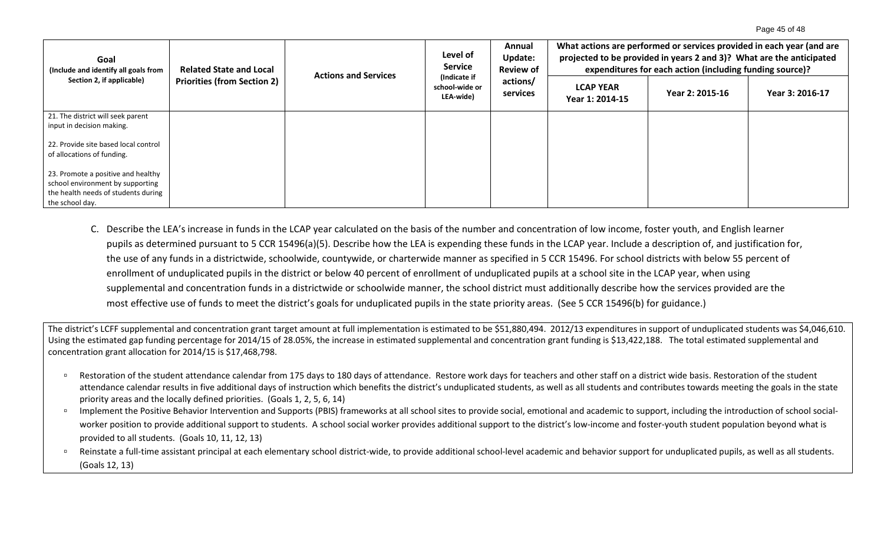| Goal<br>(Include and identify all goals from<br>Section 2, if applicable) | <b>Related State and Local</b><br><b>Priorities (from Section 2)</b> | <b>Actions and Services</b> | Level of<br><b>Service</b><br>(Indicate if<br>school-wide or<br>LEA-wide) | Annual<br>Update:<br><b>Review of</b><br>actions/<br>services | What actions are performed or services provided in each year (and are<br>projected to be provided in years 2 and 3)? What are the anticipated<br>expenditures for each action (including funding source)? |                 |                 |
|---------------------------------------------------------------------------|----------------------------------------------------------------------|-----------------------------|---------------------------------------------------------------------------|---------------------------------------------------------------|-----------------------------------------------------------------------------------------------------------------------------------------------------------------------------------------------------------|-----------------|-----------------|
|                                                                           |                                                                      |                             |                                                                           |                                                               | <b>LCAP YEAR</b><br>Year 1: 2014-15                                                                                                                                                                       | Year 2: 2015-16 | Year 3: 2016-17 |
| 21. The district will seek parent                                         |                                                                      |                             |                                                                           |                                                               |                                                                                                                                                                                                           |                 |                 |
| input in decision making.                                                 |                                                                      |                             |                                                                           |                                                               |                                                                                                                                                                                                           |                 |                 |
| 22. Provide site based local control                                      |                                                                      |                             |                                                                           |                                                               |                                                                                                                                                                                                           |                 |                 |
| of allocations of funding.                                                |                                                                      |                             |                                                                           |                                                               |                                                                                                                                                                                                           |                 |                 |
| 23. Promote a positive and healthy                                        |                                                                      |                             |                                                                           |                                                               |                                                                                                                                                                                                           |                 |                 |
| school environment by supporting                                          |                                                                      |                             |                                                                           |                                                               |                                                                                                                                                                                                           |                 |                 |
| the health needs of students during                                       |                                                                      |                             |                                                                           |                                                               |                                                                                                                                                                                                           |                 |                 |
| the school day.                                                           |                                                                      |                             |                                                                           |                                                               |                                                                                                                                                                                                           |                 |                 |

C. Describe the LEA's increase in funds in the LCAP year calculated on the basis of the number and concentration of low income, foster youth, and English learner pupils as determined pursuant to 5 CCR 15496(a)(5). Describe how the LEA is expending these funds in the LCAP year. Include a description of, and justification for, the use of any funds in a districtwide, schoolwide, countywide, or charterwide manner as specified in 5 CCR 15496. For school districts with below 55 percent of enrollment of unduplicated pupils in the district or below 40 percent of enrollment of unduplicated pupils at a school site in the LCAP year, when using supplemental and concentration funds in a districtwide or schoolwide manner, the school district must additionally describe how the services provided are the most effective use of funds to meet the district's goals for unduplicated pupils in the state priority areas. (See 5 CCR 15496(b) for guidance.)

The district's LCFF supplemental and concentration grant target amount at full implementation is estimated to be \$51,880,494. 2012/13 expenditures in support of unduplicated students was \$4,046,610. Using the estimated gap funding percentage for 2014/15 of 28.05%, the increase in estimated supplemental and concentration grant funding is \$13,422,188. The total estimated supplemental and concentration grant allocation for 2014/15 is \$17,468,798.

- Restoration of the student attendance calendar from 175 days to 180 days of attendance. Restore work days for teachers and other staff on a district wide basis. Restoration of the student attendance calendar results in five additional days of instruction which benefits the district's unduplicated students, as well as all students and contributes towards meeting the goals in the state priority areas and the locally defined priorities. (Goals 1, 2, 5, 6, 14)
- Implement the Positive Behavior Intervention and Supports (PBIS) frameworks at all school sites to provide social, emotional and academic to support, including the introduction of school socialworker position to provide additional support to students. A school social worker provides additional support to the district's low-income and foster-youth student population beyond what is provided to all students. (Goals 10, 11, 12, 13)
- □ Reinstate a full-time assistant principal at each elementary school district-wide, to provide additional school-level academic and behavior support for unduplicated pupils, as well as all students. (Goals 12, 13)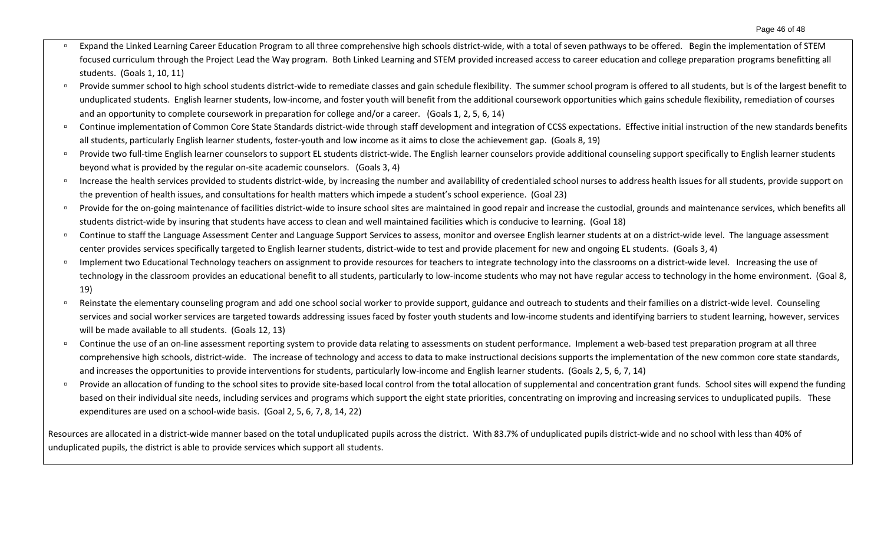- Expand the Linked Learning Career Education Program to all three comprehensive high schools district-wide, with a total of seven pathways to be offered. Begin the implementation of STEM focused curriculum through the Project Lead the Way program. Both Linked Learning and STEM provided increased access to career education and college preparation programs benefitting all students. (Goals 1, 10, 11)
- □ Provide summer school to high school students district-wide to remediate classes and gain schedule flexibility. The summer school program is offered to all students, but is of the largest benefit to unduplicated students. English learner students, low-income, and foster youth will benefit from the additional coursework opportunities which gains schedule flexibility, remediation of courses and an opportunity to complete coursework in preparation for college and/or a career. (Goals 1, 2, 5, 6, 14)
- □ Continue implementation of Common Core State Standards district-wide through staff development and integration of CCSS expectations. Effective initial instruction of the new standards benefits all students, particularly English learner students, foster-youth and low income as it aims to close the achievement gap. (Goals 8, 19)
- □ Provide two full-time English learner counselors to support EL students district-wide. The English learner counselors provide additional counseling support specifically to English learner students beyond what is provided by the regular on-site academic counselors. (Goals 3, 4)
- **Increase the health services provided to students district-wide, by increasing the number and availability of credentialed school nurses to address health issues for all students, provide support on** the prevention of health issues, and consultations for health matters which impede a student's school experience. (Goal 23)
- □ Provide for the on-going maintenance of facilities district-wide to insure school sites are maintained in good repair and increase the custodial, grounds and maintenance services, which benefits all students district-wide by insuring that students have access to clean and well maintained facilities which is conducive to learning. (Goal 18)
- □ Continue to staff the Language Assessment Center and Language Support Services to assess, monitor and oversee English learner students at on a district-wide level. The language assessment center provides services specifically targeted to English learner students, district-wide to test and provide placement for new and ongoing EL students. (Goals 3, 4)
- Implement two Educational Technology teachers on assignment to provide resources for teachers to integrate technology into the classrooms on a district-wide level. Increasing the use of technology in the classroom provides an educational benefit to all students, particularly to low-income students who may not have regular access to technology in the home environment. (Goal 8, 19)
- <sup>D</sup> Reinstate the elementary counseling program and add one school social worker to provide support, guidance and outreach to students and their families on a district-wide level. Counseling services and social worker services are targeted towards addressing issues faced by foster youth students and low-income students and identifying barriers to student learning, however, services will be made available to all students. (Goals 12, 13)
- <sup>o</sup> Continue the use of an on-line assessment reporting system to provide data relating to assessments on student performance. Implement a web-based test preparation program at all three comprehensive high schools, district-wide. The increase of technology and access to data to make instructional decisions supports the implementation of the new common core state standards, and increases the opportunities to provide interventions for students, particularly low-income and English learner students. (Goals 2, 5, 6, 7, 14)
- □ Provide an allocation of funding to the school sites to provide site-based local control from the total allocation of supplemental and concentration grant funds. School sites will expend the funding based on their individual site needs, including services and programs which support the eight state priorities, concentrating on improving and increasing services to unduplicated pupils. These expenditures are used on a school-wide basis. (Goal 2, 5, 6, 7, 8, 14, 22)

Resources are allocated in a district-wide manner based on the total unduplicated pupils across the district. With 83.7% of unduplicated pupils district-wide and no school with less than 40% of unduplicated pupils, the district is able to provide services which support all students.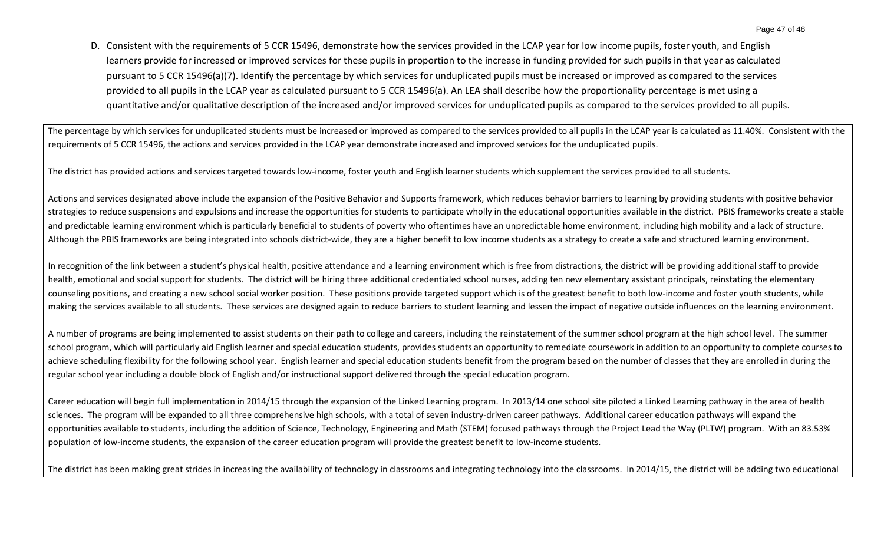D. Consistent with the requirements of 5 CCR 15496, demonstrate how the services provided in the LCAP year for low income pupils, foster youth, and English learners provide for increased or improved services for these pupils in proportion to the increase in funding provided for such pupils in that year as calculated pursuant to 5 CCR 15496(a)(7). Identify the percentage by which services for unduplicated pupils must be increased or improved as compared to the services provided to all pupils in the LCAP year as calculated pursuant to 5 CCR 15496(a). An LEA shall describe how the proportionality percentage is met using a quantitative and/or qualitative description of the increased and/or improved services for unduplicated pupils as compared to the services provided to all pupils.

The percentage by which services for unduplicated students must be increased or improved as compared to the services provided to all pupils in the LCAP year is calculated as 11.40%. Consistent with the requirements of 5 CCR 15496, the actions and services provided in the LCAP year demonstrate increased and improved services for the unduplicated pupils.

The district has provided actions and services targeted towards low-income, foster youth and English learner students which supplement the services provided to all students.

Actions and services designated above include the expansion of the Positive Behavior and Supports framework, which reduces behavior barriers to learning by providing students with positive behavior strategies to reduce suspensions and expulsions and increase the opportunities for students to participate wholly in the educational opportunities available in the district. PBIS frameworks create a stable and predictable learning environment which is particularly beneficial to students of poverty who oftentimes have an unpredictable home environment, including high mobility and a lack of structure. Although the PBIS frameworks are being integrated into schools district-wide, they are a higher benefit to low income students as a strategy to create a safe and structured learning environment.

In recognition of the link between a student's physical health, positive attendance and a learning environment which is free from distractions, the district will be providing additional staff to provide health, emotional and social support for students. The district will be hiring three additional credentialed school nurses, adding ten new elementary assistant principals, reinstating the elementary counseling positions, and creating a new school social worker position. These positions provide targeted support which is of the greatest benefit to both low-income and foster youth students, while making the services available to all students. These services are designed again to reduce barriers to student learning and lessen the impact of negative outside influences on the learning environment.

A number of programs are being implemented to assist students on their path to college and careers, including the reinstatement of the summer school program at the high school level. The summer school program, which will particularly aid English learner and special education students, provides students an opportunity to remediate coursework in addition to an opportunity to complete courses to achieve scheduling flexibility for the following school year. English learner and special education students benefit from the program based on the number of classes that they are enrolled in during the regular school year including a double block of English and/or instructional support delivered through the special education program.

Career education will begin full implementation in 2014/15 through the expansion of the Linked Learning program. In 2013/14 one school site piloted a Linked Learning pathway in the area of health sciences. The program will be expanded to all three comprehensive high schools, with a total of seven industry-driven career pathways. Additional career education pathways will expand the opportunities available to students, including the addition of Science, Technology, Engineering and Math (STEM) focused pathways through the Project Lead the Way (PLTW) program. With an 83.53% population of low-income students, the expansion of the career education program will provide the greatest benefit to low-income students.

The district has been making great strides in increasing the availability of technology in classrooms and integrating technology into the classrooms. In 2014/15, the district will be adding two educational